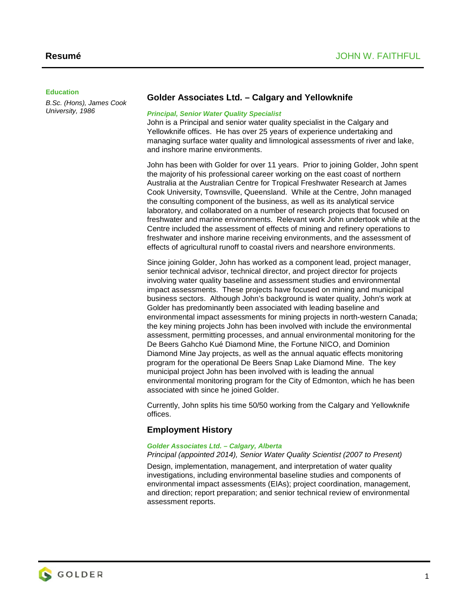#### **Education**

*B.Sc. (Hons), James Cook University, 1986*

# **Golder Associates Ltd. – Calgary and Yellowknife**

*Principal, Senior Water Quality Specialist*

John is a Principal and senior water quality specialist in the Calgary and Yellowknife offices. He has over 25 years of experience undertaking and managing surface water quality and limnological assessments of river and lake, and inshore marine environments.

John has been with Golder for over 11 years. Prior to joining Golder, John spent the majority of his professional career working on the east coast of northern Australia at the Australian Centre for Tropical Freshwater Research at James Cook University, Townsville, Queensland. While at the Centre, John managed the consulting component of the business, as well as its analytical service laboratory, and collaborated on a number of research projects that focused on freshwater and marine environments. Relevant work John undertook while at the Centre included the assessment of effects of mining and refinery operations to freshwater and inshore marine receiving environments, and the assessment of effects of agricultural runoff to coastal rivers and nearshore environments.

Since joining Golder, John has worked as a component lead, project manager, senior technical advisor, technical director, and project director for projects involving water quality baseline and assessment studies and environmental impact assessments. These projects have focused on mining and municipal business sectors. Although John's background is water quality, John's work at Golder has predominantly been associated with leading baseline and environmental impact assessments for mining projects in north-western Canada; the key mining projects John has been involved with include the environmental assessment, permitting processes, and annual environmental monitoring for the De Beers Gahcho Kué Diamond Mine, the Fortune NICO, and Dominion Diamond Mine Jay projects, as well as the annual aquatic effects monitoring program for the operational De Beers Snap Lake Diamond Mine. The key municipal project John has been involved with is leading the annual environmental monitoring program for the City of Edmonton, which he has been associated with since he joined Golder.

Currently, John splits his time 50/50 working from the Calgary and Yellowknife offices.

# **Employment History**

#### *Golder Associates Ltd. – Calgary, Alberta*

#### *Principal (appointed 2014), Senior Water Quality Scientist (2007 to Present)*

Design, implementation, management, and interpretation of water quality investigations, including environmental baseline studies and components of environmental impact assessments (EIAs); project coordination, management, and direction; report preparation; and senior technical review of environmental assessment reports.

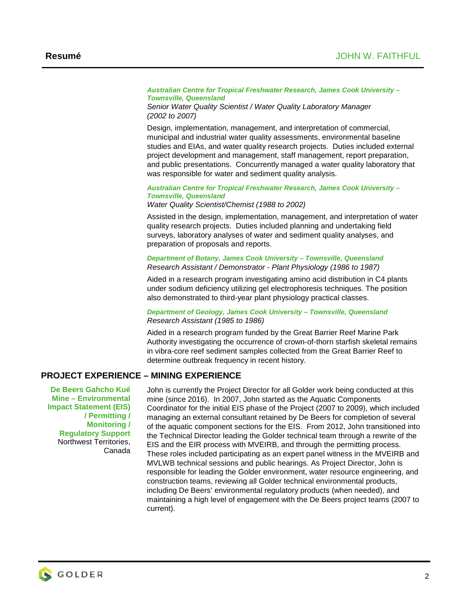#### *Australian Centre for Tropical Freshwater Research, James Cook University – Townsville, Queensland*

*Senior Water Quality Scientist / Water Quality Laboratory Manager (2002 to 2007)*

Design, implementation, management, and interpretation of commercial, municipal and industrial water quality assessments, environmental baseline studies and EIAs, and water quality research projects. Duties included external project development and management, staff management, report preparation, and public presentations. Concurrently managed a water quality laboratory that was responsible for water and sediment quality analysis.

#### *Australian Centre for Tropical Freshwater Research, James Cook University – Townsville, Queensland*

### *Water Quality Scientist/Chemist (1988 to 2002)*

Assisted in the design, implementation, management, and interpretation of water quality research projects. Duties included planning and undertaking field surveys, laboratory analyses of water and sediment quality analyses, and preparation of proposals and reports.

#### *Department of Botany, James Cook University – Townsville, Queensland Research Assistant / Demonstrator - Plant Physiology (1986 to 1987)*

Aided in a research program investigating amino acid distribution in C4 plants under sodium deficiency utilizing gel electrophoresis techniques. The position also demonstrated to third-year plant physiology practical classes.

#### *Department of Geology, James Cook University – Townsville, Queensland Research Assistant (1985 to 1986)*

Aided in a research program funded by the Great Barrier Reef Marine Park Authority investigating the occurrence of crown-of-thorn starfish skeletal remains in vibra-core reef sediment samples collected from the Great Barrier Reef to determine outbreak frequency in recent history.

# **PROJECT EXPERIENCE – MINING EXPERIENCE**

**De Beers Gahcho Kué Mine – Environmental Impact Statement (EIS) / Permitting / Monitoring / Regulatory Support** Northwest Territories, Canada

John is currently the Project Director for all Golder work being conducted at this mine (since 2016). In 2007, John started as the Aquatic Components Coordinator for the initial EIS phase of the Project (2007 to 2009), which included managing an external consultant retained by De Beers for completion of several of the aquatic component sections for the EIS. From 2012, John transitioned into the Technical Director leading the Golder technical team through a rewrite of the EIS and the EIR process with MVEIRB, and through the permitting process. These roles included participating as an expert panel witness in the MVEIRB and MVLWB technical sessions and public hearings. As Project Director, John is responsible for leading the Golder environment, water resource engineering, and construction teams, reviewing all Golder technical environmental products, including De Beers' environmental regulatory products (when needed), and maintaining a high level of engagement with the De Beers project teams (2007 to current).

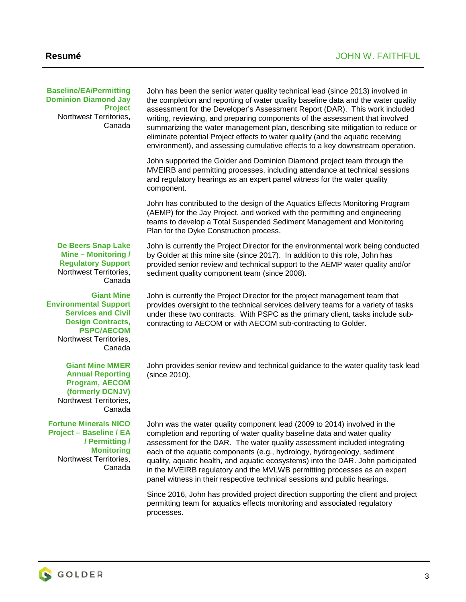### **Baseline/EA/Permitting Dominion Diamond Jay Project** Northwest Territories, Canada

**De Beers Snap Lake Mine – Monitoring / Regulatory Support** Northwest Territories, Canada

**Giant Mine Environmental Support Services and Civil Design Contracts, PSPC/AECOM** Northwest Territories, Canada

> **Giant Mine MMER Annual Reporting Program, AECOM (formerly DCNJV)** Northwest Territories, Canada

**Fortune Minerals NICO Project – Baseline / EA / Permitting / Monitoring** Northwest Territories, Canada

John has been the senior water quality technical lead (since 2013) involved in the completion and reporting of water quality baseline data and the water quality assessment for the Developer's Assessment Report (DAR). This work included writing, reviewing, and preparing components of the assessment that involved summarizing the water management plan, describing site mitigation to reduce or eliminate potential Project effects to water quality (and the aquatic receiving environment), and assessing cumulative effects to a key downstream operation.

John supported the Golder and Dominion Diamond project team through the MVEIRB and permitting processes, including attendance at technical sessions and regulatory hearings as an expert panel witness for the water quality component.

John has contributed to the design of the Aquatics Effects Monitoring Program (AEMP) for the Jay Project, and worked with the permitting and engineering teams to develop a Total Suspended Sediment Management and Monitoring Plan for the Dyke Construction process.

John is currently the Project Director for the environmental work being conducted by Golder at this mine site (since 2017). In addition to this role, John has provided senior review and technical support to the AEMP water quality and/or sediment quality component team (since 2008).

John is currently the Project Director for the project management team that provides oversight to the technical services delivery teams for a variety of tasks under these two contracts. With PSPC as the primary client, tasks include subcontracting to AECOM or with AECOM sub-contracting to Golder.

John provides senior review and technical guidance to the water quality task lead (since 2010).

John was the water quality component lead (2009 to 2014) involved in the completion and reporting of water quality baseline data and water quality assessment for the DAR. The water quality assessment included integrating each of the aquatic components (e.g., hydrology, hydrogeology, sediment quality, aquatic health, and aquatic ecosystems) into the DAR. John participated in the MVEIRB regulatory and the MVLWB permitting processes as an expert panel witness in their respective technical sessions and public hearings.

Since 2016, John has provided project direction supporting the client and project permitting team for aquatics effects monitoring and associated regulatory processes.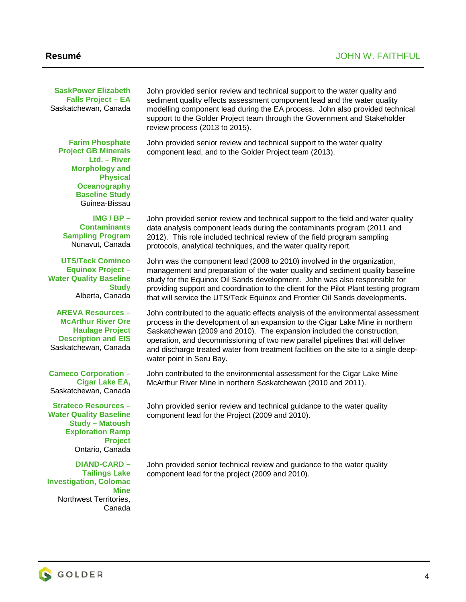**SaskPower Elizabeth Falls Project – EA**  Saskatchewan, Canada

**Farim Phosphate Project GB Minerals Ltd. – River Morphology and Physical Oceanography Baseline Study**  Guinea-Bissau

**IMG / BP – Contaminants Sampling Program**  Nunavut, Canada

**UTS/Teck Cominco Equinox Project – Water Quality Baseline Study**  Alberta, Canada

**AREVA Resources – McArthur River Ore Haulage Project Description and EIS**  Saskatchewan, Canada

**Cameco Corporation – Cigar Lake EA,**  Saskatchewan, Canada

**Strateco Resources – Water Quality Baseline Study – Matoush Exploration Ramp Project**  Ontario, Canada

**DIAND-CARD – Tailings Lake Investigation, Colomac Mine**  Northwest Territories, Canada

John provided senior review and technical support to the water quality and sediment quality effects assessment component lead and the water quality modelling component lead during the EA process. John also provided technical support to the Golder Project team through the Government and Stakeholder review process (2013 to 2015).

John provided senior review and technical support to the water quality component lead, and to the Golder Project team (2013).

John provided senior review and technical support to the field and water quality data analysis component leads during the contaminants program (2011 and 2012). This role included technical review of the field program sampling protocols, analytical techniques, and the water quality report.

John was the component lead (2008 to 2010) involved in the organization, management and preparation of the water quality and sediment quality baseline study for the Equinox Oil Sands development. John was also responsible for providing support and coordination to the client for the Pilot Plant testing program that will service the UTS/Teck Equinox and Frontier Oil Sands developments.

John contributed to the aquatic effects analysis of the environmental assessment process in the development of an expansion to the Cigar Lake Mine in northern Saskatchewan (2009 and 2010). The expansion included the construction, operation, and decommissioning of two new parallel pipelines that will deliver and discharge treated water from treatment facilities on the site to a single deepwater point in Seru Bay.

John contributed to the environmental assessment for the Cigar Lake Mine McArthur River Mine in northern Saskatchewan (2010 and 2011).

John provided senior review and technical guidance to the water quality component lead for the Project (2009 and 2010).

John provided senior technical review and guidance to the water quality component lead for the project (2009 and 2010).

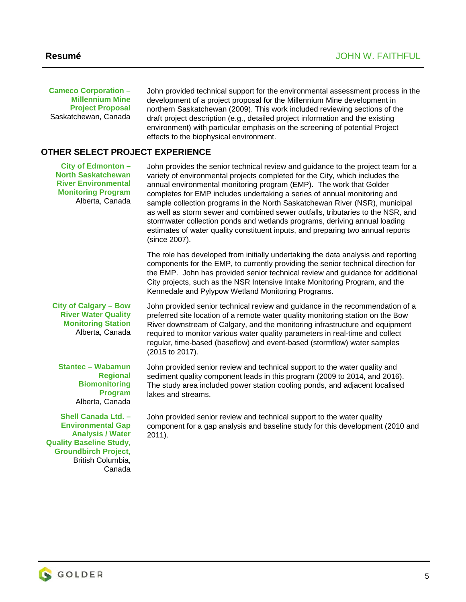**Cameco Corporation – Millennium Mine Project Proposal**  Saskatchewan, Canada John provided technical support for the environmental assessment process in the development of a project proposal for the Millennium Mine development in northern Saskatchewan (2009). This work included reviewing sections of the draft project description (e.g., detailed project information and the existing environment) with particular emphasis on the screening of potential Project effects to the biophysical environment.

# **OTHER SELECT PROJECT EXPERIENCE**

**City of Edmonton – North Saskatchewan River Environmental Monitoring Program** Alberta, Canada John provides the senior technical review and guidance to the project team for a variety of environmental projects completed for the City, which includes the annual environmental monitoring program (EMP). The work that Golder completes for EMP includes undertaking a series of annual monitoring and sample collection programs in the North Saskatchewan River (NSR), municipal as well as storm sewer and combined sewer outfalls, tributaries to the NSR, and stormwater collection ponds and wetlands programs, deriving annual loading estimates of water quality constituent inputs, and preparing two annual reports (since 2007).

The role has developed from initially undertaking the data analysis and reporting components for the EMP, to currently providing the senior technical direction for the EMP. John has provided senior technical review and guidance for additional City projects, such as the NSR Intensive Intake Monitoring Program, and the Kennedale and Pylypow Wetland Monitoring Programs.

**City of Calgary – Bow River Water Quality Monitoring Station**  Alberta, Canada

**Stantec – Wabamun Regional Biomonitoring Program**  Alberta, Canada

**Shell Canada Ltd. – Environmental Gap Analysis / Water Quality Baseline Study, Groundbirch Project,**  British Columbia, Canada John provided senior technical review and guidance in the recommendation of a preferred site location of a remote water quality monitoring station on the Bow River downstream of Calgary, and the monitoring infrastructure and equipment required to monitor various water quality parameters in real-time and collect regular, time-based (baseflow) and event-based (stormflow) water samples (2015 to 2017).

John provided senior review and technical support to the water quality and sediment quality component leads in this program (2009 to 2014, and 2016). The study area included power station cooling ponds, and adjacent localised lakes and streams.

John provided senior review and technical support to the water quality component for a gap analysis and baseline study for this development (2010 and 2011).

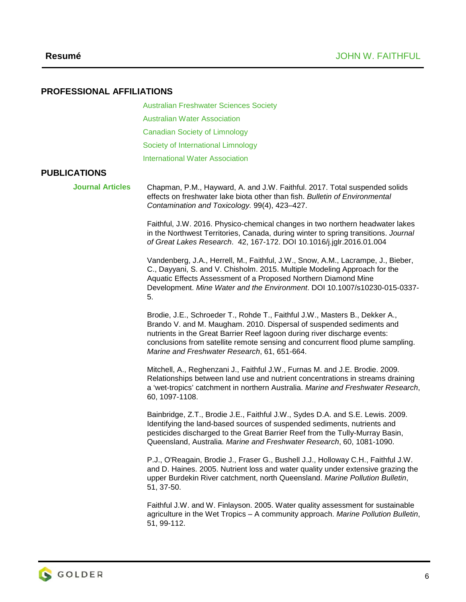# **PROFESSIONAL AFFILIATIONS**

Australian Freshwater Sciences Society Australian Water Association

Canadian Society of Limnology

Society of International Limnology

International Water Association

# **PUBLICATIONS**

**Journal Articles** Chapman, P.M., Hayward, A. and J.W. Faithful. 2017. Total suspended solids effects on freshwater lake biota other than fish. *Bulletin of Environmental Contamination and Toxicology.* 99(4), 423–427.

> Faithful, J.W. 2016. Physico-chemical changes in two northern headwater lakes in the Northwest Territories, Canada, during winter to spring transitions. *Journal of Great Lakes Research*. 42, 167-172. DOI 10.1016/j.jglr.2016.01.004

Vandenberg, J.A., Herrell, M., Faithful, J.W., Snow, A.M., Lacrampe, J., Bieber, C., Dayyani, S. and V. Chisholm. 2015. Multiple Modeling Approach for the Aquatic Effects Assessment of a Proposed Northern Diamond Mine Development. *Mine Water and the Environment*. DOI 10.1007/s10230-015-0337- 5.

Brodie, J.E., Schroeder T., Rohde T., Faithful J.W., Masters B., Dekker A., Brando V. and M. Maugham. 2010. Dispersal of suspended sediments and nutrients in the Great Barrier Reef lagoon during river discharge events: conclusions from satellite remote sensing and concurrent flood plume sampling. *Marine and Freshwater Research*, 61, 651-664.

Mitchell, A., Reghenzani J., Faithful J.W., Furnas M. and J.E. Brodie. 2009. Relationships between land use and nutrient concentrations in streams draining a 'wet-tropics' catchment in northern Australia. *Marine and Freshwater Research*, 60, 1097-1108.

Bainbridge, Z.T., Brodie J.E., Faithful J.W., Sydes D.A. and S.E. Lewis. 2009. Identifying the land-based sources of suspended sediments, nutrients and pesticides discharged to the Great Barrier Reef from the Tully-Murray Basin, Queensland, Australia. *Marine and Freshwater Research*, 60, 1081-1090.

P.J., O'Reagain, Brodie J., Fraser G., Bushell J.J., Holloway C.H., Faithful J.W. and D. Haines. 2005. Nutrient loss and water quality under extensive grazing the upper Burdekin River catchment, north Queensland. *Marine Pollution Bulletin*, 51, 37-50.

Faithful J.W. and W. Finlayson. 2005. Water quality assessment for sustainable agriculture in the Wet Tropics – A community approach. *Marine Pollution Bulletin*, 51, 99-112.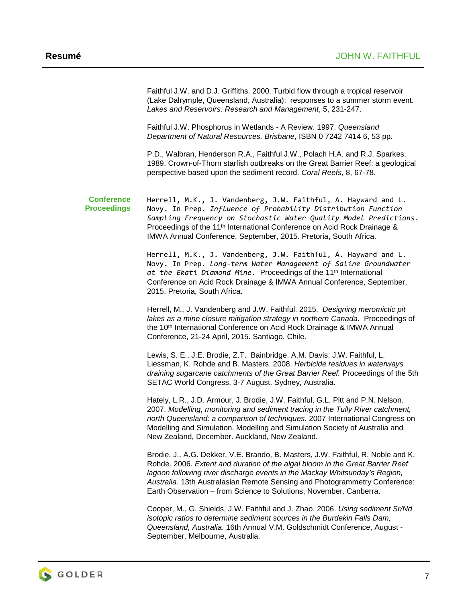Faithful J.W. and D.J. Griffiths. 2000. Turbid flow through a tropical reservoir (Lake Dalrymple, Queensland, Australia): responses to a summer storm event. *Lakes and Reservoirs: Research and Management*, 5, 231-247.

Faithful J.W. Phosphorus in Wetlands - A Review. 1997. *Queensland Department of Natural Resources, Brisbane*, ISBN 0 7242 7414 6, 53 pp.

P.D., Walbran, Henderson R.A., Faithful J.W., Polach H.A. and R.J. Sparkes. 1989. Crown-of-Thorn starfish outbreaks on the Great Barrier Reef: a geological perspective based upon the sediment record. *Coral Reefs*, 8, 67-78.

**Conference Proceedings** Herrell, M.K., J. Vandenberg, J.W. Faithful, A. Hayward and L. Novy. In Prep. *Influence of Probability Distribution Function Sampling Frequency on Stochastic Water Quality Model Predictions*. Proceedings of the 11<sup>th</sup> International Conference on Acid Rock Drainage & IMWA Annual Conference, September, 2015. Pretoria, South Africa.

Herrell, M.K., J. Vandenberg, J.W. Faithful, A. Hayward and L. Novy. In Prep. *Long-term Water Management of Saline Groundwater*  at the Ekati Diamond Mine. Proceedings of the 11<sup>th</sup> International Conference on Acid Rock Drainage & IMWA Annual Conference, September, 2015. Pretoria, South Africa.

Herrell, M., J. Vandenberg and J.W. Faithful. 2015. *Designing meromictic pit lakes as a mine closure mitigation strategy in northern Canada*. Proceedings of the 10<sup>th</sup> International Conference on Acid Rock Drainage & IMWA Annual Conference, 21-24 April, 2015. Santiago, Chile.

Lewis, S. E., J.E. Brodie, Z.T. Bainbridge, A.M. Davis, J.W. Faithful, L. Liessman, K. Rohde and B. Masters. 2008. *Herbicide residues in waterways draining sugarcane catchments of the Great Barrier Reef.* Proceedings of the 5th SETAC World Congress, 3-7 August. Sydney, Australia.

Hately, L.R., J.D. Armour, J. Brodie, J.W. Faithful, G.L. Pitt and P.N. Nelson. 2007. *Modelling, monitoring and sediment tracing in the Tully River catchment, north Queensland: a comparison of techniques*. 2007 International Congress on Modelling and Simulation. Modelling and Simulation Society of Australia and New Zealand, December. Auckland, New Zealand.

Brodie, J., A.G. Dekker, V.E. Brando, B. Masters, J.W. Faithful, R. Noble and K. Rohde. 2006. *Extent and duration of the algal bloom in the Great Barrier Reef*  lagoon following river discharge events in the Mackay Whitsunday's Region, *Australia*. 13th Australasian Remote Sensing and Photogrammetry Conference: Earth Observation – from Science to Solutions, November. Canberra.

Cooper, M., G. Shields, J.W. Faithful and J. Zhao. 2006. *Using sediment Sr/Nd isotopic ratios to determine sediment sources in the Burdekin Falls Dam, Queensland, Australia*. 16th Annual V.M. Goldschmidt Conference, August - September. Melbourne, Australia.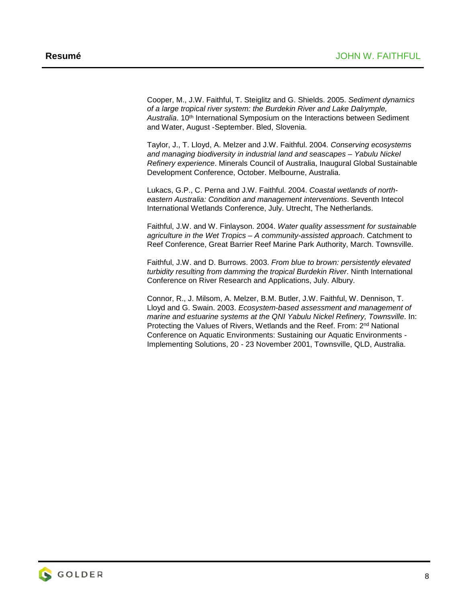Cooper, M., J.W. Faithful, T. Steiglitz and G. Shields. 2005. *Sediment dynamics of a large tropical river system: the Burdekin River and Lake Dalrymple, Australia*. 10th International Symposium on the Interactions between Sediment and Water, August -September. Bled, Slovenia.

Taylor, J., T. Lloyd, A. Melzer and J.W. Faithful. 2004. *Conserving ecosystems and managing biodiversity in industrial land and seascapes – Yabulu Nickel Refinery experience*. Minerals Council of Australia, Inaugural Global Sustainable Development Conference, October. Melbourne, Australia.

Lukacs, G.P., C. Perna and J.W. Faithful. 2004. *Coastal wetlands of northeastern Australia: Condition and management interventions*. Seventh Intecol International Wetlands Conference, July. Utrecht, The Netherlands.

Faithful, J.W. and W. Finlayson. 2004. *Water quality assessment for sustainable agriculture in the Wet Tropics – A community-assisted approach*. Catchment to Reef Conference, Great Barrier Reef Marine Park Authority, March. Townsville.

Faithful, J.W. and D. Burrows. 2003. *From blue to brown: persistently elevated turbidity resulting from damming the tropical Burdekin River*. Ninth International Conference on River Research and Applications, July. Albury.

Connor, R., J. Milsom, A. Melzer, B.M. Butler, J.W. Faithful, W. Dennison, T. Lloyd and G. Swain. 2003. *Ecosystem-based assessment and management of marine and estuarine systems at the QNI Yabulu Nickel Refinery, Townsville*. In: Protecting the Values of Rivers, Wetlands and the Reef. From: 2<sup>nd</sup> National Conference on Aquatic Environments: Sustaining our Aquatic Environments - Implementing Solutions, 20 - 23 November 2001, Townsville, QLD, Australia.

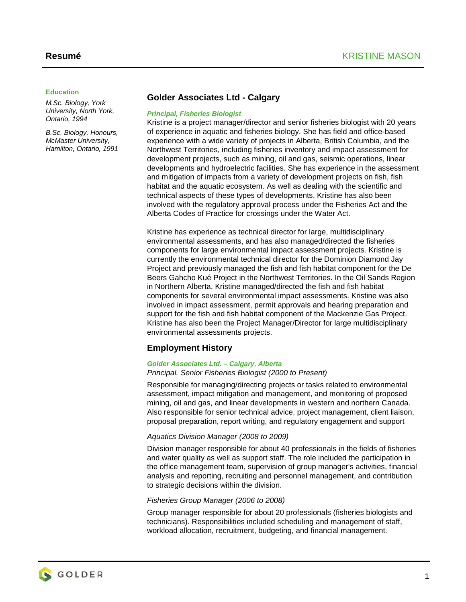#### **Education**

*M.Sc. Biology, York University, North York, Ontario, 1994*

*B.Sc. Biology, Honours, McMaster University, Hamilton, Ontario, 1991*

# **Golder Associates Ltd - Calgary**

#### *Principal, Fisheries Biologist*

Kristine is a project manager/director and senior fisheries biologist with 20 years of experience in aquatic and fisheries biology. She has field and office-based experience with a wide variety of projects in Alberta, British Columbia, and the Northwest Territories, including fisheries inventory and impact assessment for development projects, such as mining, oil and gas, seismic operations, linear developments and hydroelectric facilities. She has experience in the assessment and mitigation of impacts from a variety of development projects on fish, fish habitat and the aquatic ecosystem. As well as dealing with the scientific and technical aspects of these types of developments, Kristine has also been involved with the regulatory approval process under the Fisheries Act and the Alberta Codes of Practice for crossings under the Water Act.

Kristine has experience as technical director for large, multidisciplinary environmental assessments, and has also managed/directed the fisheries components for large environmental impact assessment projects. Kristine is currently the environmental technical director for the Dominion Diamond Jay Project and previously managed the fish and fish habitat component for the De Beers Gahcho Kué Project in the Northwest Territories. In the Oil Sands Region in Northern Alberta, Kristine managed/directed the fish and fish habitat components for several environmental impact assessments. Kristine was also involved in impact assessment, permit approvals and hearing preparation and support for the fish and fish habitat component of the Mackenzie Gas Project. Kristine has also been the Project Manager/Director for large multidisciplinary environmental assessments projects.

# **Employment History**

#### *Golder Associates Ltd. – Calgary, Alberta*

*Principal. Senior Fisheries Biologist (2000 to Present)*

Responsible for managing/directing projects or tasks related to environmental assessment, impact mitigation and management, and monitoring of proposed mining, oil and gas, and linear developments in western and northern Canada. Also responsible for senior technical advice, project management, client liaison, proposal preparation, report writing, and regulatory engagement and support

#### *Aquatics Division Manager (2008 to 2009)*

Division manager responsible for about 40 professionals in the fields of fisheries and water quality as well as support staff. The role included the participation in the office management team, supervision of group manager's activities, financial analysis and reporting, recruiting and personnel management, and contribution to strategic decisions within the division.

#### *Fisheries Group Manager (2006 to 2008)*

Group manager responsible for about 20 professionals (fisheries biologists and technicians). Responsibilities included scheduling and management of staff, workload allocation, recruitment, budgeting, and financial management.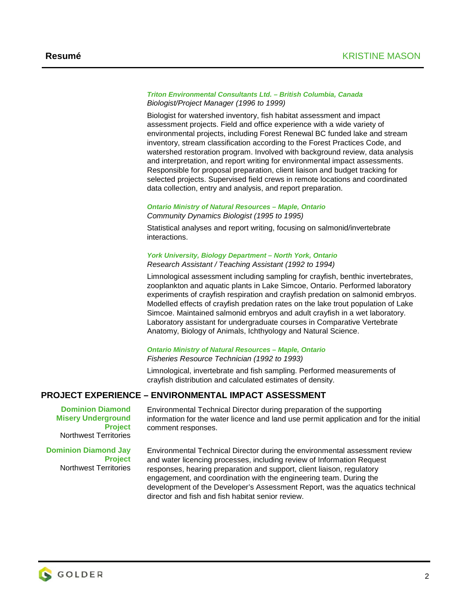#### *Triton Environmental Consultants Ltd. – British Columbia, Canada Biologist/Project Manager (1996 to 1999)*

Biologist for watershed inventory, fish habitat assessment and impact assessment projects. Field and office experience with a wide variety of environmental projects, including Forest Renewal BC funded lake and stream inventory, stream classification according to the Forest Practices Code, and watershed restoration program. Involved with background review, data analysis and interpretation, and report writing for environmental impact assessments. Responsible for proposal preparation, client liaison and budget tracking for selected projects. Supervised field crews in remote locations and coordinated data collection, entry and analysis, and report preparation.

#### *Ontario Ministry of Natural Resources – Maple, Ontario Community Dynamics Biologist (1995 to 1995)*

Statistical analyses and report writing, focusing on salmonid/invertebrate interactions.

#### *York University, Biology Department – North York, Ontario Research Assistant / Teaching Assistant (1992 to 1994)*

Limnological assessment including sampling for crayfish, benthic invertebrates, zooplankton and aquatic plants in Lake Simcoe, Ontario. Performed laboratory experiments of crayfish respiration and crayfish predation on salmonid embryos. Modelled effects of crayfish predation rates on the lake trout population of Lake Simcoe. Maintained salmonid embryos and adult crayfish in a wet laboratory. Laboratory assistant for undergraduate courses in Comparative Vertebrate Anatomy, Biology of Animals, Ichthyology and Natural Science.

#### *Ontario Ministry of Natural Resources – Maple, Ontario Fisheries Resource Technician (1992 to 1993)*

Limnological, invertebrate and fish sampling. Performed measurements of crayfish distribution and calculated estimates of density.

Environmental Technical Director during preparation of the supporting

# **PROJECT EXPERIENCE – ENVIRONMENTAL IMPACT ASSESSMENT**

**Dominion Diamond Misery Underground Project** Northwest Territories

comment responses.

**Dominion Diamond Jay Project** Northwest Territories

Environmental Technical Director during the environmental assessment review and water licencing processes, including review of Information Request responses, hearing preparation and support, client liaison, regulatory engagement, and coordination with the engineering team. During the development of the Developer's Assessment Report, was the aquatics technical director and fish and fish habitat senior review.

information for the water licence and land use permit application and for the initial

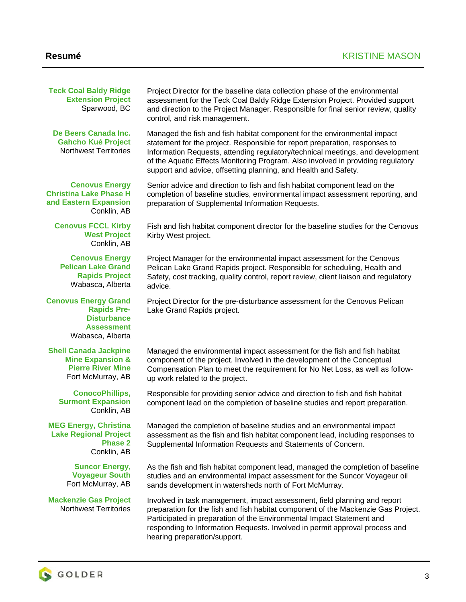| <b>Teck Coal Baldy Ridge</b><br><b>Extension Project</b><br>Sparwood, BC                                         | Project Director for the baseline data collection phase of the environmental<br>assessment for the Teck Coal Baldy Ridge Extension Project. Provided support<br>and direction to the Project Manager. Responsible for final senior review, quality<br>control, and risk management.                                                                                                              |
|------------------------------------------------------------------------------------------------------------------|--------------------------------------------------------------------------------------------------------------------------------------------------------------------------------------------------------------------------------------------------------------------------------------------------------------------------------------------------------------------------------------------------|
| De Beers Canada Inc.<br><b>Gahcho Kué Project</b><br><b>Northwest Territories</b>                                | Managed the fish and fish habitat component for the environmental impact<br>statement for the project. Responsible for report preparation, responses to<br>Information Requests, attending regulatory/technical meetings, and development<br>of the Aquatic Effects Monitoring Program. Also involved in providing regulatory<br>support and advice, offsetting planning, and Health and Safety. |
| <b>Cenovus Energy</b><br><b>Christina Lake Phase H</b><br>and Eastern Expansion<br>Conklin, AB                   | Senior advice and direction to fish and fish habitat component lead on the<br>completion of baseline studies, environmental impact assessment reporting, and<br>preparation of Supplemental Information Requests.                                                                                                                                                                                |
| <b>Cenovus FCCL Kirby</b><br><b>West Project</b><br>Conklin, AB                                                  | Fish and fish habitat component director for the baseline studies for the Cenovus<br>Kirby West project.                                                                                                                                                                                                                                                                                         |
| <b>Cenovus Energy</b><br><b>Pelican Lake Grand</b><br><b>Rapids Project</b><br>Wabasca, Alberta                  | Project Manager for the environmental impact assessment for the Cenovus<br>Pelican Lake Grand Rapids project. Responsible for scheduling, Health and<br>Safety, cost tracking, quality control, report review, client liaison and regulatory<br>advice.                                                                                                                                          |
| <b>Cenovus Energy Grand</b><br><b>Rapids Pre-</b><br><b>Disturbance</b><br><b>Assessment</b><br>Wabasca, Alberta | Project Director for the pre-disturbance assessment for the Cenovus Pelican<br>Lake Grand Rapids project.                                                                                                                                                                                                                                                                                        |
| <b>Shell Canada Jackpine</b><br><b>Mine Expansion &amp;</b><br><b>Pierre River Mine</b><br>Fort McMurray, AB     | Managed the environmental impact assessment for the fish and fish habitat<br>component of the project. Involved in the development of the Conceptual<br>Compensation Plan to meet the requirement for No Net Loss, as well as follow-<br>up work related to the project.                                                                                                                         |
| <b>ConocoPhillips,</b><br><b>Surmont Expansion</b><br>Conklin, AB                                                | Responsible for providing senior advice and direction to fish and fish habitat<br>component lead on the completion of baseline studies and report preparation.                                                                                                                                                                                                                                   |
| <b>MEG Energy, Christina</b><br><b>Lake Regional Project</b><br><b>Phase 2</b><br>Conklin, AB                    | Managed the completion of baseline studies and an environmental impact<br>assessment as the fish and fish habitat component lead, including responses to<br>Supplemental Information Requests and Statements of Concern.                                                                                                                                                                         |
| <b>Suncor Energy,</b><br><b>Voyageur South</b><br>Fort McMurray, AB                                              | As the fish and fish habitat component lead, managed the completion of baseline<br>studies and an environmental impact assessment for the Suncor Voyageur oil<br>sands development in watersheds north of Fort McMurray.                                                                                                                                                                         |
| <b>Mackenzie Gas Project</b><br><b>Northwest Territories</b>                                                     | Involved in task management, impact assessment, field planning and report<br>preparation for the fish and fish habitat component of the Mackenzie Gas Project.<br>Participated in preparation of the Environmental Impact Statement and<br>responding to Information Requests. Involved in permit approval process and<br>hearing preparation/support.                                           |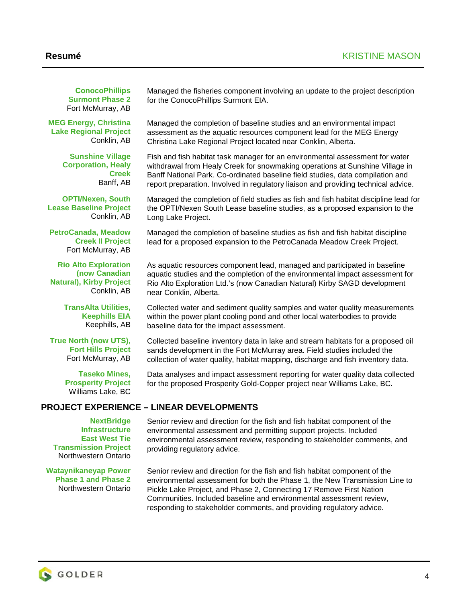**ConocoPhillips Surmont Phase 2** Fort McMurray, AB

**MEG Energy, Christina Lake Regional Project** Conklin, AB

> **Sunshine Village Corporation, Healy Creek** Banff, AB

**OPTI/Nexen, South Lease Baseline Project** Conklin, AB

**PetroCanada, Meadow Creek II Project** Fort McMurray, AB

**Rio Alto Exploration (now Canadian Natural), Kirby Project** Conklin, AB

> **TransAlta Utilities, Keephills EIA** Keephills, AB

**True North (now UTS), Fort Hills Project** Fort McMurray, AB

> **Taseko Mines, Prosperity Project** Williams Lake, BC

**NextBridge Infrastructure** 

**East West Tie Transmission Project**  Northwestern Ontario

**Wataynikaneyap Power Phase 1 and Phase 2**  Northwestern Ontario

Managed the fisheries component involving an update to the project description for the ConocoPhillips Surmont EIA.

Managed the completion of baseline studies and an environmental impact assessment as the aquatic resources component lead for the MEG Energy Christina Lake Regional Project located near Conklin, Alberta.

Fish and fish habitat task manager for an environmental assessment for water withdrawal from Healy Creek for snowmaking operations at Sunshine Village in Banff National Park. Co-ordinated baseline field studies, data compilation and report preparation. Involved in regulatory liaison and providing technical advice.

Managed the completion of field studies as fish and fish habitat discipline lead for the OPTI/Nexen South Lease baseline studies, as a proposed expansion to the Long Lake Project.

Managed the completion of baseline studies as fish and fish habitat discipline lead for a proposed expansion to the PetroCanada Meadow Creek Project.

As aquatic resources component lead, managed and participated in baseline aquatic studies and the completion of the environmental impact assessment for Rio Alto Exploration Ltd.'s (now Canadian Natural) Kirby SAGD development near Conklin, Alberta.

Collected water and sediment quality samples and water quality measurements within the power plant cooling pond and other local waterbodies to provide baseline data for the impact assessment.

Collected baseline inventory data in lake and stream habitats for a proposed oil sands development in the Fort McMurray area. Field studies included the collection of water quality, habitat mapping, discharge and fish inventory data.

Data analyses and impact assessment reporting for water quality data collected for the proposed Prosperity Gold-Copper project near Williams Lake, BC.

# **PROJECT EXPERIENCE – LINEAR DEVELOPMENTS**

Senior review and direction for the fish and fish habitat component of the environmental assessment and permitting support projects. Included environmental assessment review, responding to stakeholder comments, and providing regulatory advice.

Senior review and direction for the fish and fish habitat component of the environmental assessment for both the Phase 1, the New Transmission Line to Pickle Lake Project, and Phase 2, Connecting 17 Remove First Nation Communities. Included baseline and environmental assessment review, responding to stakeholder comments, and providing regulatory advice.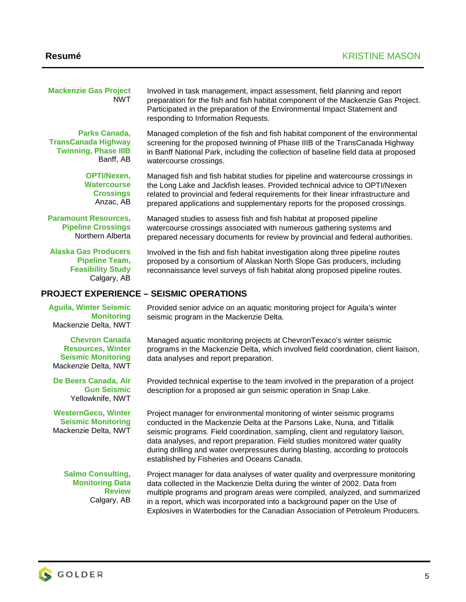| <b>Mackenzie Gas Project</b><br><b>NWT</b>                                                             | Involved in task management, impact assessment, field planning and report<br>preparation for the fish and fish habitat component of the Mackenzie Gas Project.<br>Participated in the preparation of the Environmental Impact Statement and<br>responding to Information Requests.                                                                                                                                                                      |
|--------------------------------------------------------------------------------------------------------|---------------------------------------------------------------------------------------------------------------------------------------------------------------------------------------------------------------------------------------------------------------------------------------------------------------------------------------------------------------------------------------------------------------------------------------------------------|
| Parks Canada,<br><b>TransCanada Highway</b><br><b>Twinning, Phase IIIB</b><br>Banff, AB                | Managed completion of the fish and fish habitat component of the environmental<br>screening for the proposed twinning of Phase IIIB of the TransCanada Highway<br>in Banff National Park, including the collection of baseline field data at proposed<br>watercourse crossings.                                                                                                                                                                         |
| OPTI/Nexen,<br><b>Watercourse</b><br><b>Crossings</b><br>Anzac, AB                                     | Managed fish and fish habitat studies for pipeline and watercourse crossings in<br>the Long Lake and Jackfish leases. Provided technical advice to OPTI/Nexen<br>related to provincial and federal requirements for their linear infrastructure and<br>prepared applications and supplementary reports for the proposed crossings.                                                                                                                      |
| <b>Paramount Resources,</b><br><b>Pipeline Crossings</b><br>Northern Alberta                           | Managed studies to assess fish and fish habitat at proposed pipeline<br>watercourse crossings associated with numerous gathering systems and<br>prepared necessary documents for review by provincial and federal authorities.                                                                                                                                                                                                                          |
| <b>Alaska Gas Producers</b><br><b>Pipeline Team,</b><br><b>Feasibility Study</b><br>Calgary, AB        | Involved in the fish and fish habitat investigation along three pipeline routes<br>proposed by a consortium of Alaskan North Slope Gas producers, including<br>reconnaissance level surveys of fish habitat along proposed pipeline routes.                                                                                                                                                                                                             |
|                                                                                                        | <b>PROJECT EXPERIENCE – SEISMIC OPERATIONS</b>                                                                                                                                                                                                                                                                                                                                                                                                          |
| <b>Aguila, Winter Seismic</b><br><b>Monitoring</b><br>Mackenzie Delta, NWT                             | Provided senior advice on an aquatic monitoring project for Aguila's winter<br>seismic program in the Mackenzie Delta.                                                                                                                                                                                                                                                                                                                                  |
| <b>Chevron Canada</b><br><b>Resources, Winter</b><br><b>Seismic Monitoring</b><br>Mackenzie Delta, NWT | Managed aquatic monitoring projects at ChevronTexaco's winter seismic<br>programs in the Mackenzie Delta, which involved field coordination, client liaison,<br>data analyses and report preparation.                                                                                                                                                                                                                                                   |
| De Beers Canada, Air<br><b>Gun Seismic</b><br>Yellowknife, NWT                                         | Provided technical expertise to the team involved in the preparation of a project<br>description for a proposed air gun seismic operation in Snap Lake.                                                                                                                                                                                                                                                                                                 |
| <b>WesternGeco, Winter</b><br><b>Seismic Monitoring</b><br>Mackenzie Delta, NWT                        | Project manager for environmental monitoring of winter seismic programs<br>conducted in the Mackenzie Delta at the Parsons Lake, Nuna, and Titlalik<br>seismic programs. Field coordination, sampling, client and regulatory liaison,<br>data analyses, and report preparation. Field studies monitored water quality<br>during drilling and water overpressures during blasting, according to protocols<br>established by Fisheries and Oceans Canada. |
| <b>Salmo Consulting,</b><br><b>Monitoring Data</b>                                                     | Project manager for data analyses of water quality and overpressure monitoring<br>data collected in the Mackenzie Delta during the winter of 2002. Data from                                                                                                                                                                                                                                                                                            |

collected in the Mackenzie Delta during the winter of 2002. Data from multiple programs and program areas were compiled, analyzed, and summarized in a report, which was incorporated into a background paper on the Use of Explosives in Waterbodies for the Canadian Association of Petroleum Producers.

**Review** Calgary, AB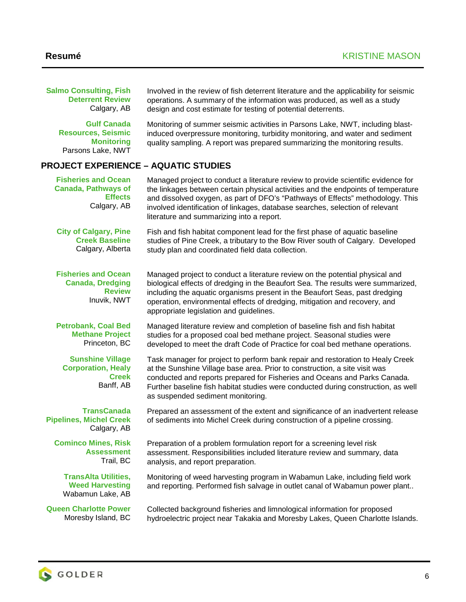| <b>Salmo Consulting, Fish</b><br><b>Deterrent Review</b><br>Calgary, AB                   | Involved in the review of fish deterrent literature and the applicability for seismic<br>operations. A summary of the information was produced, as well as a study<br>design and cost estimate for testing of potential deterrents.                                                                                                                                                    |
|-------------------------------------------------------------------------------------------|----------------------------------------------------------------------------------------------------------------------------------------------------------------------------------------------------------------------------------------------------------------------------------------------------------------------------------------------------------------------------------------|
| <b>Gulf Canada</b><br><b>Resources, Seismic</b><br><b>Monitoring</b><br>Parsons Lake, NWT | Monitoring of summer seismic activities in Parsons Lake, NWT, including blast-<br>induced overpressure monitoring, turbidity monitoring, and water and sediment<br>quality sampling. A report was prepared summarizing the monitoring results.                                                                                                                                         |
| <b>PROJECT EXPERIENCE - AQUATIC STUDIES</b>                                               |                                                                                                                                                                                                                                                                                                                                                                                        |
| <b>Fisheries and Ocean</b><br><b>Canada, Pathways of</b><br><b>Effects</b><br>Calgary, AB | Managed project to conduct a literature review to provide scientific evidence for<br>the linkages between certain physical activities and the endpoints of temperature<br>and dissolved oxygen, as part of DFO's "Pathways of Effects" methodology. This<br>involved identification of linkages, database searches, selection of relevant<br>literature and summarizing into a report. |
| <b>City of Calgary, Pine</b><br><b>Creek Baseline</b><br>Calgary, Alberta                 | Fish and fish habitat component lead for the first phase of aquatic baseline<br>studies of Pine Creek, a tributary to the Bow River south of Calgary. Developed<br>study plan and coordinated field data collection.                                                                                                                                                                   |
| <b>Fisheries and Ocean</b><br><b>Canada, Dredging</b><br><b>Review</b><br>Inuvik, NWT     | Managed project to conduct a literature review on the potential physical and<br>biological effects of dredging in the Beaufort Sea. The results were summarized,<br>including the aquatic organisms present in the Beaufort Seas, past dredging<br>operation, environmental effects of dredging, mitigation and recovery, and<br>appropriate legislation and guidelines.               |
| <b>Petrobank, Coal Bed</b><br><b>Methane Project</b><br>Princeton, BC                     | Managed literature review and completion of baseline fish and fish habitat<br>studies for a proposed coal bed methane project. Seasonal studies were<br>developed to meet the draft Code of Practice for coal bed methane operations.                                                                                                                                                  |
| <b>Sunshine Village</b><br><b>Corporation, Healy</b><br><b>Creek</b><br>Banff, AB         | Task manager for project to perform bank repair and restoration to Healy Creek<br>at the Sunshine Village base area. Prior to construction, a site visit was<br>conducted and reports prepared for Fisheries and Oceans and Parks Canada.<br>Further baseline fish habitat studies were conducted during construction, as well<br>as suspended sediment monitoring.                    |
| <b>TransCanada</b><br><b>Pipelines, Michel Creek</b><br>Calgary, AB                       | Prepared an assessment of the extent and significance of an inadvertent release<br>of sediments into Michel Creek during construction of a pipeline crossing.                                                                                                                                                                                                                          |
| <b>Cominco Mines, Risk</b><br><b>Assessment</b><br>Trail, BC                              | Preparation of a problem formulation report for a screening level risk<br>assessment. Responsibilities included literature review and summary, data<br>analysis, and report preparation.                                                                                                                                                                                               |
| <b>TransAlta Utilities,</b><br><b>Weed Harvesting</b><br>Wabamun Lake, AB                 | Monitoring of weed harvesting program in Wabamun Lake, including field work<br>and reporting. Performed fish salvage in outlet canal of Wabamun power plant                                                                                                                                                                                                                            |
| <b>Queen Charlotte Power</b><br>Moresby Island, BC                                        | Collected background fisheries and limnological information for proposed<br>hydroelectric project near Takakia and Moresby Lakes, Queen Charlotte Islands.                                                                                                                                                                                                                             |
|                                                                                           |                                                                                                                                                                                                                                                                                                                                                                                        |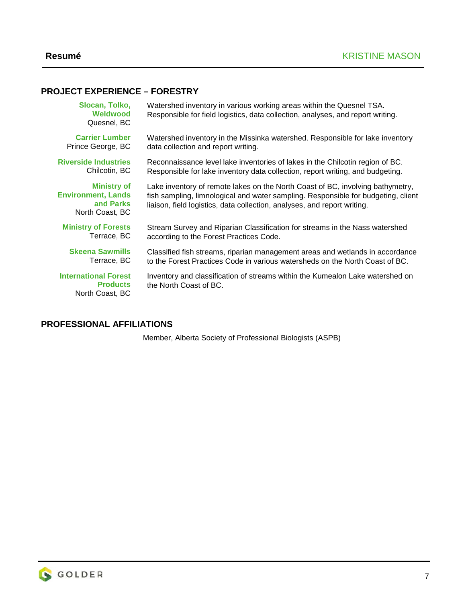# **PROJECT EXPERIENCE – FORESTRY**

| Slocan, Tolko,<br>Weldwood<br>Quesnel, BC                                       | Watershed inventory in various working areas within the Quesnel TSA.<br>Responsible for field logistics, data collection, analyses, and report writing.                                                                                         |
|---------------------------------------------------------------------------------|-------------------------------------------------------------------------------------------------------------------------------------------------------------------------------------------------------------------------------------------------|
| <b>Carrier Lumber</b>                                                           | Watershed inventory in the Missinka watershed. Responsible for lake inventory                                                                                                                                                                   |
| Prince George, BC                                                               | data collection and report writing.                                                                                                                                                                                                             |
| <b>Riverside Industries</b>                                                     | Reconnaissance level lake inventories of lakes in the Chilcotin region of BC.                                                                                                                                                                   |
| Chilcotin, BC                                                                   | Responsible for lake inventory data collection, report writing, and budgeting.                                                                                                                                                                  |
| <b>Ministry of</b><br><b>Environment, Lands</b><br>and Parks<br>North Coast, BC | Lake inventory of remote lakes on the North Coast of BC, involving bathymetry,<br>fish sampling, limnological and water sampling. Responsible for budgeting, client<br>liaison, field logistics, data collection, analyses, and report writing. |
| <b>Ministry of Forests</b>                                                      | Stream Survey and Riparian Classification for streams in the Nass watershed                                                                                                                                                                     |
| Terrace, BC                                                                     | according to the Forest Practices Code.                                                                                                                                                                                                         |
| <b>Skeena Sawmills</b>                                                          | Classified fish streams, riparian management areas and wetlands in accordance                                                                                                                                                                   |
| Terrace, BC                                                                     | to the Forest Practices Code in various watersheds on the North Coast of BC.                                                                                                                                                                    |
| <b>International Forest</b><br><b>Products</b><br>North Coast, BC               | Inventory and classification of streams within the Kumealon Lake watershed on<br>the North Coast of BC.                                                                                                                                         |

# **PROFESSIONAL AFFILIATIONS**

Member, Alberta Society of Professional Biologists (ASPB)

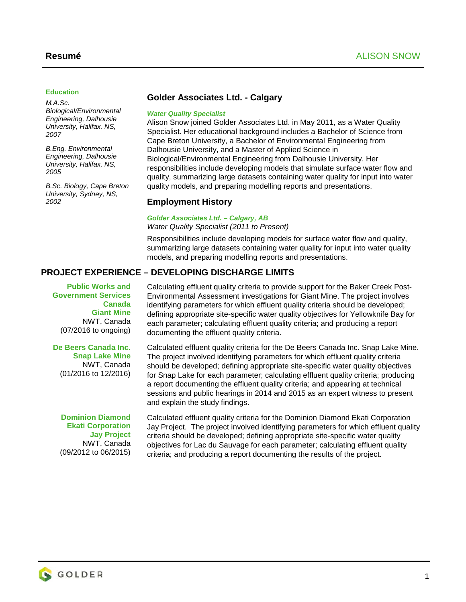#### **Education**

*M.A.Sc. Biological/Environmental Engineering, Dalhousie University, Halifax, NS, 2007*

*B.Eng. Environmental Engineering, Dalhousie University, Halifax, NS, 2005*

*B.Sc. Biology, Cape Breton University, Sydney, NS, 2002*

# **Golder Associates Ltd. - Calgary**

#### *Water Quality Specialist*

Alison Snow joined Golder Associates Ltd. in May 2011, as a Water Quality Specialist. Her educational background includes a Bachelor of Science from Cape Breton University, a Bachelor of Environmental Engineering from Dalhousie University, and a Master of Applied Science in Biological/Environmental Engineering from Dalhousie University. Her responsibilities include developing models that simulate surface water flow and quality, summarizing large datasets containing water quality for input into water quality models, and preparing modelling reports and presentations.

# **Employment History**

# *Golder Associates Ltd. – Calgary, AB*

*Water Quality Specialist (2011 to Present)*

Responsibilities include developing models for surface water flow and quality, summarizing large datasets containing water quality for input into water quality models, and preparing modelling reports and presentations.

# **PROJECT EXPERIENCE – DEVELOPING DISCHARGE LIMITS**

**Public Works and Government Services Canada Giant Mine** NWT, Canada (07/2016 to ongoing)

# **De Beers Canada Inc.**

**Snap Lake Mine** NWT, Canada (01/2016 to 12/2016) Calculating effluent quality criteria to provide support for the Baker Creek Post-Environmental Assessment investigations for Giant Mine. The project involves identifying parameters for which effluent quality criteria should be developed; defining appropriate site-specific water quality objectives for Yellowknife Bay for each parameter; calculating effluent quality criteria; and producing a report documenting the effluent quality criteria.

Calculated effluent quality criteria for the De Beers Canada Inc. Snap Lake Mine. The project involved identifying parameters for which effluent quality criteria should be developed; defining appropriate site-specific water quality objectives for Snap Lake for each parameter; calculating effluent quality criteria; producing a report documenting the effluent quality criteria; and appearing at technical sessions and public hearings in 2014 and 2015 as an expert witness to present and explain the study findings.

**Dominion Diamond Ekati Corporation Jay Project** NWT, Canada (09/2012 to 06/2015) Calculated effluent quality criteria for the Dominion Diamond Ekati Corporation Jay Project. The project involved identifying parameters for which effluent quality criteria should be developed; defining appropriate site-specific water quality objectives for Lac du Sauvage for each parameter; calculating effluent quality criteria; and producing a report documenting the results of the project.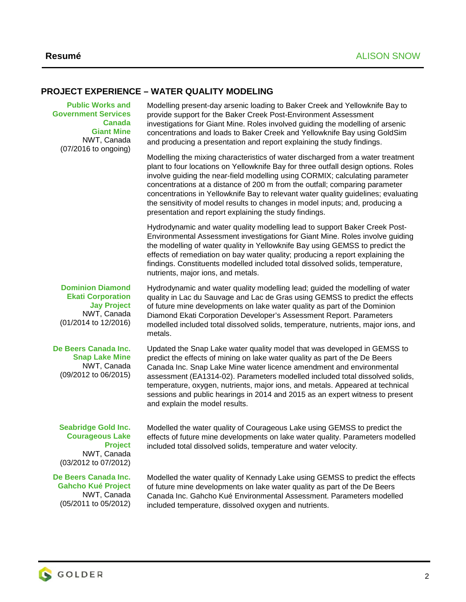# **PROJECT EXPERIENCE – WATER QUALITY MODELING**

**Public Works and Government Services Canada Giant Mine** NWT, Canada (07/2016 to ongoing)

Modelling present-day arsenic loading to Baker Creek and Yellowknife Bay to provide support for the Baker Creek Post-Environment Assessment investigations for Giant Mine. Roles involved guiding the modelling of arsenic concentrations and loads to Baker Creek and Yellowknife Bay using GoldSim and producing a presentation and report explaining the study findings.

Modelling the mixing characteristics of water discharged from a water treatment plant to four locations on Yellowknife Bay for three outfall design options. Roles involve guiding the near-field modelling using CORMIX; calculating parameter concentrations at a distance of 200 m from the outfall; comparing parameter concentrations in Yellowknife Bay to relevant water quality guidelines; evaluating the sensitivity of model results to changes in model inputs; and, producing a presentation and report explaining the study findings.

Hydrodynamic and water quality modelling lead to support Baker Creek Post-Environmental Assessment investigations for Giant Mine. Roles involve guiding the modelling of water quality in Yellowknife Bay using GEMSS to predict the effects of remediation on bay water quality; producing a report explaining the findings. Constituents modelled included total dissolved solids, temperature, nutrients, major ions, and metals.

**Dominion Diamond Ekati Corporation Jay Project** NWT, Canada (01/2014 to 12/2016)

#### **De Beers Canada Inc. Snap Lake Mine** NWT, Canada

(09/2012 to 06/2015)

Hydrodynamic and water quality modelling lead; guided the modelling of water quality in Lac du Sauvage and Lac de Gras using GEMSS to predict the effects of future mine developments on lake water quality as part of the Dominion Diamond Ekati Corporation Developer's Assessment Report. Parameters modelled included total dissolved solids, temperature, nutrients, major ions, and metals.

Updated the Snap Lake water quality model that was developed in GEMSS to predict the effects of mining on lake water quality as part of the De Beers Canada Inc. Snap Lake Mine water licence amendment and environmental assessment (EA1314-02). Parameters modelled included total dissolved solids, temperature, oxygen, nutrients, major ions, and metals. Appeared at technical sessions and public hearings in 2014 and 2015 as an expert witness to present and explain the model results.

**Seabridge Gold Inc. Courageous Lake Project** NWT, Canada (03/2012 to 07/2012)

**De Beers Canada Inc. Gahcho Kué Project** NWT, Canada (05/2011 to 05/2012)

Modelled the water quality of Courageous Lake using GEMSS to predict the effects of future mine developments on lake water quality. Parameters modelled included total dissolved solids, temperature and water velocity.

Modelled the water quality of Kennady Lake using GEMSS to predict the effects of future mine developments on lake water quality as part of the De Beers Canada Inc. Gahcho Kué Environmental Assessment. Parameters modelled included temperature, dissolved oxygen and nutrients.

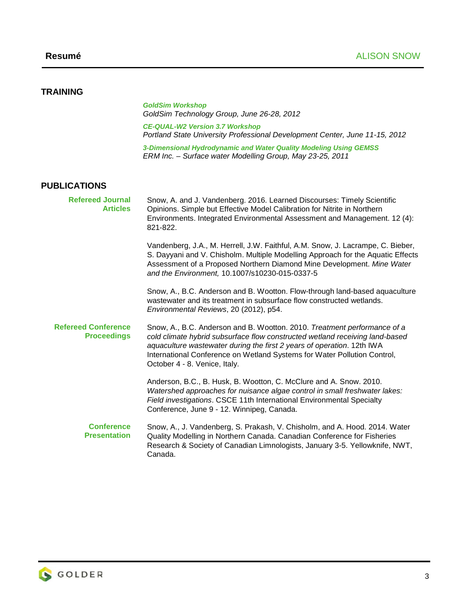### **TRAINING**

*GoldSim Workshop GoldSim Technology Group, June 26-28, 2012*

*CE-QUAL-W2 Version 3.7 Workshop Portland State University Professional Development Center, June 11-15, 2012*

*3-Dimensional Hydrodynamic and Water Quality Modeling Using GEMSS ERM Inc. – Surface water Modelling Group, May 23-25, 2011*

# **PUBLICATIONS**

| <b>Refereed Journal</b><br><b>Articles</b>       | Snow, A. and J. Vandenberg. 2016. Learned Discourses: Timely Scientific<br>Opinions. Simple but Effective Model Calibration for Nitrite in Northern<br>Environments. Integrated Environmental Assessment and Management. 12 (4):<br>821-822.                                                                                                    |
|--------------------------------------------------|-------------------------------------------------------------------------------------------------------------------------------------------------------------------------------------------------------------------------------------------------------------------------------------------------------------------------------------------------|
|                                                  | Vandenberg, J.A., M. Herrell, J.W. Faithful, A.M. Snow, J. Lacrampe, C. Bieber,<br>S. Dayyani and V. Chisholm. Multiple Modelling Approach for the Aquatic Effects<br>Assessment of a Proposed Northern Diamond Mine Development. Mine Water<br>and the Environment, 10.1007/s10230-015-0337-5                                                  |
|                                                  | Snow, A., B.C. Anderson and B. Wootton. Flow-through land-based aquaculture<br>wastewater and its treatment in subsurface flow constructed wetlands.<br>Environmental Reviews, 20 (2012), p54.                                                                                                                                                  |
| <b>Refereed Conference</b><br><b>Proceedings</b> | Snow, A., B.C. Anderson and B. Wootton. 2010. Treatment performance of a<br>cold climate hybrid subsurface flow constructed wetland receiving land-based<br>aquaculture wastewater during the first 2 years of operation. 12th IWA<br>International Conference on Wetland Systems for Water Pollution Control,<br>October 4 - 8. Venice, Italy. |
|                                                  | Anderson, B.C., B. Husk, B. Wootton, C. McClure and A. Snow. 2010.<br>Watershed approaches for nuisance algae control in small freshwater lakes:<br>Field investigations. CSCE 11th International Environmental Specialty<br>Conference, June 9 - 12. Winnipeg, Canada.                                                                         |
| <b>Conference</b><br><b>Presentation</b>         | Snow, A., J. Vandenberg, S. Prakash, V. Chisholm, and A. Hood. 2014. Water<br>Quality Modelling in Northern Canada. Canadian Conference for Fisheries<br>Research & Society of Canadian Limnologists, January 3-5. Yellowknife, NWT,<br>Canada.                                                                                                 |

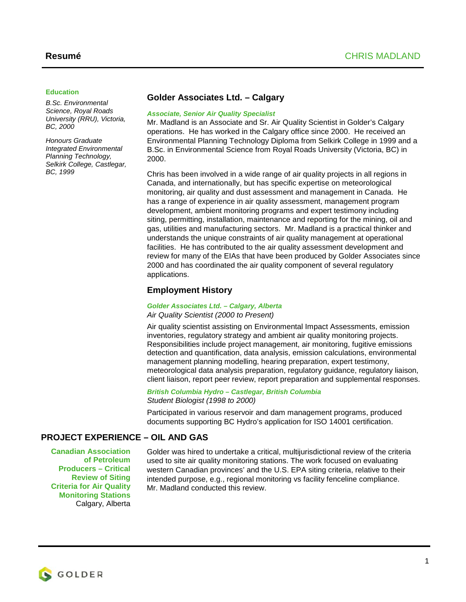#### **Education**

*B.Sc. Environmental Science, Royal Roads University (RRU), Victoria, BC, 2000*

*Honours Graduate Integrated Environmental Planning Technology, Selkirk College, Castlegar, BC, 1999*

### **Golder Associates Ltd. – Calgary**

#### *Associate, Senior Air Quality Specialist*

Mr. Madland is an Associate and Sr. Air Quality Scientist in Golder's Calgary operations. He has worked in the Calgary office since 2000. He received an Environmental Planning Technology Diploma from Selkirk College in 1999 and a B.Sc. in Environmental Science from Royal Roads University (Victoria, BC) in 2000.

Chris has been involved in a wide range of air quality projects in all regions in Canada, and internationally, but has specific expertise on meteorological monitoring, air quality and dust assessment and management in Canada. He has a range of experience in air quality assessment, management program development, ambient monitoring programs and expert testimony including siting, permitting, installation, maintenance and reporting for the mining, oil and gas, utilities and manufacturing sectors. Mr. Madland is a practical thinker and understands the unique constraints of air quality management at operational facilities. He has contributed to the air quality assessment development and review for many of the EIAs that have been produced by Golder Associates since 2000 and has coordinated the air quality component of several regulatory applications.

# **Employment History**

#### *Golder Associates Ltd. – Calgary, Alberta*

*Air Quality Scientist (2000 to Present)*

Air quality scientist assisting on Environmental Impact Assessments, emission inventories, regulatory strategy and ambient air quality monitoring projects. Responsibilities include project management, air monitoring, fugitive emissions detection and quantification, data analysis, emission calculations, environmental management planning modelling, hearing preparation, expert testimony, meteorological data analysis preparation, regulatory guidance, regulatory liaison, client liaison, report peer review, report preparation and supplemental responses.

*British Columbia Hydro – Castlegar, British Columbia Student Biologist (1998 to 2000)*

Participated in various reservoir and dam management programs, produced documents supporting BC Hydro's application for ISO 14001 certification.

# **PROJECT EXPERIENCE – OIL AND GAS**

**Canadian Association of Petroleum Producers – Critical Review of Siting Criteria for Air Quality Monitoring Stations** Calgary, Alberta

Golder was hired to undertake a critical, multijurisdictional review of the criteria used to site air quality monitoring stations. The work focused on evaluating western Canadian provinces' and the U.S. EPA siting criteria, relative to their intended purpose, e.g., regional monitoring vs facility fenceline compliance. Mr. Madland conducted this review.

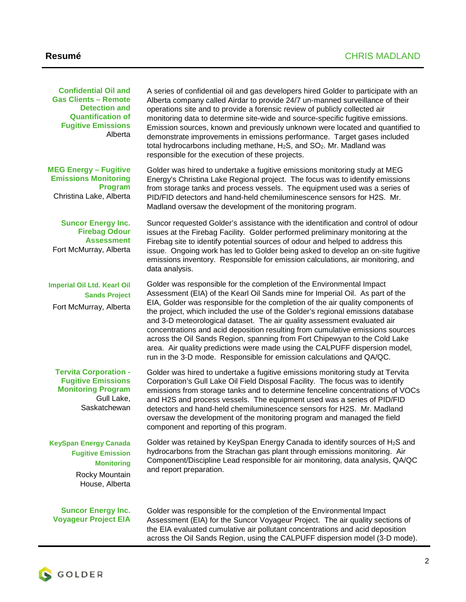| <b>Confidential Oil and</b><br><b>Gas Clients - Remote</b><br><b>Detection and</b><br><b>Quantification of</b><br><b>Fugitive Emissions</b><br>Alberta | A series of confidential oil and gas developers hired Golder to participate with an<br>Alberta company called Airdar to provide 24/7 un-manned surveillance of their<br>operations site and to provide a forensic review of publicly collected air<br>monitoring data to determine site-wide and source-specific fugitive emissions.<br>Emission sources, known and previously unknown were located and quantified to<br>demonstrate improvements in emissions performance. Target gases included<br>total hydrocarbons including methane, H <sub>2</sub> S, and SO <sub>2</sub> . Mr. Madland was<br>responsible for the execution of these projects.                                                                           |
|--------------------------------------------------------------------------------------------------------------------------------------------------------|----------------------------------------------------------------------------------------------------------------------------------------------------------------------------------------------------------------------------------------------------------------------------------------------------------------------------------------------------------------------------------------------------------------------------------------------------------------------------------------------------------------------------------------------------------------------------------------------------------------------------------------------------------------------------------------------------------------------------------|
| <b>MEG Energy - Fugitive</b><br><b>Emissions Monitoring</b><br>Program<br>Christina Lake, Alberta                                                      | Golder was hired to undertake a fugitive emissions monitoring study at MEG<br>Energy's Christina Lake Regional project. The focus was to identify emissions<br>from storage tanks and process vessels. The equipment used was a series of<br>PID/FID detectors and hand-held chemiluminescence sensors for H2S. Mr.<br>Madland oversaw the development of the monitoring program.                                                                                                                                                                                                                                                                                                                                                |
| <b>Suncor Energy Inc.</b><br><b>Firebag Odour</b><br><b>Assessment</b><br>Fort McMurray, Alberta                                                       | Suncor requested Golder's assistance with the identification and control of odour<br>issues at the Firebag Facility. Golder performed preliminary monitoring at the<br>Firebag site to identify potential sources of odour and helped to address this<br>issue. Ongoing work has led to Golder being asked to develop an on-site fugitive<br>emissions inventory. Responsible for emission calculations, air monitoring, and<br>data analysis.                                                                                                                                                                                                                                                                                   |
| <b>Imperial Oil Ltd. Kearl Oil</b><br><b>Sands Project</b><br>Fort McMurray, Alberta                                                                   | Golder was responsible for the completion of the Environmental Impact<br>Assessment (EIA) of the Kearl Oil Sands mine for Imperial Oil. As part of the<br>EIA, Golder was responsible for the completion of the air quality components of<br>the project, which included the use of the Golder's regional emissions database<br>and 3-D meteorological dataset. The air quality assessment evaluated air<br>concentrations and acid deposition resulting from cumulative emissions sources<br>across the Oil Sands Region, spanning from Fort Chipewyan to the Cold Lake<br>area. Air quality predictions were made using the CALPUFF dispersion model,<br>run in the 3-D mode. Responsible for emission calculations and QA/QC. |
| <b>Tervita Corporation -</b><br><b>Fugitive Emissions</b><br><b>Monitoring Program</b><br>Gull Lake,<br>Saskatchewan                                   | Golder was hired to undertake a fugitive emissions monitoring study at Tervita<br>Corporation's Gull Lake Oil Field Disposal Facility. The focus was to identify<br>emissions from storage tanks and to determine fenceline concentrations of VOCs<br>and H2S and process vessels. The equipment used was a series of PID/FID<br>detectors and hand-held chemiluminescence sensors for H2S. Mr. Madland<br>oversaw the development of the monitoring program and managed the field<br>component and reporting of this program.                                                                                                                                                                                                   |
| <b>KeySpan Energy Canada</b><br><b>Fugitive Emission</b><br><b>Monitoring</b><br>Rocky Mountain<br>House, Alberta                                      | Golder was retained by KeySpan Energy Canada to identify sources of H <sub>2</sub> S and<br>hydrocarbons from the Strachan gas plant through emissions monitoring. Air<br>Component/Discipline Lead responsible for air monitoring, data analysis, QA/QC<br>and report preparation.                                                                                                                                                                                                                                                                                                                                                                                                                                              |
| <b>Suncor Energy Inc.</b><br><b>Voyageur Project EIA</b>                                                                                               | Golder was responsible for the completion of the Environmental Impact<br>Assessment (EIA) for the Suncor Voyageur Project. The air quality sections of<br>the EIA evaluated cumulative air pollutant concentrations and acid deposition<br>across the Oil Sands Region, using the CALPUFF dispersion model (3-D mode).                                                                                                                                                                                                                                                                                                                                                                                                           |

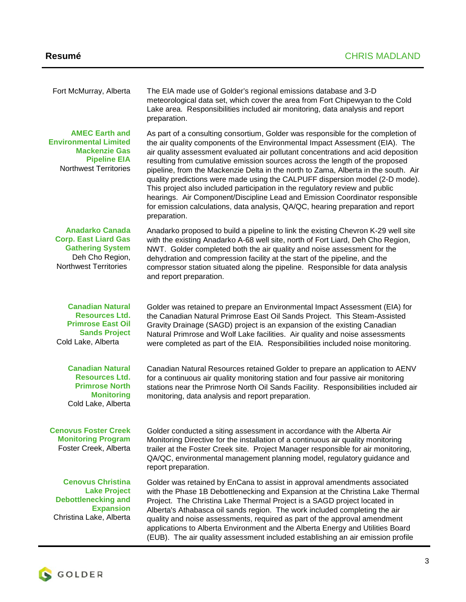| Fort McMurray, Alberta                                                                                                               | The EIA made use of Golder's regional emissions database and 3-D<br>meteorological data set, which cover the area from Fort Chipewyan to the Cold<br>Lake area. Responsibilities included air monitoring, data analysis and report<br>preparation.                                                                                                                                                                                                                                                                                                                                                                                                                                                                                                                             |
|--------------------------------------------------------------------------------------------------------------------------------------|--------------------------------------------------------------------------------------------------------------------------------------------------------------------------------------------------------------------------------------------------------------------------------------------------------------------------------------------------------------------------------------------------------------------------------------------------------------------------------------------------------------------------------------------------------------------------------------------------------------------------------------------------------------------------------------------------------------------------------------------------------------------------------|
| <b>AMEC Earth and</b><br><b>Environmental Limited</b><br><b>Mackenzie Gas</b><br><b>Pipeline EIA</b><br><b>Northwest Territories</b> | As part of a consulting consortium, Golder was responsible for the completion of<br>the air quality components of the Environmental Impact Assessment (EIA). The<br>air quality assessment evaluated air pollutant concentrations and acid deposition<br>resulting from cumulative emission sources across the length of the proposed<br>pipeline, from the Mackenzie Delta in the north to Zama, Alberta in the south. Air<br>quality predictions were made using the CALPUFF dispersion model (2-D mode).<br>This project also included participation in the regulatory review and public<br>hearings. Air Component/Discipline Lead and Emission Coordinator responsible<br>for emission calculations, data analysis, QA/QC, hearing preparation and report<br>preparation. |
| <b>Anadarko Canada</b><br><b>Corp. East Liard Gas</b><br><b>Gathering System</b><br>Deh Cho Region,<br><b>Northwest Territories</b>  | Anadarko proposed to build a pipeline to link the existing Chevron K-29 well site<br>with the existing Anadarko A-68 well site, north of Fort Liard, Deh Cho Region,<br>NWT. Golder completed both the air quality and noise assessment for the<br>dehydration and compression facility at the start of the pipeline, and the<br>compressor station situated along the pipeline. Responsible for data analysis<br>and report preparation.                                                                                                                                                                                                                                                                                                                                      |
| <b>Canadian Natural</b><br><b>Resources Ltd.</b><br><b>Primrose East Oil</b><br><b>Sands Project</b><br>Cold Lake, Alberta           | Golder was retained to prepare an Environmental Impact Assessment (EIA) for<br>the Canadian Natural Primrose East Oil Sands Project. This Steam-Assisted<br>Gravity Drainage (SAGD) project is an expansion of the existing Canadian<br>Natural Primrose and Wolf Lake facilities. Air quality and noise assessments<br>were completed as part of the EIA. Responsibilities included noise monitoring.                                                                                                                                                                                                                                                                                                                                                                         |
| <b>Canadian Natural</b><br><b>Resources Ltd.</b><br><b>Primrose North</b><br><b>Monitoring</b><br>Cold Lake, Alberta                 | Canadian Natural Resources retained Golder to prepare an application to AENV<br>for a continuous air quality monitoring station and four passive air monitoring<br>stations near the Primrose North Oil Sands Facility. Responsibilities included air<br>monitoring, data analysis and report preparation.                                                                                                                                                                                                                                                                                                                                                                                                                                                                     |
| <b>Cenovus Foster Creek</b><br><b>Monitoring Program</b><br>Foster Creek, Alberta                                                    | Golder conducted a siting assessment in accordance with the Alberta Air<br>Monitoring Directive for the installation of a continuous air quality monitoring<br>trailer at the Foster Creek site. Project Manager responsible for air monitoring,<br>QA/QC, environmental management planning model, regulatory guidance and<br>report preparation.                                                                                                                                                                                                                                                                                                                                                                                                                             |
| <b>Cenovus Christina</b><br><b>Lake Project</b><br><b>Debottlenecking and</b><br><b>Expansion</b><br>Christina Lake, Alberta         | Golder was retained by EnCana to assist in approval amendments associated<br>with the Phase 1B Debottlenecking and Expansion at the Christina Lake Thermal<br>Project. The Christina Lake Thermal Project is a SAGD project located in<br>Alberta's Athabasca oil sands region. The work included completing the air<br>quality and noise assessments, required as part of the approval amendment<br>applications to Alberta Environment and the Alberta Energy and Utilities Board<br>(EUB). The air quality assessment included establishing an air emission profile                                                                                                                                                                                                         |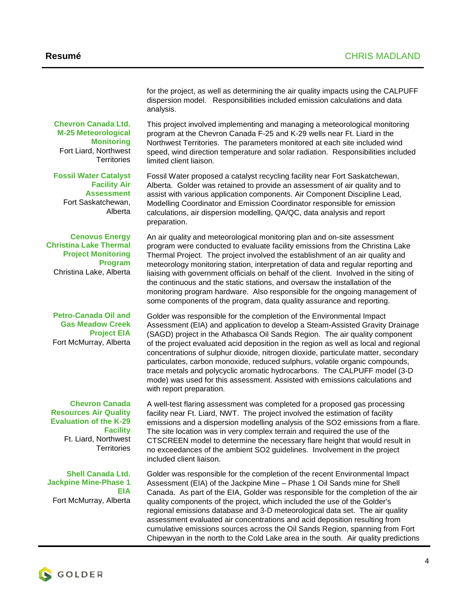for the project, as well as determining the air quality impacts using the CALPUFF dispersion model. Responsibilities included emission calculations and data analysis.

**Chevron Canada Ltd. M-25 Meteorological Monitoring** Fort Liard, Northwest **Territories** 

**Fossil Water Catalyst Facility Air Assessment** Fort Saskatchewan, Alberta

**Cenovus Energy Christina Lake Thermal Project Monitoring Program** Christina Lake, Alberta

**Petro-Canada Oil and Gas Meadow Creek Project EIA** Fort McMurray, Alberta

**Chevron Canada Resources Air Quality Evaluation of the K-29 Facility** Ft. Liard, Northwest **Territories** 

**Shell Canada Ltd. Jackpine Mine-Phase 1 EIA** Fort McMurray, Alberta This project involved implementing and managing a meteorological monitoring program at the Chevron Canada F-25 and K-29 wells near Ft. Liard in the Northwest Territories. The parameters monitored at each site included wind speed, wind direction temperature and solar radiation. Responsibilities included limited client liaison.

Fossil Water proposed a catalyst recycling facility near Fort Saskatchewan, Alberta. Golder was retained to provide an assessment of air quality and to assist with various application components. Air Component Discipline Lead, Modelling Coordinator and Emission Coordinator responsible for emission calculations, air dispersion modelling, QA/QC, data analysis and report preparation.

An air quality and meteorological monitoring plan and on-site assessment program were conducted to evaluate facility emissions from the Christina Lake Thermal Project. The project involved the establishment of an air quality and meteorology monitoring station, interpretation of data and regular reporting and liaising with government officials on behalf of the client. Involved in the siting of the continuous and the static stations, and oversaw the installation of the monitoring program hardware. Also responsible for the ongoing management of some components of the program, data quality assurance and reporting.

Golder was responsible for the completion of the Environmental Impact Assessment (EIA) and application to develop a Steam-Assisted Gravity Drainage (SAGD) project in the Athabasca Oil Sands Region. The air quality component of the project evaluated acid deposition in the region as well as local and regional concentrations of sulphur dioxide, nitrogen dioxide, particulate matter, secondary particulates, carbon monoxide, reduced sulphurs, volatile organic compounds, trace metals and polycyclic aromatic hydrocarbons. The CALPUFF model (3-D mode) was used for this assessment. Assisted with emissions calculations and with report preparation.

A well-test flaring assessment was completed for a proposed gas processing facility near Ft. Liard, NWT. The project involved the estimation of facility emissions and a dispersion modelling analysis of the SO2 emissions from a flare. The site location was in very complex terrain and required the use of the CTSCREEN model to determine the necessary flare height that would result in no exceedances of the ambient SO2 guidelines. Involvement in the project included client liaison.

Golder was responsible for the completion of the recent Environmental Impact Assessment (EIA) of the Jackpine Mine – Phase 1 Oil Sands mine for Shell Canada. As part of the EIA, Golder was responsible for the completion of the air quality components of the project, which included the use of the Golder's regional emissions database and 3-D meteorological data set. The air quality assessment evaluated air concentrations and acid deposition resulting from cumulative emissions sources across the Oil Sands Region, spanning from Fort Chipewyan in the north to the Cold Lake area in the south. Air quality predictions

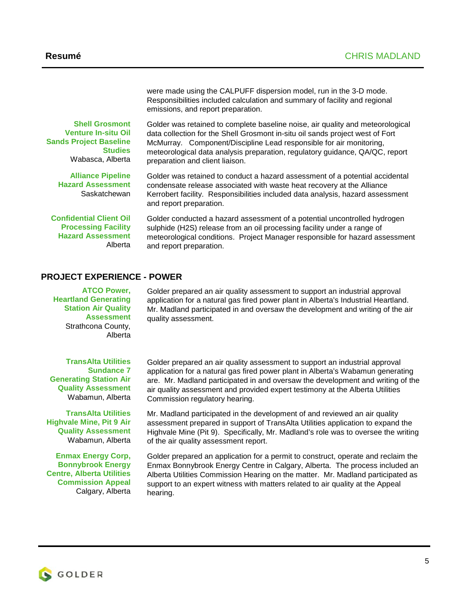|                                                                      | were made using the CALPUFF dispersion model, run in the 3-D mode.<br>Responsibilities included calculation and summary of facility and regional<br>emissions, and report preparation.                                                                              |
|----------------------------------------------------------------------|---------------------------------------------------------------------------------------------------------------------------------------------------------------------------------------------------------------------------------------------------------------------|
| <b>Shell Grosmont</b>                                                | Golder was retained to complete baseline noise, air quality and meteorological                                                                                                                                                                                      |
| <b>Venture In-situ Oil</b>                                           | data collection for the Shell Grosmont in-situ oil sands project west of Fort                                                                                                                                                                                       |
| <b>Sands Project Baseline</b>                                        | McMurray. Component/Discipline Lead responsible for air monitoring,                                                                                                                                                                                                 |
| <b>Studies</b>                                                       | meteorological data analysis preparation, regulatory guidance, QA/QC, report                                                                                                                                                                                        |
| Wabasca, Alberta                                                     | preparation and client liaison.                                                                                                                                                                                                                                     |
| <b>Alliance Pipeline</b><br><b>Hazard Assessment</b><br>Saskatchewan | Golder was retained to conduct a hazard assessment of a potential accidental<br>condensate release associated with waste heat recovery at the Alliance<br>Kerrobert facility. Responsibilities included data analysis, hazard assessment<br>and report preparation. |
| <b>Confidential Client Oil</b>                                       | Golder conducted a hazard assessment of a potential uncontrolled hydrogen                                                                                                                                                                                           |
| <b>Processing Facility</b>                                           | sulphide (H2S) release from an oil processing facility under a range of                                                                                                                                                                                             |
| <b>Hazard Assessment</b>                                             | meteorological conditions. Project Manager responsible for hazard assessment                                                                                                                                                                                        |
| Alberta                                                              | and report preparation.                                                                                                                                                                                                                                             |

# **PROJECT EXPERIENCE - POWER**

**ATCO Power, Heartland Generating Station Air Quality Assessment**  Strathcona County, Alberta

**TransAlta Utilities Sundance 7 Generating Station Air Quality Assessment** Wabamun, Alberta

**TransAlta Utilities Highvale Mine, Pit 9 Air Quality Assessment** Wabamun, Alberta

**Enmax Energy Corp, Bonnybrook Energy Centre, Alberta Utilities Commission Appeal**  Calgary, Alberta

Golder prepared an air quality assessment to support an industrial approval application for a natural gas fired power plant in Alberta's Industrial Heartland. Mr. Madland participated in and oversaw the development and writing of the air quality assessment.

Golder prepared an air quality assessment to support an industrial approval application for a natural gas fired power plant in Alberta's Wabamun generating are. Mr. Madland participated in and oversaw the development and writing of the air quality assessment and provided expert testimony at the Alberta Utilities Commission regulatory hearing.

Mr. Madland participated in the development of and reviewed an air quality assessment prepared in support of TransAlta Utilities application to expand the Highvale Mine (Pit 9). Specifically, Mr. Madland's role was to oversee the writing of the air quality assessment report.

Golder prepared an application for a permit to construct, operate and reclaim the Enmax Bonnybrook Energy Centre in Calgary, Alberta. The process included an Alberta Utilities Commission Hearing on the matter. Mr. Madland participated as support to an expert witness with matters related to air quality at the Appeal hearing.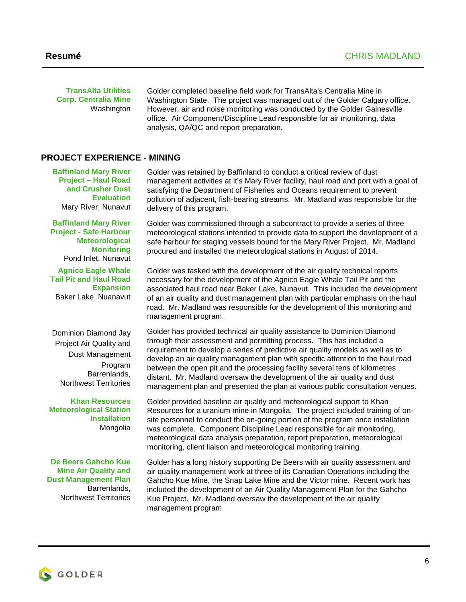**TransAlta Utilities Corp. Centralia Mine** Washington

Golder completed baseline field work for TransAlta's Centralia Mine in Washington State. The project was managed out of the Golder Calgary office. However, air and noise monitoring was conducted by the Golder Gainesville office. Air Component/Discipline Lead responsible for air monitoring, data analysis, QA/QC and report preparation.

#### **PROJECT EXPERIENCE - MINING**

**Baffinland Mary River Project – Haul Road and Crusher Dust Evaluation** Mary River, Nunavut

**Baffinland Mary River Project - Safe Harbour Meteorological Monitoring** Pond Inlet, Nunavut

**Agnico Eagle Whale Tail Pit and Haul Road Expansion** Baker Lake, Nuanavut

Dominion Diamond Jay Project Air Quality and Dust Management Program Barrenlands, Northwest Territories

**Khan Resources Meteorological Station Installation Mongolia** 

**De Beers Gahcho Kue Mine Air Quality and Dust Management Plan** Barrenlands, Northwest Territories

Golder was retained by Baffinland to conduct a critical review of dust management activities at it's Mary River facility, haul road and port with a goal of satisfying the Department of Fisheries and Oceans requirement to prevent pollution of adjacent, fish-bearing streams. Mr. Madland was responsible for the delivery of this program.

Golder was commissioned through a subcontract to provide a series of three meteorological stations intended to provide data to support the development of a safe harbour for staging vessels bound for the Mary River Project. Mr. Madland procured and installed the meteorological stations in August of 2014.

Golder was tasked with the development of the air quality technical reports necessary for the development of the Agnico Eagle Whale Tail Pit and the associated haul road near Baker Lake, Nunavut. This included the development of an air quality and dust management plan with particular emphasis on the haul road. Mr. Madland was responsible for the development of this monitoring and management program.

Golder has provided technical air quality assistance to Dominion Diamond through their assessment and permitting process. This has included a requirement to develop a series of predictive air quality models as well as to develop an air quality management plan with specific attention to the haul road between the open pit and the processing facility several tens of kilometres distant. Mr. Madland oversaw the development of the air quality and dust management plan and presented the plan at various public consultation venues.

Golder provided baseline air quality and meteorological support to Khan Resources for a uranium mine in Mongolia. The project included training of onsite personnel to conduct the on-going portion of the program once installation was complete. Component Discipline Lead responsible for air monitoring, meteorological data analysis preparation, report preparation, meteorological monitoring, client liaison and meteorological monitoring training.

Golder has a long history supporting De Beers with air quality assessment and air quality management work at three of its Canadian Operations including the Gahcho Kue Mine, the Snap Lake Mine and the Victor mine. Recent work has included the development of an Air Quality Management Plan for the Gahcho Kue Project. Mr. Madland oversaw the development of the air quality management program.

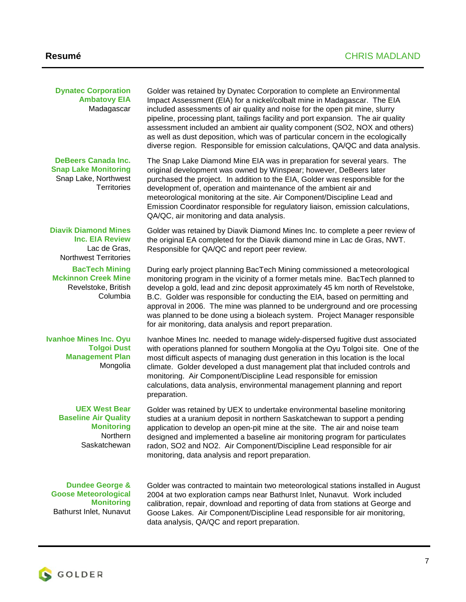| <b>Dynatec Corporation</b><br><b>Ambatovy EIA</b><br>Madagascar                                           | Golder was retained by Dynatec Corporation to complete an Environmental<br>Impact Assessment (EIA) for a nickel/colbalt mine in Madagascar. The EIA<br>included assessments of air quality and noise for the open pit mine, slurry<br>pipeline, processing plant, tailings facility and port expansion. The air quality<br>assessment included an ambient air quality component (SO2, NOX and others)<br>as well as dust deposition, which was of particular concern in the ecologically<br>diverse region. Responsible for emission calculations, QA/QC and data analysis. |
|-----------------------------------------------------------------------------------------------------------|-----------------------------------------------------------------------------------------------------------------------------------------------------------------------------------------------------------------------------------------------------------------------------------------------------------------------------------------------------------------------------------------------------------------------------------------------------------------------------------------------------------------------------------------------------------------------------|
| <b>DeBeers Canada Inc.</b><br><b>Snap Lake Monitoring</b><br>Snap Lake, Northwest<br><b>Territories</b>   | The Snap Lake Diamond Mine EIA was in preparation for several years. The<br>original development was owned by Winspear; however, DeBeers later<br>purchased the project. In addition to the EIA, Golder was responsible for the<br>development of, operation and maintenance of the ambient air and<br>meteorological monitoring at the site. Air Component/Discipline Lead and<br>Emission Coordinator responsible for regulatory liaison, emission calculations,<br>QA/QC, air monitoring and data analysis.                                                              |
| <b>Diavik Diamond Mines</b><br><b>Inc. EIA Review</b><br>Lac de Gras,<br><b>Northwest Territories</b>     | Golder was retained by Diavik Diamond Mines Inc. to complete a peer review of<br>the original EA completed for the Diavik diamond mine in Lac de Gras, NWT.<br>Responsible for QA/QC and report peer review.                                                                                                                                                                                                                                                                                                                                                                |
| <b>BacTech Mining</b><br><b>Mckinnon Creek Mine</b><br>Revelstoke, British<br>Columbia                    | During early project planning BacTech Mining commissioned a meteorological<br>monitoring program in the vicinity of a former metals mine. BacTech planned to<br>develop a gold, lead and zinc deposit approximately 45 km north of Revelstoke,<br>B.C. Golder was responsible for conducting the EIA, based on permitting and<br>approval in 2006. The mine was planned to be underground and ore processing<br>was planned to be done using a bioleach system. Project Manager responsible<br>for air monitoring, data analysis and report preparation.                    |
| <b>Ivanhoe Mines Inc. Oyu</b><br><b>Tolgoi Dust</b><br><b>Management Plan</b><br>Mongolia                 | Ivanhoe Mines Inc. needed to manage widely-dispersed fugitive dust associated<br>with operations planned for southern Mongolia at the Oyu Tolgoi site. One of the<br>most difficult aspects of managing dust generation in this location is the local<br>climate. Golder developed a dust management plat that included controls and<br>monitoring. Air Component/Discipline Lead responsible for emission<br>calculations, data analysis, environmental management planning and report<br>preparation.                                                                     |
| <b>UEX West Bear</b><br><b>Baseline Air Quality</b><br><b>Monitoring</b><br>Northern<br>Saskatchewan      | Golder was retained by UEX to undertake environmental baseline monitoring<br>studies at a uranium deposit in northern Saskatchewan to support a pending<br>application to develop an open-pit mine at the site. The air and noise team<br>designed and implemented a baseline air monitoring program for particulates<br>radon, SO2 and NO2. Air Component/Discipline Lead responsible for air<br>monitoring, data analysis and report preparation.                                                                                                                         |
| <b>Dundee George &amp;</b><br><b>Goose Meteorological</b><br><b>Monitoring</b><br>Bathurst Inlet, Nunavut | Golder was contracted to maintain two meteorological stations installed in August<br>2004 at two exploration camps near Bathurst Inlet, Nunavut. Work included<br>calibration, repair, download and reporting of data from stations at George and<br>Goose Lakes. Air Component/Discipline Lead responsible for air monitoring,<br>data analysis, QA/QC and report preparation.                                                                                                                                                                                             |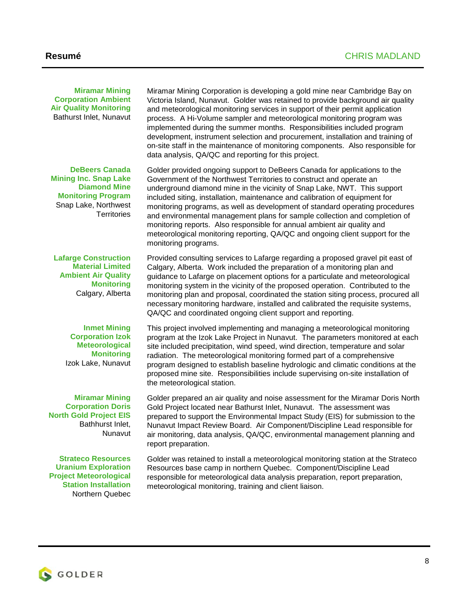**Miramar Mining Corporation Ambient Air Quality Monitoring** Bathurst Inlet, Nunavut

**DeBeers Canada Mining Inc. Snap Lake Diamond Mine Monitoring Program** Snap Lake, Northwest **Territories** 

**Lafarge Construction Material Limited Ambient Air Quality Monitoring** Calgary, Alberta

> **Inmet Mining Corporation Izok Meteorological Monitoring** Izok Lake, Nunavut

**Miramar Mining Corporation Doris North Gold Project EIS** Bathhurst Inlet, Nunavut

**Strateco Resources Uranium Exploration Project Meteorological Station Installation** Northern Quebec

Miramar Mining Corporation is developing a gold mine near Cambridge Bay on Victoria Island, Nunavut. Golder was retained to provide background air quality and meteorological monitoring services in support of their permit application process. A Hi-Volume sampler and meteorological monitoring program was implemented during the summer months. Responsibilities included program development, instrument selection and procurement, installation and training of on-site staff in the maintenance of monitoring components. Also responsible for data analysis, QA/QC and reporting for this project.

Golder provided ongoing support to DeBeers Canada for applications to the Government of the Northwest Territories to construct and operate an underground diamond mine in the vicinity of Snap Lake, NWT. This support included siting, installation, maintenance and calibration of equipment for monitoring programs, as well as development of standard operating procedures and environmental management plans for sample collection and completion of monitoring reports. Also responsible for annual ambient air quality and meteorological monitoring reporting, QA/QC and ongoing client support for the monitoring programs.

Provided consulting services to Lafarge regarding a proposed gravel pit east of Calgary, Alberta. Work included the preparation of a monitoring plan and guidance to Lafarge on placement options for a particulate and meteorological monitoring system in the vicinity of the proposed operation. Contributed to the monitoring plan and proposal, coordinated the station siting process, procured all necessary monitoring hardware, installed and calibrated the requisite systems, QA/QC and coordinated ongoing client support and reporting.

This project involved implementing and managing a meteorological monitoring program at the Izok Lake Project in Nunavut. The parameters monitored at each site included precipitation, wind speed, wind direction, temperature and solar radiation. The meteorological monitoring formed part of a comprehensive program designed to establish baseline hydrologic and climatic conditions at the proposed mine site. Responsibilities include supervising on-site installation of the meteorological station.

Golder prepared an air quality and noise assessment for the Miramar Doris North Gold Project located near Bathurst Inlet, Nunavut. The assessment was prepared to support the Environmental Impact Study (EIS) for submission to the Nunavut Impact Review Board. Air Component/Discipline Lead responsible for air monitoring, data analysis, QA/QC, environmental management planning and report preparation.

Golder was retained to install a meteorological monitoring station at the Strateco Resources base camp in northern Quebec. Component/Discipline Lead responsible for meteorological data analysis preparation, report preparation, meteorological monitoring, training and client liaison.

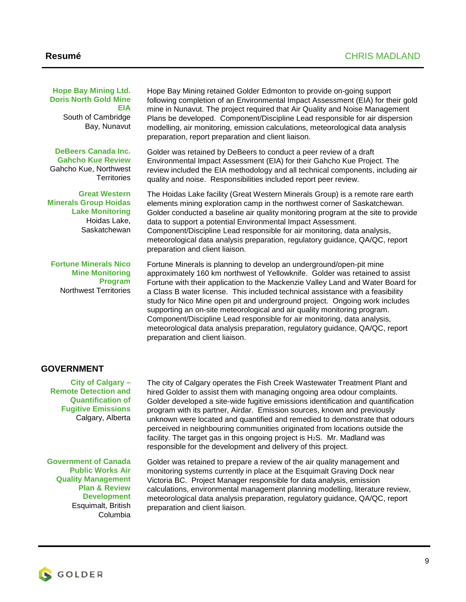#### **Hope Bay Mining Ltd. Doris North Gold Mine EIA**

South of Cambridge Bay, Nunavut

#### **DeBeers Canada Inc.**

**Gahcho Kue Review** Gahcho Kue, Northwest **Territories** 

**Great Western Minerals Group Hoidas Lake Monitoring** Hoidas Lake, **Saskatchewan** 

**Fortune Minerals Nico Mine Monitoring Program** Northwest Territories

Hope Bay Mining retained Golder Edmonton to provide on-going support following completion of an Environmental Impact Assessment (EIA) for their gold mine in Nunavut. The project required that Air Quality and Noise Management Plans be developed. Component/Discipline Lead responsible for air dispersion modelling, air monitoring, emission calculations, meteorological data analysis preparation, report preparation and client liaison.

Golder was retained by DeBeers to conduct a peer review of a draft Environmental Impact Assessment (EIA) for their Gahcho Kue Project. The review included the EIA methodology and all technical components, including air quality and noise. Responsibilities included report peer review.

The Hoidas Lake facility (Great Western Minerals Group) is a remote rare earth elements mining exploration camp in the northwest corner of Saskatchewan. Golder conducted a baseline air quality monitoring program at the site to provide data to support a potential Environmental Impact Assessment. Component/Discipline Lead responsible for air monitoring, data analysis, meteorological data analysis preparation, regulatory guidance, QA/QC, report preparation and client liaison.

Fortune Minerals is planning to develop an underground/open-pit mine approximately 160 km northwest of Yellowknife. Golder was retained to assist Fortune with their application to the Mackenzie Valley Land and Water Board for a Class B water license. This included technical assistance with a feasibility study for Nico Mine open pit and underground project. Ongoing work includes supporting an on-site meteorological and air quality monitoring program. Component/Discipline Lead responsible for air monitoring, data analysis, meteorological data analysis preparation, regulatory guidance, QA/QC, report preparation and client liaison.

# **GOVERNMENT**

**City of Calgary – Remote Detection and Quantification of Fugitive Emissions** Calgary, Alberta

**Government of Canada Public Works Air Quality Management Plan & Review Development** Esquimalt, British Columbia

The city of Calgary operates the Fish Creek Wastewater Treatment Plant and hired Golder to assist them with managing ongoing area odour complaints. Golder developed a site-wide fugitive emissions identification and quantification program with its partner, Airdar. Emission sources, known and previously unknown were located and quantified and remedied to demonstrate that odours perceived in neighbouring communities originated from locations outside the facility. The target gas in this ongoing project is  $H_2S$ . Mr. Madland was responsible for the development and delivery of this project.

Golder was retained to prepare a review of the air quality management and monitoring systems currently in place at the Esquimalt Graving Dock near Victoria BC. Project Manager responsible for data analysis, emission calculations, environmental management planning modelling, literature review, meteorological data analysis preparation, regulatory guidance, QA/QC, report preparation and client liaison.

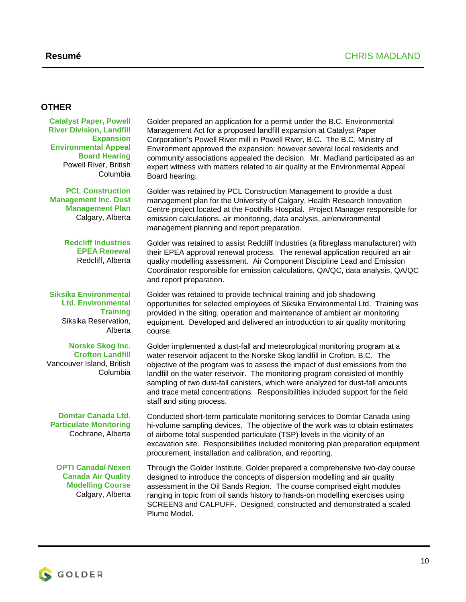# **OTHER**

**Catalyst Paper, Powell River Division, Landfill Expansion Environmental Appeal Board Hearing** Powell River, British Columbia

**PCL Construction Management Inc. Dust Management Plan** Calgary, Alberta

> **Redcliff Industries EPEA Renewal** Redcliff, Alberta

**Siksika Environmental Ltd. Environmental Training** Siksika Reservation, Alberta

#### **Norske Skog Inc. Crofton Landfill** Vancouver Island, British Columbia

**Domtar Canada Ltd. Particulate Monitoring** Cochrane, Alberta

**OPTI Canada/ Nexen Canada Air Quality Modelling Course** Calgary, Alberta

Golder prepared an application for a permit under the B.C. Environmental Management Act for a proposed landfill expansion at Catalyst Paper Corporation's Powell River mill in Powell River, B.C. The B.C. Ministry of Environment approved the expansion; however several local residents and community associations appealed the decision. Mr. Madland participated as an expert witness with matters related to air quality at the Environmental Appeal Board hearing.

Golder was retained by PCL Construction Management to provide a dust management plan for the University of Calgary, Health Research Innovation Centre project located at the Foothills Hospital. Project Manager responsible for emission calculations, air monitoring, data analysis, air/environmental management planning and report preparation.

Golder was retained to assist Redcliff Industries (a fibreglass manufacturer) with their EPEA approval renewal process. The renewal application required an air quality modelling assessment. Air Component Discipline Lead and Emission Coordinator responsible for emission calculations, QA/QC, data analysis, QA/QC and report preparation.

Golder was retained to provide technical training and job shadowing opportunities for selected employees of Siksika Environmental Ltd. Training was provided in the siting, operation and maintenance of ambient air monitoring equipment. Developed and delivered an introduction to air quality monitoring course.

Golder implemented a dust-fall and meteorological monitoring program at a water reservoir adjacent to the Norske Skog landfill in Crofton, B.C. The objective of the program was to assess the impact of dust emissions from the landfill on the water reservoir. The monitoring program consisted of monthly sampling of two dust-fall canisters, which were analyzed for dust-fall amounts and trace metal concentrations. Responsibilities included support for the field staff and siting process.

Conducted short-term particulate monitoring services to Domtar Canada using hi-volume sampling devices. The objective of the work was to obtain estimates of airborne total suspended particulate (TSP) levels in the vicinity of an excavation site. Responsibilities included monitoring plan preparation equipment procurement, installation and calibration, and reporting.

Through the Golder Institute, Golder prepared a comprehensive two-day course designed to introduce the concepts of dispersion modelling and air quality assessment in the Oil Sands Region. The course comprised eight modules ranging in topic from oil sands history to hands-on modelling exercises using SCREEN3 and CALPUFF. Designed, constructed and demonstrated a scaled Plume Model.

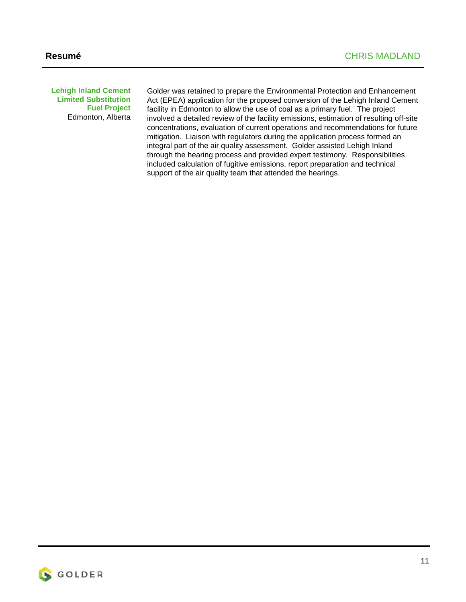**Lehigh Inland Cement Limited Substitution Fuel Project** Edmonton, Alberta

Golder was retained to prepare the Environmental Protection and Enhancement Act (EPEA) application for the proposed conversion of the Lehigh Inland Cement facility in Edmonton to allow the use of coal as a primary fuel. The project involved a detailed review of the facility emissions, estimation of resulting off-site concentrations, evaluation of current operations and recommendations for future mitigation. Liaison with regulators during the application process formed an integral part of the air quality assessment. Golder assisted Lehigh Inland through the hearing process and provided expert testimony. Responsibilities included calculation of fugitive emissions, report preparation and technical support of the air quality team that attended the hearings.

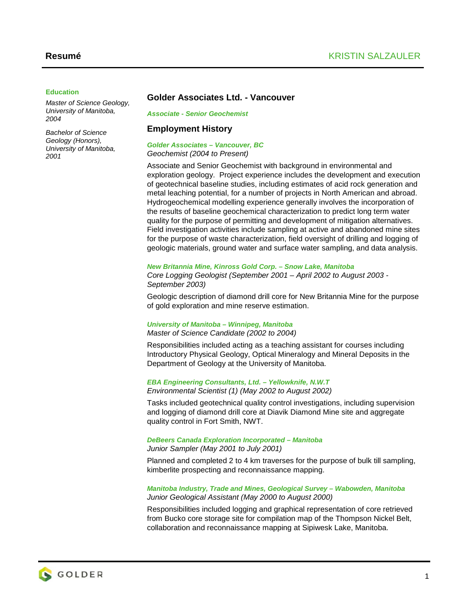#### **Education**

*Master of Science Geology, University of Manitoba, 2004*

*Bachelor of Science Geology (Honors), University of Manitoba, 2001*

# **Golder Associates Ltd. - Vancouver**

*Associate - Senior Geochemist*

### **Employment History**

#### *Golder Associates – Vancouver, BC Geochemist (2004 to Present)*

Associate and Senior Geochemist with background in environmental and exploration geology. Project experience includes the development and execution of geotechnical baseline studies, including estimates of acid rock generation and metal leaching potential, for a number of projects in North American and abroad. Hydrogeochemical modelling experience generally involves the incorporation of the results of baseline geochemical characterization to predict long term water quality for the purpose of permitting and development of mitigation alternatives. Field investigation activities include sampling at active and abandoned mine sites for the purpose of waste characterization, field oversight of drilling and logging of geologic materials, ground water and surface water sampling, and data analysis.

#### *New Britannia Mine, Kinross Gold Corp. – Snow Lake, Manitoba Core Logging Geologist (September 2001 – April 2002 to August 2003 -*

*September 2003)*

Geologic description of diamond drill core for New Britannia Mine for the purpose of gold exploration and mine reserve estimation.

#### *University of Manitoba – Winnipeg, Manitoba*

*Master of Science Candidate (2002 to 2004)*

Responsibilities included acting as a teaching assistant for courses including Introductory Physical Geology, Optical Mineralogy and Mineral Deposits in the Department of Geology at the University of Manitoba.

#### *EBA Engineering Consultants, Ltd. – Yellowknife, N.W.T Environmental Scientist (1) (May 2002 to August 2002)*

Tasks included geotechnical quality control investigations, including supervision and logging of diamond drill core at Diavik Diamond Mine site and aggregate quality control in Fort Smith, NWT.

#### *DeBeers Canada Exploration Incorporated – Manitoba Junior Sampler (May 2001 to July 2001)*

Planned and completed 2 to 4 km traverses for the purpose of bulk till sampling, kimberlite prospecting and reconnaissance mapping.

#### *Manitoba Industry, Trade and Mines, Geological Survey – Wabowden, Manitoba Junior Geological Assistant (May 2000 to August 2000)*

Responsibilities included logging and graphical representation of core retrieved from Bucko core storage site for compilation map of the Thompson Nickel Belt, collaboration and reconnaissance mapping at Sipiwesk Lake, Manitoba.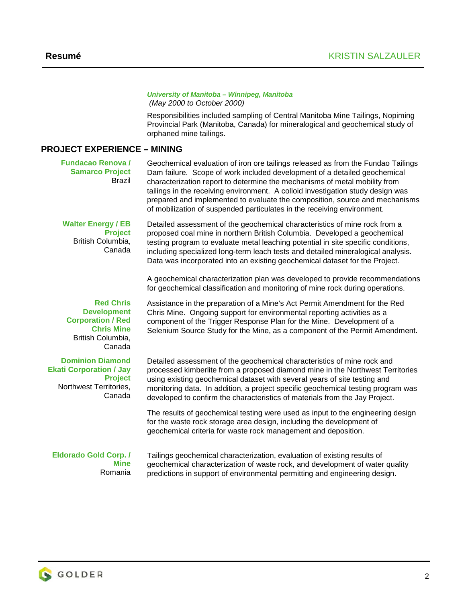# *University of Manitoba – Winnipeg, Manitoba*

*(May 2000 to October 2000)*

Responsibilities included sampling of Central Manitoba Mine Tailings, Nopiming Provincial Park (Manitoba, Canada) for mineralogical and geochemical study of orphaned mine tailings.

# **PROJECT EXPERIENCE – MINING**

**Fundacao Renova / Samarco Project** Brazil Geochemical evaluation of iron ore tailings released as from the Fundao Tailings Dam failure. Scope of work included development of a detailed geochemical characterization report to determine the mechanisms of metal mobility from tailings in the receiving environment. A colloid investigation study design was prepared and implemented to evaluate the composition, source and mechanisms of mobilization of suspended particulates in the receiving environment.

**Walter Energy / EB Project** British Columbia, Canada

Detailed assessment of the geochemical characteristics of mine rock from a proposed coal mine in northern British Columbia. Developed a geochemical testing program to evaluate metal leaching potential in site specific conditions, including specialized long-term leach tests and detailed mineralogical analysis. Data was incorporated into an existing geochemical dataset for the Project.

A geochemical characterization plan was developed to provide recommendations for geochemical classification and monitoring of mine rock during operations.

**Red Chris Development Corporation / Red Chris Mine** British Columbia, Canada

**Dominion Diamond Ekati Corporation / Jay Project** Northwest Territories, Canada

Assistance in the preparation of a Mine's Act Permit Amendment for the Red Chris Mine. Ongoing support for environmental reporting activities as a component of the Trigger Response Plan for the Mine. Development of a Selenium Source Study for the Mine, as a component of the Permit Amendment.

Detailed assessment of the geochemical characteristics of mine rock and processed kimberlite from a proposed diamond mine in the Northwest Territories using existing geochemical dataset with several years of site testing and monitoring data. In addition, a project specific geochemical testing program was developed to confirm the characteristics of materials from the Jay Project.

The results of geochemical testing were used as input to the engineering design for the waste rock storage area design, including the development of geochemical criteria for waste rock management and deposition.

**Eldorado Gold Corp. / Mine** Romania

Tailings geochemical characterization, evaluation of existing results of geochemical characterization of waste rock, and development of water quality predictions in support of environmental permitting and engineering design.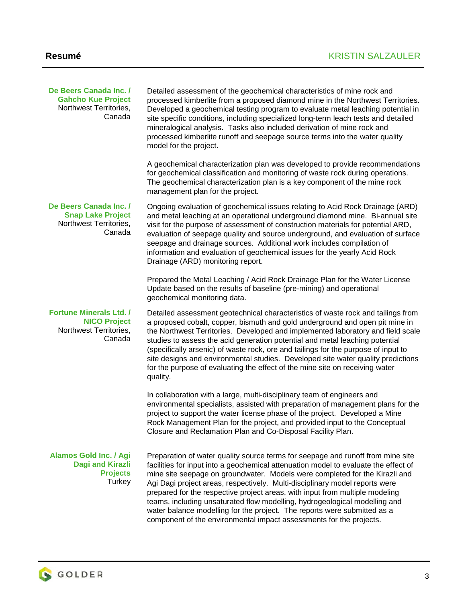| De Beers Canada Inc. /<br><b>Gahcho Kue Project</b><br>Northwest Territories,<br>Canada  | Detailed assessment of the geochemical characteristics of mine rock and<br>processed kimberlite from a proposed diamond mine in the Northwest Territories.<br>Developed a geochemical testing program to evaluate metal leaching potential in<br>site specific conditions, including specialized long-term leach tests and detailed<br>mineralogical analysis. Tasks also included derivation of mine rock and<br>processed kimberlite runoff and seepage source terms into the water quality<br>model for the project.                                                                                                                               |
|------------------------------------------------------------------------------------------|-------------------------------------------------------------------------------------------------------------------------------------------------------------------------------------------------------------------------------------------------------------------------------------------------------------------------------------------------------------------------------------------------------------------------------------------------------------------------------------------------------------------------------------------------------------------------------------------------------------------------------------------------------|
|                                                                                          | A geochemical characterization plan was developed to provide recommendations<br>for geochemical classification and monitoring of waste rock during operations.<br>The geochemical characterization plan is a key component of the mine rock<br>management plan for the project.                                                                                                                                                                                                                                                                                                                                                                       |
| De Beers Canada Inc. /<br><b>Snap Lake Project</b><br>Northwest Territories,<br>Canada   | Ongoing evaluation of geochemical issues relating to Acid Rock Drainage (ARD)<br>and metal leaching at an operational underground diamond mine. Bi-annual site<br>visit for the purpose of assessment of construction materials for potential ARD,<br>evaluation of seepage quality and source underground, and evaluation of surface<br>seepage and drainage sources. Additional work includes compilation of<br>information and evaluation of geochemical issues for the yearly Acid Rock<br>Drainage (ARD) monitoring report.                                                                                                                      |
|                                                                                          | Prepared the Metal Leaching / Acid Rock Drainage Plan for the Water License<br>Update based on the results of baseline (pre-mining) and operational<br>geochemical monitoring data.                                                                                                                                                                                                                                                                                                                                                                                                                                                                   |
| <b>Fortune Minerals Ltd./</b><br><b>NICO Project</b><br>Northwest Territories,<br>Canada | Detailed assessment geotechnical characteristics of waste rock and tailings from<br>a proposed cobalt, copper, bismuth and gold underground and open pit mine in<br>the Northwest Territories. Developed and implemented laboratory and field scale<br>studies to assess the acid generation potential and metal leaching potential<br>(specifically arsenic) of waste rock, ore and tailings for the purpose of input to<br>site designs and environmental studies. Developed site water quality predictions<br>for the purpose of evaluating the effect of the mine site on receiving water<br>quality.                                             |
|                                                                                          | In collaboration with a large, multi-disciplinary team of engineers and<br>environmental specialists, assisted with preparation of management plans for the<br>project to support the water license phase of the project. Developed a Mine<br>Rock Management Plan for the project, and provided input to the Conceptual<br>Closure and Reclamation Plan and Co-Disposal Facility Plan.                                                                                                                                                                                                                                                               |
| <b>Alamos Gold Inc. / Agi</b><br><b>Dagi and Kirazli</b><br><b>Projects</b><br>Turkey    | Preparation of water quality source terms for seepage and runoff from mine site<br>facilities for input into a geochemical attenuation model to evaluate the effect of<br>mine site seepage on groundwater. Models were completed for the Kirazli and<br>Agi Dagi project areas, respectively. Multi-disciplinary model reports were<br>prepared for the respective project areas, with input from multiple modeling<br>teams, including unsaturated flow modelling, hydrogeological modelling and<br>water balance modelling for the project. The reports were submitted as a<br>component of the environmental impact assessments for the projects. |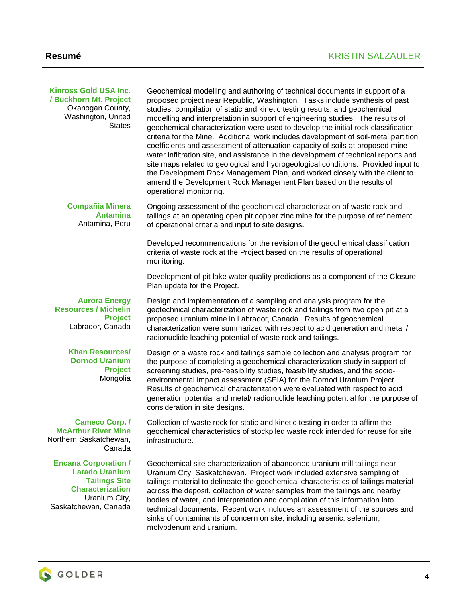| <b>Kinross Gold USA Inc.</b><br>/ Buckhorn Mt. Project<br>Okanogan County,<br>Washington, United<br><b>States</b>                                | Geochemical modelling and authoring of technical documents in support of a<br>proposed project near Republic, Washington. Tasks include synthesis of past<br>studies, compilation of static and kinetic testing results, and geochemical<br>modelling and interpretation in support of engineering studies. The results of<br>geochemical characterization were used to develop the initial rock classification<br>criteria for the Mine. Additional work includes development of soil-metal partition<br>coefficients and assessment of attenuation capacity of soils at proposed mine<br>water infiltration site, and assistance in the development of technical reports and<br>site maps related to geological and hydrogeological conditions. Provided input to<br>the Development Rock Management Plan, and worked closely with the client to<br>amend the Development Rock Management Plan based on the results of<br>operational monitoring. |
|--------------------------------------------------------------------------------------------------------------------------------------------------|-----------------------------------------------------------------------------------------------------------------------------------------------------------------------------------------------------------------------------------------------------------------------------------------------------------------------------------------------------------------------------------------------------------------------------------------------------------------------------------------------------------------------------------------------------------------------------------------------------------------------------------------------------------------------------------------------------------------------------------------------------------------------------------------------------------------------------------------------------------------------------------------------------------------------------------------------------|
| <b>Compañia Minera</b><br><b>Antamina</b><br>Antamina, Peru                                                                                      | Ongoing assessment of the geochemical characterization of waste rock and<br>tailings at an operating open pit copper zinc mine for the purpose of refinement<br>of operational criteria and input to site designs.                                                                                                                                                                                                                                                                                                                                                                                                                                                                                                                                                                                                                                                                                                                                  |
|                                                                                                                                                  | Developed recommendations for the revision of the geochemical classification<br>criteria of waste rock at the Project based on the results of operational<br>monitoring.                                                                                                                                                                                                                                                                                                                                                                                                                                                                                                                                                                                                                                                                                                                                                                            |
|                                                                                                                                                  | Development of pit lake water quality predictions as a component of the Closure<br>Plan update for the Project.                                                                                                                                                                                                                                                                                                                                                                                                                                                                                                                                                                                                                                                                                                                                                                                                                                     |
| <b>Aurora Energy</b><br><b>Resources / Michelin</b><br><b>Project</b><br>Labrador, Canada                                                        | Design and implementation of a sampling and analysis program for the<br>geotechnical characterization of waste rock and tailings from two open pit at a<br>proposed uranium mine in Labrador, Canada. Results of geochemical<br>characterization were summarized with respect to acid generation and metal /<br>radionuclide leaching potential of waste rock and tailings.                                                                                                                                                                                                                                                                                                                                                                                                                                                                                                                                                                         |
| <b>Khan Resources/</b><br><b>Dornod Uranium</b><br><b>Project</b><br>Mongolia                                                                    | Design of a waste rock and tailings sample collection and analysis program for<br>the purpose of completing a geochemical characterization study in support of<br>screening studies, pre-feasibility studies, feasibility studies, and the socio-<br>environmental impact assessment (SEIA) for the Dornod Uranium Project.<br>Results of geochemical characterization were evaluated with respect to acid<br>generation potential and metal/ radionuclide leaching potential for the purpose of<br>consideration in site designs.                                                                                                                                                                                                                                                                                                                                                                                                                  |
| <b>Cameco Corp./</b><br><b>McArthur River Mine</b><br>Northern Saskatchewan,<br>Canada                                                           | Collection of waste rock for static and kinetic testing in order to affirm the<br>geochemical characteristics of stockpiled waste rock intended for reuse for site<br>infrastructure.                                                                                                                                                                                                                                                                                                                                                                                                                                                                                                                                                                                                                                                                                                                                                               |
| <b>Encana Corporation /</b><br><b>Larado Uranium</b><br><b>Tailings Site</b><br><b>Characterization</b><br>Uranium City,<br>Saskatchewan, Canada | Geochemical site characterization of abandoned uranium mill tailings near<br>Uranium City, Saskatchewan. Project work included extensive sampling of<br>tailings material to delineate the geochemical characteristics of tailings material<br>across the deposit, collection of water samples from the tailings and nearby<br>bodies of water, and interpretation and compilation of this information into<br>technical documents. Recent work includes an assessment of the sources and<br>sinks of contaminants of concern on site, including arsenic, selenium,<br>molybdenum and uranium.                                                                                                                                                                                                                                                                                                                                                      |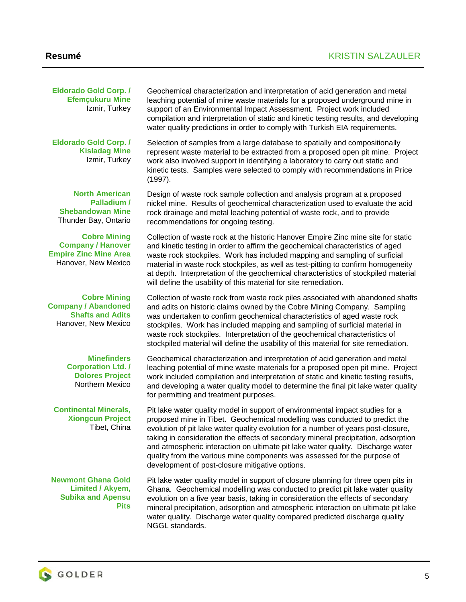| <b>Eldorado Gold Corp. /</b><br><b>Efemçukuru Mine</b><br>Izmir, Turkey                                | Geochemical characterization and interpretation of acid generation and metal<br>leaching potential of mine waste materials for a proposed underground mine in<br>support of an Environmental Impact Assessment. Project work included<br>compilation and interpretation of static and kinetic testing results, and developing<br>water quality predictions in order to comply with Turkish EIA requirements.                                                                                                                                             |
|--------------------------------------------------------------------------------------------------------|----------------------------------------------------------------------------------------------------------------------------------------------------------------------------------------------------------------------------------------------------------------------------------------------------------------------------------------------------------------------------------------------------------------------------------------------------------------------------------------------------------------------------------------------------------|
| <b>Eldorado Gold Corp. /</b><br><b>Kisladag Mine</b><br>Izmir, Turkey                                  | Selection of samples from a large database to spatially and compositionally<br>represent waste material to be extracted from a proposed open pit mine. Project<br>work also involved support in identifying a laboratory to carry out static and<br>kinetic tests. Samples were selected to comply with recommendations in Price<br>(1997).                                                                                                                                                                                                              |
| <b>North American</b><br>Palladium /<br><b>Shebandowan Mine</b><br>Thunder Bay, Ontario                | Design of waste rock sample collection and analysis program at a proposed<br>nickel mine. Results of geochemical characterization used to evaluate the acid<br>rock drainage and metal leaching potential of waste rock, and to provide<br>recommendations for ongoing testing.                                                                                                                                                                                                                                                                          |
| <b>Cobre Mining</b><br><b>Company / Hanover</b><br><b>Empire Zinc Mine Area</b><br>Hanover, New Mexico | Collection of waste rock at the historic Hanover Empire Zinc mine site for static<br>and kinetic testing in order to affirm the geochemical characteristics of aged<br>waste rock stockpiles. Work has included mapping and sampling of surficial<br>material in waste rock stockpiles, as well as test-pitting to confirm homogeneity<br>at depth. Interpretation of the geochemical characteristics of stockpiled material<br>will define the usability of this material for site remediation.                                                         |
| <b>Cobre Mining</b><br><b>Company / Abandoned</b><br><b>Shafts and Adits</b><br>Hanover, New Mexico    | Collection of waste rock from waste rock piles associated with abandoned shafts<br>and adits on historic claims owned by the Cobre Mining Company. Sampling<br>was undertaken to confirm geochemical characteristics of aged waste rock<br>stockpiles. Work has included mapping and sampling of surficial material in<br>waste rock stockpiles. Interpretation of the geochemical characteristics of<br>stockpiled material will define the usability of this material for site remediation.                                                            |
| <b>Minefinders</b><br><b>Corporation Ltd./</b><br><b>Dolores Project</b><br>Northern Mexico            | Geochemical characterization and interpretation of acid generation and metal<br>leaching potential of mine waste materials for a proposed open pit mine. Project<br>work included compilation and interpretation of static and kinetic testing results,<br>and developing a water quality model to determine the final pit lake water quality<br>for permitting and treatment purposes.                                                                                                                                                                  |
| <b>Continental Minerals,</b><br><b>Xiongcun Project</b><br>Tibet, China                                | Pit lake water quality model in support of environmental impact studies for a<br>proposed mine in Tibet. Geochemical modelling was conducted to predict the<br>evolution of pit lake water quality evolution for a number of years post-closure,<br>taking in consideration the effects of secondary mineral precipitation, adsorption<br>and atmospheric interaction on ultimate pit lake water quality. Discharge water<br>quality from the various mine components was assessed for the purpose of<br>development of post-closure mitigative options. |
| <b>Newmont Ghana Gold</b><br>Limited / Akyem,<br><b>Subika and Apensu</b><br><b>Pits</b>               | Pit lake water quality model in support of closure planning for three open pits in<br>Ghana. Geochemical modelling was conducted to predict pit lake water quality<br>evolution on a five year basis, taking in consideration the effects of secondary<br>mineral precipitation, adsorption and atmospheric interaction on ultimate pit lake<br>water quality. Discharge water quality compared predicted discharge quality<br>NGGL standards.                                                                                                           |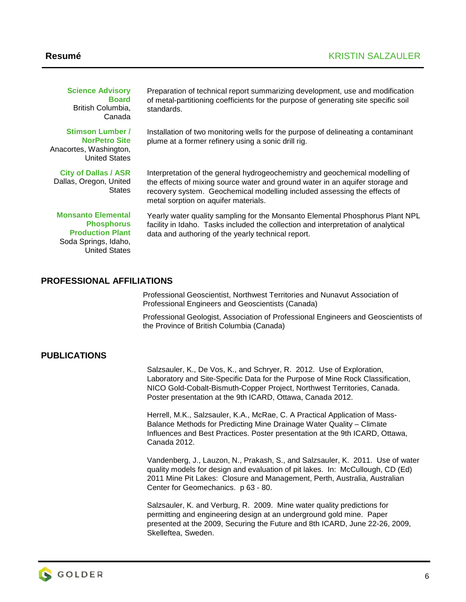| <b>Science Advisory</b><br><b>Board</b><br>British Columbia,<br>Canada                                                    | Preparation of technical report summarizing development, use and modification<br>of metal-partitioning coefficients for the purpose of generating site specific soil<br>standards.                                                                                                |
|---------------------------------------------------------------------------------------------------------------------------|-----------------------------------------------------------------------------------------------------------------------------------------------------------------------------------------------------------------------------------------------------------------------------------|
| Stimson Lumber /<br><b>NorPetro Site</b><br>Anacortes, Washington,<br><b>United States</b>                                | Installation of two monitoring wells for the purpose of delineating a contaminant<br>plume at a former refinery using a sonic drill rig.                                                                                                                                          |
| <b>City of Dallas / ASR</b><br>Dallas, Oregon, United<br><b>States</b>                                                    | Interpretation of the general hydrogeochemistry and geochemical modelling of<br>the effects of mixing source water and ground water in an aquifer storage and<br>recovery system. Geochemical modelling included assessing the effects of<br>metal sorption on aquifer materials. |
| <b>Monsanto Elemental</b><br><b>Phosphorus</b><br><b>Production Plant</b><br>Soda Springs, Idaho,<br><b>United States</b> | Yearly water quality sampling for the Monsanto Elemental Phosphorus Plant NPL<br>facility in Idaho. Tasks included the collection and interpretation of analytical<br>data and authoring of the yearly technical report.                                                          |

# **PROFESSIONAL AFFILIATIONS**

Professional Geoscientist, Northwest Territories and Nunavut Association of Professional Engineers and Geoscientists (Canada)

Professional Geologist, Association of Professional Engineers and Geoscientists of the Province of British Columbia (Canada)

# **PUBLICATIONS**

Salzsauler, K., De Vos, K., and Schryer, R. 2012. Use of Exploration, Laboratory and Site-Specific Data for the Purpose of Mine Rock Classification, NICO Gold-Cobalt-Bismuth-Copper Project, Northwest Territories, Canada. Poster presentation at the 9th ICARD, Ottawa, Canada 2012.

Herrell, M.K., Salzsauler, K.A., McRae, C. A Practical Application of Mass-Balance Methods for Predicting Mine Drainage Water Quality – Climate Influences and Best Practices. Poster presentation at the 9th ICARD, Ottawa, Canada 2012.

Vandenberg, J., Lauzon, N., Prakash, S., and Salzsauler, K. 2011. Use of water quality models for design and evaluation of pit lakes. In: McCullough, CD (Ed) 2011 Mine Pit Lakes: Closure and Management, Perth, Australia, Australian Center for Geomechanics. p 63 - 80.

Salzsauler, K. and Verburg, R. 2009. Mine water quality predictions for permitting and engineering design at an underground gold mine. Paper presented at the 2009, Securing the Future and 8th ICARD, June 22-26, 2009, Skelleftea, Sweden.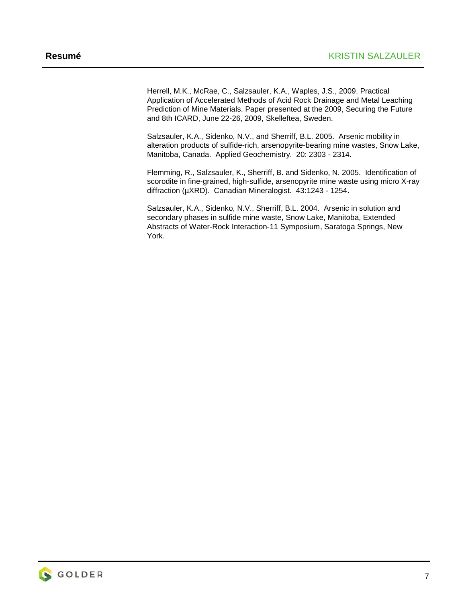Herrell, M.K., McRae, C., Salzsauler, K.A., Waples, J.S., 2009. Practical Application of Accelerated Methods of Acid Rock Drainage and Metal Leaching Prediction of Mine Materials. Paper presented at the 2009, Securing the Future and 8th ICARD, June 22-26, 2009, Skelleftea, Sweden.

Salzsauler, K.A., Sidenko, N.V., and Sherriff, B.L. 2005. Arsenic mobility in alteration products of sulfide-rich, arsenopyrite-bearing mine wastes, Snow Lake, Manitoba, Canada. Applied Geochemistry. 20: 2303 - 2314.

Flemming, R., Salzsauler, K., Sherriff, B. and Sidenko, N. 2005. Identification of scorodite in fine-grained, high-sulfide, arsenopyrite mine waste using micro X-ray diffraction (µXRD). Canadian Mineralogist. 43:1243 - 1254.

Salzsauler, K.A., Sidenko, N.V., Sherriff, B.L. 2004. Arsenic in solution and secondary phases in sulfide mine waste, Snow Lake, Manitoba, Extended Abstracts of Water-Rock Interaction-11 Symposium, Saratoga Springs, New York.

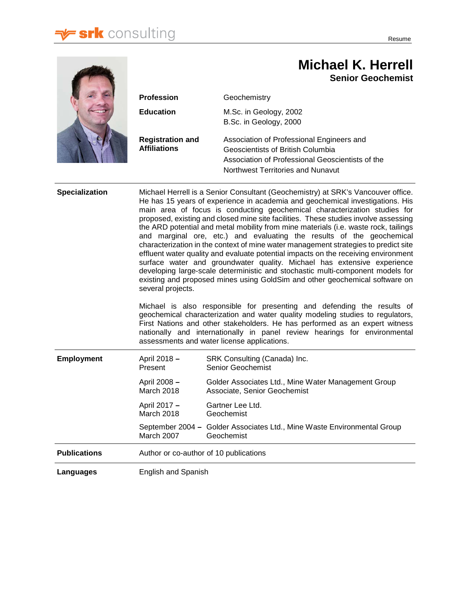$\frac{1}{\sqrt{2}}$ 

# **Michael K. Herrell Senior Geochemist**

|                       |                                                                                                                                                                                                                                                                                                                                                                                                                                                                                                                                                                                                                                                                                                                                                                                                                                                                                                                                                                                                                                                                                                                                                                                                 | ווסטסט וועווסט                                                                                                                                                          |  |
|-----------------------|-------------------------------------------------------------------------------------------------------------------------------------------------------------------------------------------------------------------------------------------------------------------------------------------------------------------------------------------------------------------------------------------------------------------------------------------------------------------------------------------------------------------------------------------------------------------------------------------------------------------------------------------------------------------------------------------------------------------------------------------------------------------------------------------------------------------------------------------------------------------------------------------------------------------------------------------------------------------------------------------------------------------------------------------------------------------------------------------------------------------------------------------------------------------------------------------------|-------------------------------------------------------------------------------------------------------------------------------------------------------------------------|--|
|                       | <b>Profession</b>                                                                                                                                                                                                                                                                                                                                                                                                                                                                                                                                                                                                                                                                                                                                                                                                                                                                                                                                                                                                                                                                                                                                                                               | Geochemistry                                                                                                                                                            |  |
|                       | <b>Education</b>                                                                                                                                                                                                                                                                                                                                                                                                                                                                                                                                                                                                                                                                                                                                                                                                                                                                                                                                                                                                                                                                                                                                                                                | M.Sc. in Geology, 2002<br>B.Sc. in Geology, 2000                                                                                                                        |  |
|                       | <b>Registration and</b><br><b>Affiliations</b>                                                                                                                                                                                                                                                                                                                                                                                                                                                                                                                                                                                                                                                                                                                                                                                                                                                                                                                                                                                                                                                                                                                                                  | Association of Professional Engineers and<br>Geoscientists of British Columbia<br>Association of Professional Geoscientists of the<br>Northwest Territories and Nunavut |  |
| <b>Specialization</b> | Michael Herrell is a Senior Consultant (Geochemistry) at SRK's Vancouver office.<br>He has 15 years of experience in academia and geochemical investigations. His<br>main area of focus is conducting geochemical characterization studies for<br>proposed, existing and closed mine site facilities. These studies involve assessing<br>the ARD potential and metal mobility from mine materials (i.e. waste rock, tailings<br>and marginal ore, etc.) and evaluating the results of the geochemical<br>characterization in the context of mine water management strategies to predict site<br>effluent water quality and evaluate potential impacts on the receiving environment<br>surface water and groundwater quality. Michael has extensive experience<br>developing large-scale deterministic and stochastic multi-component models for<br>existing and proposed mines using GoldSim and other geochemical software on<br>several projects.<br>Michael is also responsible for presenting and defending the results of<br>geochemical characterization and water quality modeling studies to regulators,<br>First Nations and other stakeholders. He has performed as an expert witness |                                                                                                                                                                         |  |
|                       |                                                                                                                                                                                                                                                                                                                                                                                                                                                                                                                                                                                                                                                                                                                                                                                                                                                                                                                                                                                                                                                                                                                                                                                                 | nationally and internationally in panel review hearings for environmental<br>assessments and water license applications.                                                |  |
| <b>Employment</b>     | April 2018-<br>Present                                                                                                                                                                                                                                                                                                                                                                                                                                                                                                                                                                                                                                                                                                                                                                                                                                                                                                                                                                                                                                                                                                                                                                          | SRK Consulting (Canada) Inc.<br>Senior Geochemist                                                                                                                       |  |
|                       | April 2008-<br>March 2018                                                                                                                                                                                                                                                                                                                                                                                                                                                                                                                                                                                                                                                                                                                                                                                                                                                                                                                                                                                                                                                                                                                                                                       | Golder Associates Ltd., Mine Water Management Group<br>Associate, Senior Geochemist                                                                                     |  |
|                       | April 2017 -<br>March 2018                                                                                                                                                                                                                                                                                                                                                                                                                                                                                                                                                                                                                                                                                                                                                                                                                                                                                                                                                                                                                                                                                                                                                                      | Gartner Lee Ltd.<br>Geochemist                                                                                                                                          |  |
|                       | March 2007                                                                                                                                                                                                                                                                                                                                                                                                                                                                                                                                                                                                                                                                                                                                                                                                                                                                                                                                                                                                                                                                                                                                                                                      | September 2004 - Golder Associates Ltd., Mine Waste Environmental Group<br>Geochemist                                                                                   |  |
| <b>Publications</b>   | Author or co-author of 10 publications                                                                                                                                                                                                                                                                                                                                                                                                                                                                                                                                                                                                                                                                                                                                                                                                                                                                                                                                                                                                                                                                                                                                                          |                                                                                                                                                                         |  |
| Languages             | <b>English and Spanish</b>                                                                                                                                                                                                                                                                                                                                                                                                                                                                                                                                                                                                                                                                                                                                                                                                                                                                                                                                                                                                                                                                                                                                                                      |                                                                                                                                                                         |  |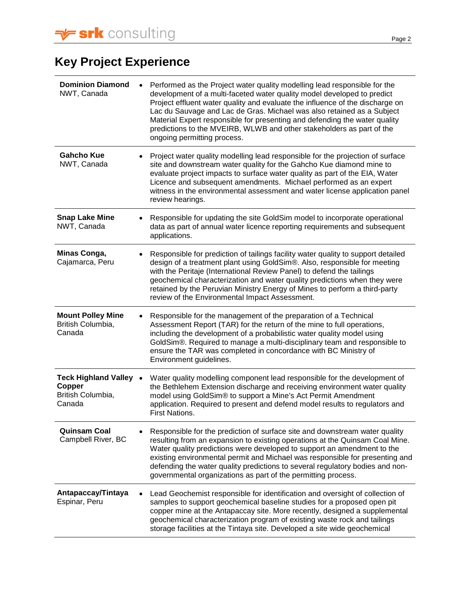# **Key Project Experience**

| <b>Dominion Diamond</b><br>NWT, Canada                          | Performed as the Project water quality modelling lead responsible for the<br>development of a multi-faceted water quality model developed to predict<br>Project effluent water quality and evaluate the influence of the discharge on<br>Lac du Sauvage and Lac de Gras. Michael was also retained as a Subject<br>Material Expert responsible for presenting and defending the water quality<br>predictions to the MVEIRB, WLWB and other stakeholders as part of the<br>ongoing permitting process. |
|-----------------------------------------------------------------|-------------------------------------------------------------------------------------------------------------------------------------------------------------------------------------------------------------------------------------------------------------------------------------------------------------------------------------------------------------------------------------------------------------------------------------------------------------------------------------------------------|
| <b>Gahcho Kue</b><br>NWT, Canada                                | Project water quality modelling lead responsible for the projection of surface<br>site and downstream water quality for the Gahcho Kue diamond mine to<br>evaluate project impacts to surface water quality as part of the EIA, Water<br>Licence and subsequent amendments. Michael performed as an expert<br>witness in the environmental assessment and water license application panel<br>review hearings.                                                                                         |
| <b>Snap Lake Mine</b><br>NWT, Canada                            | Responsible for updating the site GoldSim model to incorporate operational<br>data as part of annual water licence reporting requirements and subsequent<br>applications.                                                                                                                                                                                                                                                                                                                             |
| Minas Conga,<br>Cajamarca, Peru                                 | Responsible for prediction of tailings facility water quality to support detailed<br>design of a treatment plant using GoldSim®. Also, responsible for meeting<br>with the Peritaje (International Review Panel) to defend the tailings<br>geochemical characterization and water quality predictions when they were<br>retained by the Peruvian Ministry Energy of Mines to perform a third-party<br>review of the Environmental Impact Assessment.                                                  |
| <b>Mount Polley Mine</b><br>British Columbia,<br>Canada         | Responsible for the management of the preparation of a Technical<br>Assessment Report (TAR) for the return of the mine to full operations,<br>including the development of a probabilistic water quality model using<br>GoldSim®. Required to manage a multi-disciplinary team and responsible to<br>ensure the TAR was completed in concordance with BC Ministry of<br>Environment guidelines.                                                                                                       |
| Teck Highland Valley .<br>Copper<br>British Columbia,<br>Canada | Water quality modelling component lead responsible for the development of<br>the Bethlehem Extension discharge and receiving environment water quality<br>model using GoldSim® to support a Mine's Act Permit Amendment<br>application. Required to present and defend model results to regulators and<br>First Nations.                                                                                                                                                                              |
| <b>Quinsam Coal</b><br>Campbell River, BC                       | Responsible for the prediction of surface site and downstream water quality<br>resulting from an expansion to existing operations at the Quinsam Coal Mine.<br>Water quality predictions were developed to support an amendment to the<br>existing environmental permit and Michael was responsible for presenting and<br>defending the water quality predictions to several regulatory bodies and non-<br>governmental organizations as part of the permitting process.                              |
| Antapaccay/Tintaya<br>Espinar, Peru                             | Lead Geochemist responsible for identification and oversight of collection of<br>samples to support geochemical baseline studies for a proposed open pit<br>copper mine at the Antapaccay site. More recently, designed a supplemental<br>geochemical characterization program of existing waste rock and tailings<br>storage facilities at the Tintaya site. Developed a site wide geochemical                                                                                                       |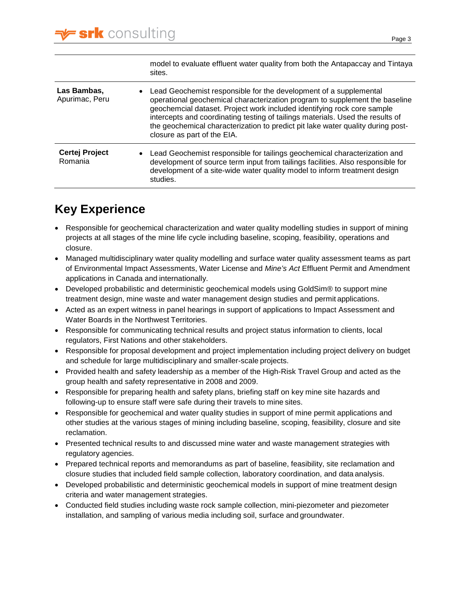|                               | model to evaluate effluent water quality from both the Antapaccay and Tintaya<br>sites.                                                                                                                                                                                                                                                                                                                                         |
|-------------------------------|---------------------------------------------------------------------------------------------------------------------------------------------------------------------------------------------------------------------------------------------------------------------------------------------------------------------------------------------------------------------------------------------------------------------------------|
| Las Bambas,<br>Apurimac, Peru | Lead Geochemist responsible for the development of a supplemental<br>operational geochemical characterization program to supplement the baseline<br>geochemcial dataset. Project work included identifying rock core sample<br>intercepts and coordinating testing of tailings materials. Used the results of<br>the geochemical characterization to predict pit lake water quality during post-<br>closure as part of the EIA. |
| Certej Project<br>Romania     | Lead Geochemist responsible for tailings geochemical characterization and<br>development of source term input from tailings facilities. Also responsible for<br>development of a site-wide water quality model to inform treatment design<br>studies.                                                                                                                                                                           |

# **Key Experience**

- Responsible for geochemical characterization and water quality modelling studies in support of mining projects at all stages of the mine life cycle including baseline, scoping, feasibility, operations and closure.
- Managed multidisciplinary water quality modelling and surface water quality assessment teams as part of Environmental Impact Assessments, Water License and *Mine's Act* Effluent Permit and Amendment applications in Canada and internationally.
- Developed probabilistic and deterministic geochemical models using GoldSim® to support mine treatment design, mine waste and water management design studies and permit applications.
- Acted as an expert witness in panel hearings in support of applications to Impact Assessment and Water Boards in the Northwest Territories.
- Responsible for communicating technical results and project status information to clients, local regulators, First Nations and other stakeholders.
- Responsible for proposal development and project implementation including project delivery on budget and schedule for large multidisciplinary and smaller-scale projects.
- Provided health and safety leadership as a member of the High-Risk Travel Group and acted as the group health and safety representative in 2008 and 2009.
- Responsible for preparing health and safety plans, briefing staff on key mine site hazards and following-up to ensure staff were safe during their travels to mine sites.
- Responsible for geochemical and water quality studies in support of mine permit applications and other studies at the various stages of mining including baseline, scoping, feasibility, closure and site reclamation.
- Presented technical results to and discussed mine water and waste management strategies with regulatory agencies.
- Prepared technical reports and memorandums as part of baseline, feasibility, site reclamation and closure studies that included field sample collection, laboratory coordination, and data analysis.
- Developed probabilistic and deterministic geochemical models in support of mine treatment design criteria and water management strategies.
- Conducted field studies including waste rock sample collection, mini-piezometer and piezometer installation, and sampling of various media including soil, surface and groundwater.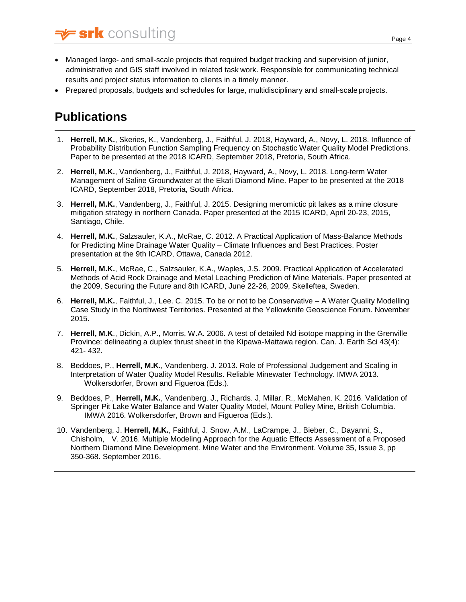- Managed large- and small-scale projects that required budget tracking and supervision of junior, administrative and GIS staff involved in related task work. Responsible for communicating technical results and project status information to clients in a timely manner.
- Prepared proposals, budgets and schedules for large, multidisciplinary and small-scale projects.

# **Publications**

- 1. **Herrell, M.K.**, Skeries, K., Vandenberg, J., Faithful, J. 2018, Hayward, A., Novy, L. 2018. Influence of Probability Distribution Function Sampling Frequency on Stochastic Water Quality Model Predictions. Paper to be presented at the 2018 ICARD, September 2018, Pretoria, South Africa.
- 2. **Herrell, M.K.**, Vandenberg, J., Faithful, J. 2018, Hayward, A., Novy, L. 2018. Long-term Water Management of Saline Groundwater at the Ekati Diamond Mine. Paper to be presented at the 2018 ICARD, September 2018, Pretoria, South Africa.
- 3. **Herrell, M.K.**, Vandenberg, J., Faithful, J. 2015. Designing meromictic pit lakes as a mine closure mitigation strategy in northern Canada. Paper presented at the 2015 ICARD, April 20-23, 2015, Santiago, Chile.
- 4. **Herrell, M.K.**, Salzsauler, K.A., McRae, C. 2012. A Practical Application of Mass-Balance Methods for Predicting Mine Drainage Water Quality – Climate Influences and Best Practices. Poster presentation at the 9th ICARD, Ottawa, Canada 2012.
- 5. **Herrell, M.K.**, McRae, C., Salzsauler, K.A., Waples, J.S. 2009. Practical Application of Accelerated Methods of Acid Rock Drainage and Metal Leaching Prediction of Mine Materials. Paper presented at the 2009, Securing the Future and 8th ICARD, June 22-26, 2009, Skelleftea, Sweden.
- 6. **Herrell, M.K.**, Faithful, J., Lee. C. 2015. To be or not to be Conservative A Water Quality Modelling Case Study in the Northwest Territories. Presented at the Yellowknife Geoscience Forum. November 2015.
- 7. **Herrell, M.K**., Dickin, A.P., Morris, W.A. 2006. A test of detailed Nd isotope mapping in the Grenville Province: delineating a duplex thrust sheet in the Kipawa-Mattawa region. Can. J. Earth Sci 43(4): 421- 432.
- 8. Beddoes, P., **Herrell, M.K.**, Vandenberg. J. 2013. Role of Professional Judgement and Scaling in Interpretation of Water Quality Model Results. Reliable Minewater Technology. IMWA 2013. Wolkersdorfer, Brown and Figueroa (Eds.).
- 9. Beddoes, P., **Herrell, M.K.**, Vandenberg. J., Richards. J, Millar. R., McMahen. K. 2016. Validation of Springer Pit Lake Water Balance and Water Quality Model, Mount Polley Mine, British Columbia. IMWA 2016. Wolkersdorfer, Brown and Figueroa (Eds.).
- 10. Vandenberg, J. **Herrell, M.K.**, Faithful, J. Snow, A.M., LaCrampe, J., Bieber, C., Dayanni, S., Chisholm, V. 2016. Multiple Modeling Approach for the Aquatic Effects Assessment of a Proposed Northern Diamond Mine Development. Mine Water and the Environment. Volume 35, Issue 3, pp 350-368. September 2016.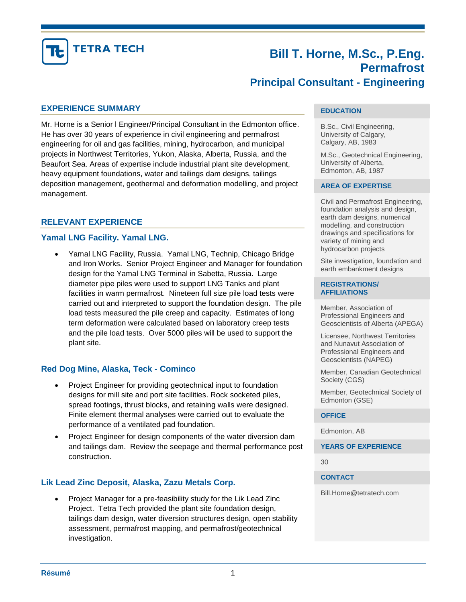

# **Bill T. Horne, M.Sc., P.Eng. Permafrost Principal Consultant - Engineering**

# **EXPERIENCE SUMMARY**

Mr. Horne is a Senior l Engineer/Principal Consultant in the Edmonton office. He has over 30 years of experience in civil engineering and permafrost engineering for oil and gas facilities, mining, hydrocarbon, and municipal projects in Northwest Territories, Yukon, Alaska, Alberta, Russia, and the Beaufort Sea. Areas of expertise include industrial plant site development, heavy equipment foundations, water and tailings dam designs, tailings deposition management, geothermal and deformation modelling, and project management.

# **RELEVANT EXPERIENCE**

# **Yamal LNG Facility. Yamal LNG.**

 Yamal LNG Facility, Russia. Yamal LNG, Technip, Chicago Bridge and Iron Works. Senior Project Engineer and Manager for foundation design for the Yamal LNG Terminal in Sabetta, Russia. Large diameter pipe piles were used to support LNG Tanks and plant facilities in warm permafrost. Nineteen full size pile load tests were carried out and interpreted to support the foundation design. The pile load tests measured the pile creep and capacity. Estimates of long term deformation were calculated based on laboratory creep tests and the pile load tests. Over 5000 piles will be used to support the plant site.

# **Red Dog Mine, Alaska, Teck - Cominco**

- Project Engineer for providing geotechnical input to foundation designs for mill site and port site facilities. Rock socketed piles, spread footings, thrust blocks, and retaining walls were designed. Finite element thermal analyses were carried out to evaluate the performance of a ventilated pad foundation.
- Project Engineer for design components of the water diversion dam and tailings dam. Review the seepage and thermal performance post construction.

# **Lik Lead Zinc Deposit, Alaska, Zazu Metals Corp.**

 Project Manager for a pre-feasibility study for the Lik Lead Zinc Project. Tetra Tech provided the plant site foundation design, tailings dam design, water diversion structures design, open stability assessment, permafrost mapping, and permafrost/geotechnical investigation.

#### **EDUCATION**

B.Sc., Civil Engineering, University of Calgary, Calgary, AB, 1983

M.Sc., Geotechnical Engineering, University of Alberta, Edmonton, AB, 1987

#### **AREA OF EXPERTISE**

Civil and Permafrost Engineering, foundation analysis and design, earth dam designs, numerical modelling, and construction drawings and specifications for variety of mining and hydrocarbon projects

Site investigation, foundation and earth embankment designs

#### **REGISTRATIONS/ AFFILIATIONS**

Member, Association of Professional Engineers and Geoscientists of Alberta (APEGA)

Licensee, Northwest Territories and Nunavut Association of Professional Engineers and Geoscientists (NAPEG)

Member, Canadian Geotechnical Society (CGS)

Member, Geotechnical Society of Edmonton (GSE)

#### **OFFICE**

Edmonton, AB

**YEARS OF EXPERIENCE**

30

#### **CONTACT**

Bill.Horne@tetratech.com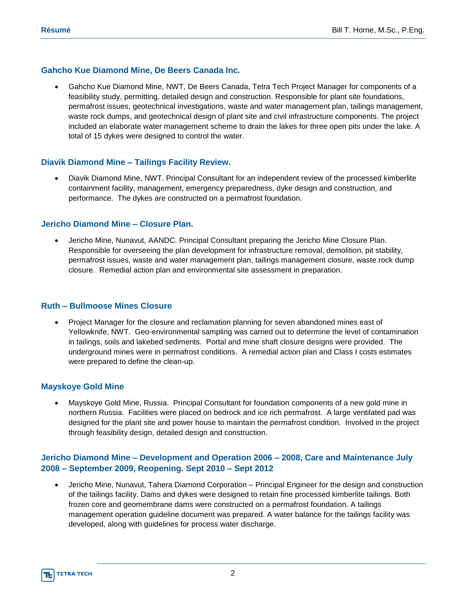# **Gahcho Kue Diamond Mine, De Beers Canada Inc.**

 Gahcho Kue Diamond Mine, NWT, De Beers Canada, Tetra Tech Project Manager for components of a feasibility study, permitting, detailed design and construction. Responsible for plant site foundations, permafrost issues, geotechnical investigations, waste and water management plan, tailings management, waste rock dumps, and geotechnical design of plant site and civil infrastructure components. The project included an elaborate water management scheme to drain the lakes for three open pits under the lake. A total of 15 dykes were designed to control the water.

# **Diavik Diamond Mine – Tailings Facility Review.**

 Diavik Diamond Mine, NWT. Principal Consultant for an independent review of the processed kimberlite containment facility, management, emergency preparedness, dyke design and construction, and performance. The dykes are constructed on a permafrost foundation.

# **Jericho Diamond Mine – Closure Plan.**

 Jericho Mine, Nunavut, AANDC. Principal Consultant preparing the Jericho Mine Closure Plan. Responsible for overseeing the plan development for infrastructure removal, demolition, pit stability, permafrost issues, waste and water management plan, tailings management closure, waste rock dump closure. Remedial action plan and environmental site assessment in preparation.

# **Ruth – Bullmoose Mines Closure**

• Project Manager for the closure and reclamation planning for seven abandoned mines east of Yellowknife, NWT. Geo-environmental sampling was carried out to determine the level of contamination in tailings, soils and lakebed sediments. Portal and mine shaft closure designs were provided. The underground mines were in permafrost conditions. A remedial action plan and Class I costs estimates were prepared to define the clean-up.

# **Mayskoye Gold Mine**

 Mayskoye Gold Mine, Russia. Principal Consultant for foundation components of a new gold mine in northern Russia. Facilities were placed on bedrock and ice rich permafrost. A large ventilated pad was designed for the plant site and power house to maintain the permafrost condition. Involved in the project through feasibility design, detailed design and construction.

# **Jericho Diamond Mine – Development and Operation 2006 – 2008, Care and Maintenance July 2008 – September 2009, Reopening. Sept 2010 – Sept 2012**

 Jericho Mine, Nunavut, Tahera Diamond Corporation – Principal Engineer for the design and construction of the tailings facility. Dams and dykes were designed to retain fine processed kimberlite tailings. Both frozen core and geomembrane dams were constructed on a permafrost foundation. A tailings management operation guideline document was prepared. A water balance for the tailings facility was developed, along with guidelines for process water discharge.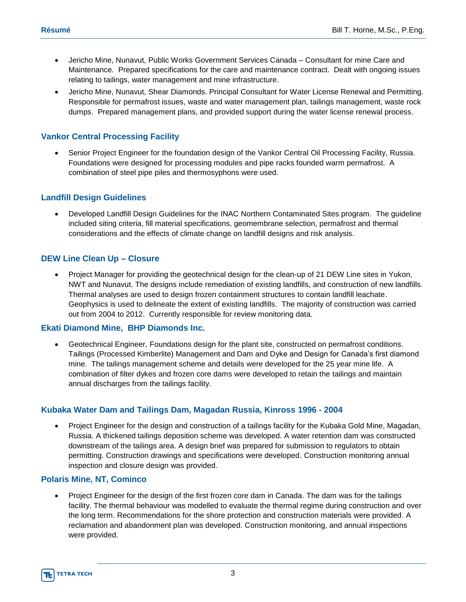- Jericho Mine, Nunavut, Public Works Government Services Canada Consultant for mine Care and Maintenance. Prepared specifications for the care and maintenance contract. Dealt with ongoing issues relating to tailings, water management and mine infrastructure.
- Jericho Mine, Nunavut, Shear Diamonds. Principal Consultant for Water License Renewal and Permitting. Responsible for permafrost issues, waste and water management plan, tailings management, waste rock dumps. Prepared management plans, and provided support during the water license renewal process.

# **Vankor Central Processing Facility**

 Senior Project Engineer for the foundation design of the Vankor Central Oil Processing Facility, Russia. Foundations were designed for processing modules and pipe racks founded warm permafrost. A combination of steel pipe piles and thermosyphons were used.

# **Landfill Design Guidelines**

 Developed Landfill Design Guidelines for the INAC Northern Contaminated Sites program. The guideline included siting criteria, fill material specifications, geomembrane selection, permafrost and thermal considerations and the effects of climate change on landfill designs and risk analysis.

# **DEW Line Clean Up – Closure**

 Project Manager for providing the geotechnical design for the clean-up of 21 DEW Line sites in Yukon, NWT and Nunavut. The designs include remediation of existing landfills, and construction of new landfills. Thermal analyses are used to design frozen containment structures to contain landfill leachate. Geophysics is used to delineate the extent of existing landfills. The majority of construction was carried out from 2004 to 2012. Currently responsible for review monitoring data.

# **Ekati Diamond Mine, BHP Diamonds Inc.**

 Geotechnical Engineer, Foundations design for the plant site, constructed on permafrost conditions. Tailings (Processed Kimberlite) Management and Dam and Dyke and Design for Canada's first diamond mine. The tailings management scheme and details were developed for the 25 year mine life. A combination of filter dykes and frozen core dams were developed to retain the tailings and maintain annual discharges from the tailings facility.

# **Kubaka Water Dam and Tailings Dam, Magadan Russia, Kinross 1996 - 2004**

 Project Engineer for the design and construction of a tailings facility for the Kubaka Gold Mine, Magadan, Russia. A thickened tailings deposition scheme was developed. A water retention dam was constructed downstream of the tailings area. A design brief was prepared for submission to regulators to obtain permitting. Construction drawings and specifications were developed. Construction monitoring annual inspection and closure design was provided.

# **Polaris Mine, NT, Cominco**

 Project Engineer for the design of the first frozen core dam in Canada. The dam was for the tailings facility. The thermal behaviour was modelled to evaluate the thermal regime during construction and over the long term. Recommendations for the shore protection and construction materials were provided. A reclamation and abandonment plan was developed. Construction monitoring, and annual inspections were provided.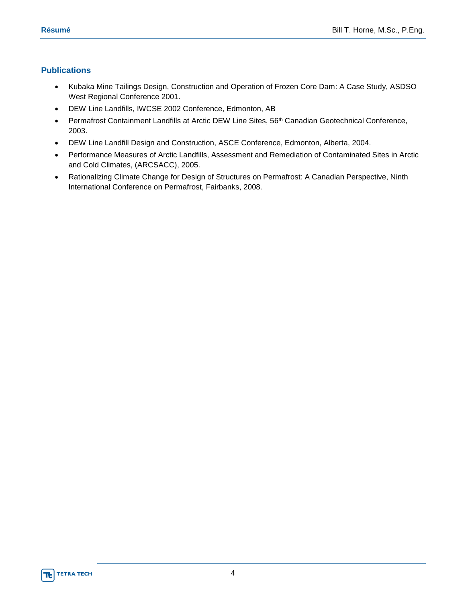# **Publications**

- Kubaka Mine Tailings Design, Construction and Operation of Frozen Core Dam: A Case Study, ASDSO West Regional Conference 2001.
- DEW Line Landfills, IWCSE 2002 Conference, Edmonton, AB
- Permafrost Containment Landfills at Arctic DEW Line Sites, 56<sup>th</sup> Canadian Geotechnical Conference, 2003.
- DEW Line Landfill Design and Construction, ASCE Conference, Edmonton, Alberta, 2004.
- Performance Measures of Arctic Landfills, Assessment and Remediation of Contaminated Sites in Arctic and Cold Climates, (ARCSACC), 2005.
- Rationalizing Climate Change for Design of Structures on Permafrost: A Canadian Perspective, Ninth International Conference on Permafrost, Fairbanks, 2008.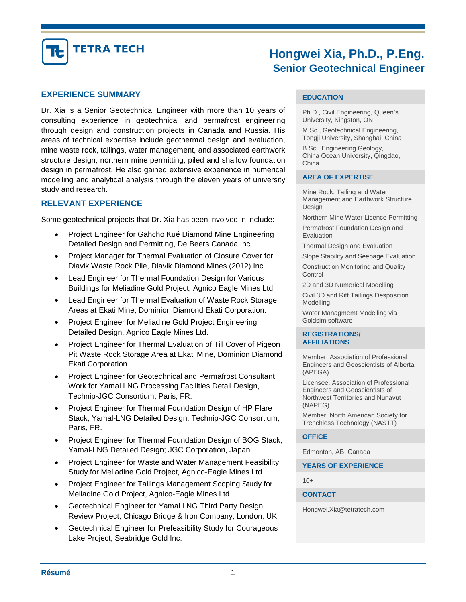

# **Hongwei Xia, Ph.D., P.Eng. Senior Geotechnical Engineer**

# **EXPERIENCE SUMMARY**

Dr. Xia is a Senior Geotechnical Engineer with more than 10 years of consulting experience in geotechnical and permafrost engineering through design and construction projects in Canada and Russia. His areas of technical expertise include geothermal design and evaluation, mine waste rock, tailings, water management, and associated earthwork structure design, northern mine permitting, piled and shallow foundation design in permafrost. He also gained extensive experience in numerical modelling and analytical analysis through the eleven years of university study and research.

#### **RELEVANT EXPERIENCE**

Some geotechnical projects that Dr. Xia has been involved in include:

- Project Engineer for Gahcho Kué Diamond Mine Engineering Detailed Design and Permitting, De Beers Canada Inc.
- Project Manager for Thermal Evaluation of Closure Cover for Diavik Waste Rock Pile, Diavik Diamond Mines (2012) Inc.
- Lead Engineer for Thermal Foundation Design for Various Buildings for Meliadine Gold Project, Agnico Eagle Mines Ltd.
- Lead Engineer for Thermal Evaluation of Waste Rock Storage Areas at Ekati Mine, Dominion Diamond Ekati Corporation.
- Project Engineer for Meliadine Gold Project Engineering Detailed Design, Agnico Eagle Mines Ltd.
- Project Engineer for Thermal Evaluation of Till Cover of Pigeon Pit Waste Rock Storage Area at Ekati Mine, Dominion Diamond Ekati Corporation.
- Project Engineer for Geotechnical and Permafrost Consultant Work for Yamal LNG Processing Facilities Detail Design, Technip-JGC Consortium, Paris, FR.
- Project Engineer for Thermal Foundation Design of HP Flare Stack, Yamal-LNG Detailed Design; Technip-JGC Consortium, Paris, FR.
- Project Engineer for Thermal Foundation Design of BOG Stack, Yamal-LNG Detailed Design; JGC Corporation, Japan.
- Project Engineer for Waste and Water Management Feasibility Study for Meliadine Gold Project, Agnico-Eagle Mines Ltd.
- Project Engineer for Tailings Management Scoping Study for Meliadine Gold Project, Agnico-Eagle Mines Ltd.
- Geotechnical Engineer for Yamal LNG Third Party Design Review Project, Chicago Bridge & Iron Company, London, UK.
- Geotechnical Engineer for Prefeasibility Study for Courageous Lake Project, Seabridge Gold Inc.

#### **EDUCATION**

Ph.D., Civil Engineering, Queen's University, Kingston, ON

M.Sc., Geotechnical Engineering, Tongji University, Shanghai, China

B.Sc., Engineering Geology, China Ocean University, Qingdao, China

#### **AREA OF EXPERTISE**

Mine Rock, Tailing and Water Management and Earthwork Structure Design

Northern Mine Water Licence Permitting

Permafrost Foundation Design and Evaluation

Thermal Design and Evaluation

Slope Stability and Seepage Evaluation Construction Monitoring and Quality

**Control** 

2D and 3D Numerical Modelling

Civil 3D and Rift Tailings Desposition Modelling

Water Managmemt Modelling via Goldsim software

#### **REGISTRATIONS/ AFFILIATIONS**

Member, Association of Professional Engineers and Geoscientists of Alberta (APEGA)

Licensee, Association of Professional Engineers and Geoscientists of Northwest Territories and Nunavut (NAPEG)

Member, North American Society for Trenchless Technology (NASTT)

#### **OFFICE**

Edmonton, AB, Canada

**YEARS OF EXPERIENCE** 

10+

**CONTACT** 

Hongwei.Xia@tetratech.com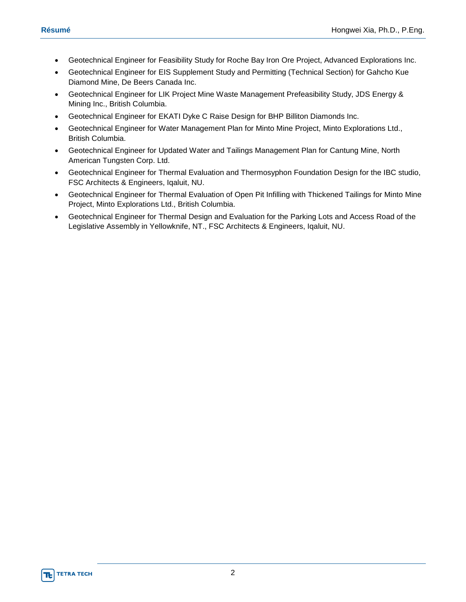- Geotechnical Engineer for Feasibility Study for Roche Bay Iron Ore Project, Advanced Explorations Inc.
- Geotechnical Engineer for EIS Supplement Study and Permitting (Technical Section) for Gahcho Kue Diamond Mine, De Beers Canada Inc.
- Geotechnical Engineer for LIK Project Mine Waste Management Prefeasibility Study, JDS Energy & Mining Inc., British Columbia.
- Geotechnical Engineer for EKATI Dyke C Raise Design for BHP Billiton Diamonds Inc.
- Geotechnical Engineer for Water Management Plan for Minto Mine Project, Minto Explorations Ltd., British Columbia.
- Geotechnical Engineer for Updated Water and Tailings Management Plan for Cantung Mine, North American Tungsten Corp. Ltd.
- Geotechnical Engineer for Thermal Evaluation and Thermosyphon Foundation Design for the IBC studio, FSC Architects & Engineers, Iqaluit, NU.
- Geotechnical Engineer for Thermal Evaluation of Open Pit Infilling with Thickened Tailings for Minto Mine Project, Minto Explorations Ltd., British Columbia.
- Geotechnical Engineer for Thermal Design and Evaluation for the Parking Lots and Access Road of the Legislative Assembly in Yellowknife, NT., FSC Architects & Engineers, Iqaluit, NU.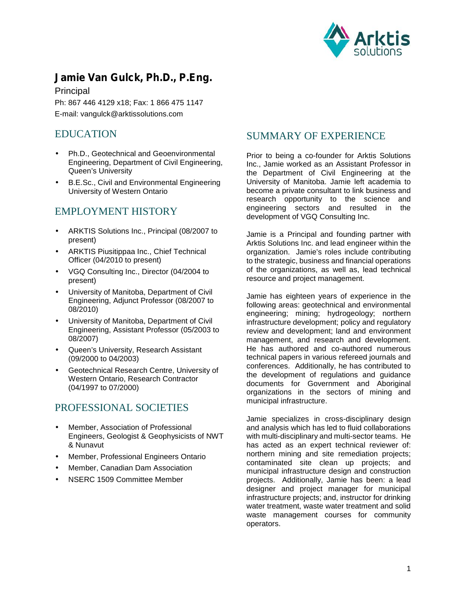

# **Jamie Van Gulck, Ph.D., P.Eng.**

Principal Ph: 867 446 4129 x18; Fax: 1 866 475 1147 E-mail: vangulck@arktissolutions.com

# EDUCATION

- Ph.D., Geotechnical and Geoenvironmental Engineering, Department of Civil Engineering, Queen's University
- B.E.Sc., Civil and Environmental Engineering University of Western Ontario

# EMPLOYMENT HISTORY

- ARKTIS Solutions Inc., Principal (08/2007 to present)
- ARKTIS Piusitippaa Inc., Chief Technical Officer (04/2010 to present)
- VGQ Consulting Inc., Director (04/2004 to present)
- University of Manitoba, Department of Civil Engineering, Adjunct Professor (08/2007 to 08/2010)
- University of Manitoba, Department of Civil Engineering, Assistant Professor (05/2003 to 08/2007)
- Queen's University, Research Assistant (09/2000 to 04/2003)
- Geotechnical Research Centre, University of Western Ontario, Research Contractor (04/1997 to 07/2000)

# PROFESSIONAL SOCIETIES

- Member, Association of Professional Engineers, Geologist & Geophysicists of NWT & Nunavut
- Member, Professional Engineers Ontario
- Member, Canadian Dam Association
- NSERC 1509 Committee Member

# SUMMARY OF EXPERIENCE

Prior to being a co-founder for Arktis Solutions Inc., Jamie worked as an Assistant Professor in the Department of Civil Engineering at the University of Manitoba. Jamie left academia to become a private consultant to link business and research opportunity to the science and engineering sectors and resulted in the development of VGQ Consulting Inc.

Jamie is a Principal and founding partner with Arktis Solutions Inc. and lead engineer within the organization. Jamie's roles include contributing to the strategic, business and financial operations of the organizations, as well as, lead technical resource and project management.

Jamie has eighteen years of experience in the following areas: geotechnical and environmental engineering; mining; hydrogeology; northern infrastructure development; policy and regulatory review and development; land and environment management, and research and development. He has authored and co-authored numerous technical papers in various refereed journals and conferences. Additionally, he has contributed to the development of regulations and guidance documents for Government and Aboriginal organizations in the sectors of mining and municipal infrastructure.

Jamie specializes in cross-disciplinary design and analysis which has led to fluid collaborations with multi-disciplinary and multi-sector teams. He has acted as an expert technical reviewer of: northern mining and site remediation projects; contaminated site clean up projects; and municipal infrastructure design and construction projects. Additionally, Jamie has been: a lead designer and project manager for municipal infrastructure projects; and, instructor for drinking water treatment, waste water treatment and solid waste management courses for community operators.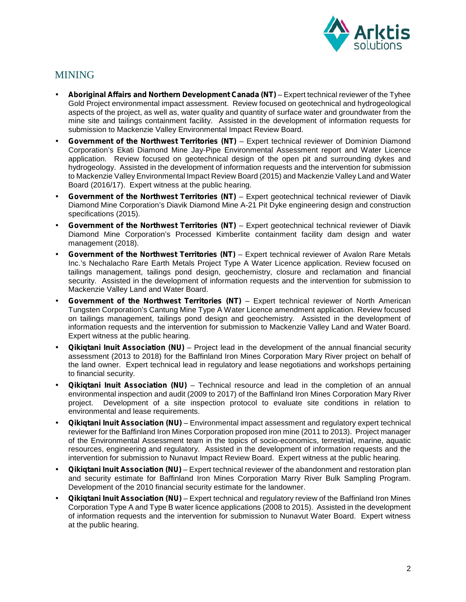

# MINING

- **Aboriginal Affairs and Northern Development Canada (NT)** Expert technical reviewer of the Tyhee Gold Project environmental impact assessment. Review focused on geotechnical and hydrogeological aspects of the project, as well as, water quality and quantity of surface water and groundwater from the mine site and tailings containment facility. Assisted in the development of information requests for submission to Mackenzie Valley Environmental Impact Review Board.
- **Government of the Northwest Territories (NT)** Expert technical reviewer of Dominion Diamond Corporation's Ekati Diamond Mine Jay-Pipe Environmental Assessment report and Water Licence application. Review focused on geotechnical design of the open pit and surrounding dykes and hydrogeology. Assisted in the development of information requests and the intervention for submission to Mackenzie Valley Environmental Impact Review Board (2015) and Mackenzie Valley Land and Water Board (2016/17). Expert witness at the public hearing.
- **Government of the Northwest Territories (NT)** Expert geotechnical technical reviewer of Diavik Diamond Mine Corporation's Diavik Diamond Mine A-21 Pit Dyke engineering design and construction specifications (2015).
- **Government of the Northwest Territories (NT)** Expert geotechnical technical reviewer of Diavik Diamond Mine Corporation's Processed Kimberlite containment facility dam design and water management (2018).
- **Government of the Northwest Territories (NT)** Expert technical reviewer of Avalon Rare Metals Inc.'s Nechalacho Rare Earth Metals Project Type A Water Licence application. Review focused on tailings management, tailings pond design, geochemistry, closure and reclamation and financial security. Assisted in the development of information requests and the intervention for submission to Mackenzie Valley Land and Water Board.
- **Government of the Northwest Territories (NT)** Expert technical reviewer of North American Tungsten Corporation's Cantung Mine Type A Water Licence amendment application. Review focused on tailings management, tailings pond design and geochemistry. Assisted in the development of information requests and the intervention for submission to Mackenzie Valley Land and Water Board. Expert witness at the public hearing.
- **Qikiqtani Inuit Association (NU)** Project lead in the development of the annual financial security assessment (2013 to 2018) for the Baffinland Iron Mines Corporation Mary River project on behalf of the land owner. Expert technical lead in regulatory and lease negotiations and workshops pertaining to financial security.
- **Qikiqtani Inuit Association (NU)** Technical resource and lead in the completion of an annual environmental inspection and audit (2009 to 2017) of the Baffinland Iron Mines Corporation Mary River project. Development of a site inspection protocol to evaluate site conditions in relation to environmental and lease requirements.
- **Qikiqtani Inuit Association (NU)** Environmental impact assessment and regulatory expert technical reviewer for the Baffinland Iron Mines Corporation proposed iron mine (2011 to 2013). Project manager of the Environmental Assessment team in the topics of socio-economics, terrestrial, marine, aquatic resources, engineering and regulatory. Assisted in the development of information requests and the intervention for submission to Nunavut Impact Review Board. Expert witness at the public hearing.
- **Qikiqtani Inuit Association (NU)** Expert technical reviewer of the abandonment and restoration plan and security estimate for Baffinland Iron Mines Corporation Marry River Bulk Sampling Program. Development of the 2010 financial security estimate for the landowner.
- **Qikiqtani Inuit Association (NU)** Expert technical and regulatory review of the Baffinland Iron Mines Corporation Type A and Type B water licence applications (2008 to 2015). Assisted in the development of information requests and the intervention for submission to Nunavut Water Board. Expert witness at the public hearing.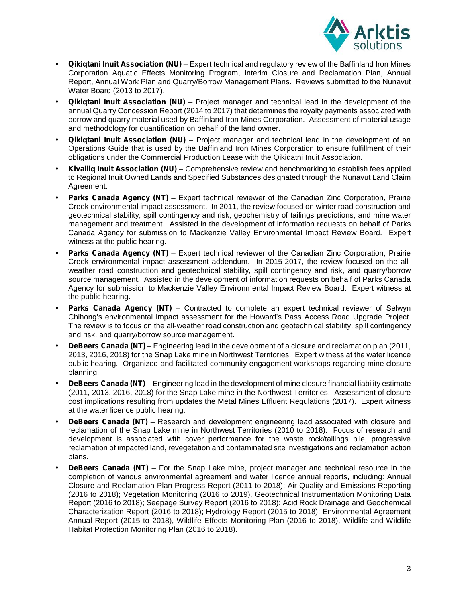

- **Qikiqtani Inuit Association (NU)** Expert technical and regulatory review of the Baffinland Iron Mines Corporation Aquatic Effects Monitoring Program, Interim Closure and Reclamation Plan, Annual Report, Annual Work Plan and Quarry/Borrow Management Plans. Reviews submitted to the Nunavut Water Board (2013 to 2017).
- **Qikiqtani Inuit Association (NU)** Project manager and technical lead in the development of the annual Quarry Concession Report (2014 to 2017) that determines the royalty payments associated with borrow and quarry material used by Baffinland Iron Mines Corporation. Assessment of material usage and methodology for quantification on behalf of the land owner.
- **Qikiqtani Inuit Association (NU)** Project manager and technical lead in the development of an Operations Guide that is used by the Baffinland Iron Mines Corporation to ensure fulfillment of their obligations under the Commercial Production Lease with the Qikiqatni Inuit Association.
- **Kivalliq Inuit Association (NU)** Comprehensive review and benchmarking to establish fees applied to Regional Inuit Owned Lands and Specified Substances designated through the Nunavut Land Claim Agreement.
- **Parks Canada Agency (NT)** Expert technical reviewer of the Canadian Zinc Corporation, Prairie Creek environmental impact assessment. In 2011, the review focused on winter road construction and geotechnical stability, spill contingency and risk, geochemistry of tailings predictions, and mine water management and treatment. Assisted in the development of information requests on behalf of Parks Canada Agency for submission to Mackenzie Valley Environmental Impact Review Board. Expert witness at the public hearing.
- **Parks Canada Agency (NT)** Expert technical reviewer of the Canadian Zinc Corporation, Prairie Creek environmental impact assessment addendum. In 2015-2017, the review focused on the all weather road construction and geotechnical stability, spill contingency and risk, and quarry/borrow source management. Assisted in the development of information requests on behalf of Parks Canada Agency for submission to Mackenzie Valley Environmental Impact Review Board. Expert witness at the public hearing.
- **Parks Canada Agency (NT)** Contracted to complete an expert technical reviewer of Selwyn Chihong's environmental impact assessment for the Howard's Pass Access Road Upgrade Project. The review is to focus on the all-weather road construction and geotechnical stability, spill contingency and risk, and quarry/borrow source management.
- **DeBeers Canada (NT)** Engineering lead in the development of a closure and reclamation plan (2011, 2013, 2016, 2018) for the Snap Lake mine in Northwest Territories. Expert witness at the water licence public hearing. Organized and facilitated community engagement workshops regarding mine closure planning.
- **DeBeers Canada (NT)** Engineering lead in the development of mine closure financial liability estimate (2011, 2013, 2016, 2018) for the Snap Lake mine in the Northwest Territories. Assessment of closure cost implications resulting from updates the Metal Mines Effluent Regulations (2017). Expert witness at the water licence public hearing.
- **DeBeers Canada (NT)** Research and development engineering lead associated with closure and reclamation of the Snap Lake mine in Northwest Territories (2010 to 2018). Focus of research and development is associated with cover performance for the waste rock/tailings pile, progressive reclamation of impacted land, revegetation and contaminated site investigations and reclamation action plans.
- **DeBeers Canada (NT)** For the Snap Lake mine, project manager and technical resource in the completion of various environmental agreement and water licence annual reports, including: Annual Closure and Reclamation Plan Progress Report (2011 to 2018); Air Quality and Emissions Reporting (2016 to 2018); Vegetation Monitoring (2016 to 2019), Geotechnical Instrumentation Monitoring Data Report (2016 to 2018); Seepage Survey Report (2016 to 2018); Acid Rock Drainage and Geochemical Characterization Report (2016 to 2018); Hydrology Report (2015 to 2018); Environmental Agreement Annual Report (2015 to 2018), Wildlife Effects Monitoring Plan (2016 to 2018), Wildlife and Wildlife Habitat Protection Monitoring Plan (2016 to 2018).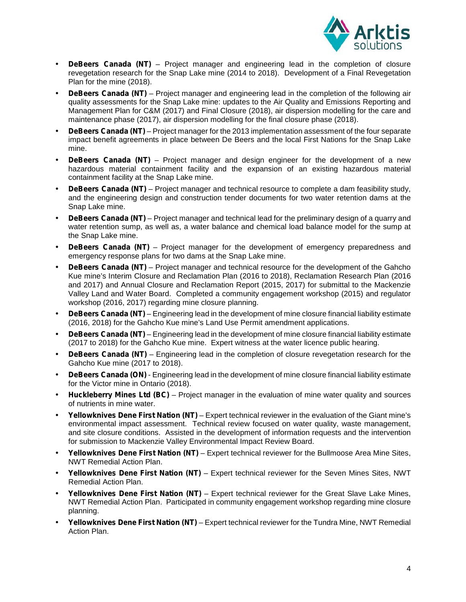

- **DeBeers Canada (NT)** Project manager and engineering lead in the completion of closure revegetation research for the Snap Lake mine (2014 to 2018). Development of a Final Revegetation Plan for the mine (2018).
- **DeBeers Canada (NT)** Project manager and engineering lead in the completion of the following air quality assessments for the Snap Lake mine: updates to the Air Quality and Emissions Reporting and Management Plan for C&M (2017) and Final Closure (2018), air dispersion modelling for the care and maintenance phase (2017), air dispersion modelling for the final closure phase (2018).
- **DeBeers Canada (NT)** Project manager for the 2013 implementation assessment of the four separate impact benefit agreements in place between De Beers and the local First Nations for the Snap Lake mine.
- **DeBeers Canada (NT)** Project manager and design engineer for the development of a new hazardous material containment facility and the expansion of an existing hazardous material containment facility at the Snap Lake mine.
- **DeBeers Canada (NT)** Project manager and technical resource to complete a dam feasibility study, and the engineering design and construction tender documents for two water retention dams at the Snap Lake mine.
- **DeBeers Canada (NT)** Project manager and technical lead for the preliminary design of a quarry and water retention sump, as well as, a water balance and chemical load balance model for the sump at the Snap Lake mine.
- **DeBeers Canada (NT)** Project manager for the development of emergency preparedness and emergency response plans for two dams at the Snap Lake mine.
- **DeBeers Canada (NT)** Project manager and technical resource for the development of the Gahcho Kue mine's Interim Closure and Reclamation Plan (2016 to 2018), Reclamation Research Plan (2016 and 2017) and Annual Closure and Reclamation Report (2015, 2017) for submittal to the Mackenzie Valley Land and Water Board. Completed a community engagement workshop (2015) and regulator workshop (2016, 2017) regarding mine closure planning.
- **DeBeers Canada (NT)** Engineering lead in the development of mine closure financial liability estimate (2016, 2018) for the Gahcho Kue mine's Land Use Permit amendment applications.
- **DeBeers Canada (NT)** Engineering lead in the development of mine closure financial liability estimate (2017 to 2018) for the Gahcho Kue mine. Expert witness at the water licence public hearing.
- **DeBeers Canada (NT)** Engineering lead in the completion of closure revegetation research for the Gahcho Kue mine (2017 to 2018).
- **DeBeers Canada (ON)** Engineering lead in the development of mine closure financial liability estimate for the Victor mine in Ontario (2018).
- **Huckleberry Mines Ltd (BC)** Project manager in the evaluation of mine water quality and sources of nutrients in mine water.
- **Yellowknives Dene First Nation (NT)** Expert technical reviewer in the evaluation of the Giant mine's environmental impact assessment. Technical review focused on water quality, waste management, and site closure conditions. Assisted in the development of information requests and the intervention for submission to Mackenzie Valley Environmental Impact Review Board.
- **Yellowknives Dene First Nation (NT)** Expert technical reviewer for the Bullmoose Area Mine Sites, NWT Remedial Action Plan.
- **Yellowknives Dene First Nation (NT)** Expert technical reviewer for the Seven Mines Sites, NWT Remedial Action Plan.
- **Yellowknives Dene First Nation (NT)** Expert technical reviewer for the Great Slave Lake Mines, NWT Remedial Action Plan. Participated in community engagement workshop regarding mine closure planning.
- **Yellowknives Dene First Nation (NT)** Expert technical reviewer for the Tundra Mine, NWT Remedial Action Plan.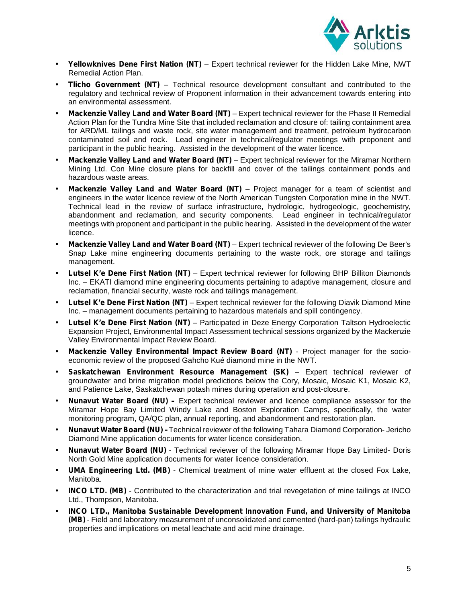

- **Yellowknives Dene First Nation (NT)** Expert technical reviewer for the Hidden Lake Mine, NWT Remedial Action Plan.
- **Tlicho Government (NT)** Technical resource development consultant and contributed to the regulatory and technical review of Proponent information in their advancement towards entering into an environmental assessment.
- **Mackenzie Valley Land and Water Board (NT)** Expert technical reviewer for the Phase II Remedial Action Plan for the Tundra Mine Site that included reclamation and closure of: tailing containment area for ARD/ML tailings and waste rock, site water management and treatment, petroleum hydrocarbon contaminated soil and rock. Lead engineer in technical/regulator meetings with proponent and participant in the public hearing. Assisted in the development of the water licence.
- **Mackenzie Valley Land and Water Board (NT)** Expert technical reviewer for the Miramar Northern Mining Ltd. Con Mine closure plans for backfill and cover of the tailings containment ponds and hazardous waste areas.
- **Mackenzie Valley Land and Water Board (NT)** Project manager for a team of scientist and engineers in the water licence review of the North American Tungsten Corporation mine in the NWT. Technical lead in the review of surface infrastructure, hydrologic, hydrogeologic, geochemistry, abandonment and reclamation, and security components. Lead engineer in technical/regulator meetings with proponent and participant in the public hearing. Assisted in the development of the water licence.
- **Mackenzie Valley Land and Water Board (NT)** Expert technical reviewer of the following De Beer's Snap Lake mine engineering documents pertaining to the waste rock, ore storage and tailings management.
- **Lutsel K'e Dene First Nation (NT)** Expert technical reviewer for following BHP Billiton Diamonds Inc. – EKATI diamond mine engineering documents pertaining to adaptive management, closure and reclamation, financial security, waste rock and tailings management.
- **Lutsel K'e Dene First Nation (NT)** Expert technical reviewer for the following Diavik Diamond Mine Inc. – management documents pertaining to hazardous materials and spill contingency.
- **Lutsel K'e Dene First Nation (NT)** Participated in Deze Energy Corporation Taltson Hydroelectic Expansion Project, Environmental Impact Assessment technical sessions organized by the Mackenzie Valley Environmental Impact Review Board.
- **Mackenzie Valley Environmental Impact Review Board (NT)** Project manager for the socio economic review of the proposed Gahcho Kué diamond mine in the NWT.
- **Saskatchewan Environment Resource Management (SK)** Expert technical reviewer of groundwater and brine migration model predictions below the Cory, Mosaic, Mosaic K1, Mosaic K2, and Patience Lake, Saskatchewan potash mines during operation and post-closure.
- **Nunavut Water Board (NU) –** Expert technical reviewer and licence compliance assessor for the Miramar Hope Bay Limited Windy Lake and Boston Exploration Camps, specifically, the water monitoring program, QA/QC plan, annual reporting, and abandonment and restoration plan.
- **Nunavut Water Board (NU) –**Technical reviewer of the following Tahara Diamond Corporation- Jericho Diamond Mine application documents for water licence consideration.
- **Nunavut Water Board (NU)** Technical reviewer of the following Miramar Hope Bay Limited- Doris North Gold Mine application documents for water licence consideration.
- **UMA Engineering Ltd. (MB)** Chemical treatment of mine water effluent at the closed Fox Lake, Manitoba.
- **INCO LTD. (MB)** Contributed to the characterization and trial revegetation of mine tailings at INCO Ltd., Thompson, Manitoba.
- **INCO LTD., Manitoba Sustainable Development Innovation Fund, and University of Manitoba (MB)** - Field and laboratory measurement of unconsolidated and cemented (hard-pan) tailings hydraulic properties and implications on metal leachate and acid mine drainage.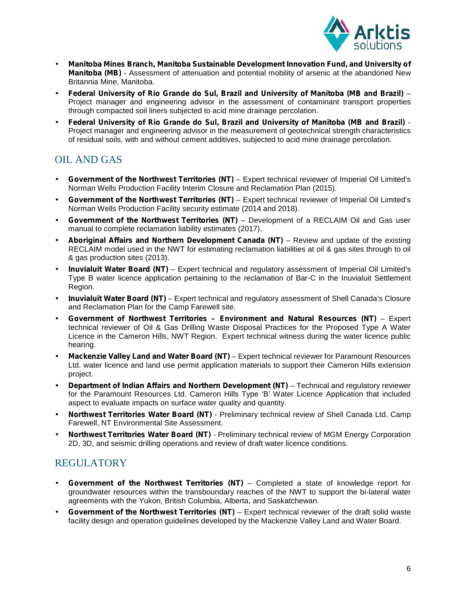

- **Manitoba Mines Branch, Manitoba Sustainable Development Innovation Fund, and University of Manitoba (MB)** - Assessment of attenuation and potential mobility of arsenic at the abandoned New Britannia Mine, Manitoba.
- **Federal University of Rio Grande do Sul, Brazil and University of Manitoba (MB and Brazil)** Project manager and engineering advisor in the assessment of contaminant transport properties through compacted soil liners subjected to acid mine drainage percolation.
- **Federal University of Rio Grande do Sul, Brazil and University of Manitoba (MB and Brazil)** Project manager and engineering advisor in the measurement of geotechnical strength characteristics of residual soils, with and without cement additives, subjected to acid mine drainage percolation.

# OIL AND GAS

- **Government of the Northwest Territories (NT)** Expert technical reviewer of Imperial Oil Limited's Norman Wells Production Facility Interim Closure and Reclamation Plan (2015).
- **Government of the Northwest Territories (NT)** Expert technical reviewer of Imperial Oil Limited's Norman Wells Production Facility security estimate (2014 and 2018).
- **Government of the Northwest Territories (NT)** Development of a RECLAIM Oil and Gas user manual to complete reclamation liability estimates (2017).
- **Aboriginal Affairs and Northern Development Canada (NT)** Review and update of the existing RECLAIM model used in the NWT for estimating reclamation liabilities at oil & gas sites through to oil & gas production sites (2013).
- **Inuvialuit Water Board (NT)** Expert technical and regulatory assessment of Imperial Oil Limited's Type B water licence application pertaining to the reclamation of Bar-C in the Inuvialuit Settlement Region.
- **Inuvialuit Water Board (NT)** Expert technical and regulatory assessment of Shell Canada's Closure and Reclamation Plan for the Camp Farewell site.
- **Government of Northwest Territories – Environment and Natural Resources (NT)** Expert technical reviewer of Oil & Gas Drilling Waste Disposal Practices for the Proposed Type A Water Licence in the Cameron Hills, NWT Region. Expert technical witness during the water licence public hearing.
- **Mackenzie Valley Land and Water Board (NT)** Expert technical reviewer for Paramount Resources Ltd. water licence and land use permit application materials to support their Cameron Hills extension project.
- **Department of Indian Affairs and Northern Development (NT)** Technical and regulatory reviewer for the Paramount Resources Ltd. Cameron Hills Type 'B' Water Licence Application that included aspect to evaluate impacts on surface water quality and quantity.
- **Northwest Territories Water Board (NT)** Preliminary technical review of Shell Canada Ltd. Camp Farewell, NT Environmental Site Assessment.
- **Northwest Territories Water Board (NT)** Preliminary technical review of MGM Energy Corporation 2D, 3D, and seismic drilling operations and review of draft water licence conditions.

# REGULATORY

- **Government of the Northwest Territories (NT)** Completed a state of knowledge report for groundwater resources within the transboundary reaches of the NWT to support the bi-lateral water agreements with the Yukon, British Columbia, Alberta, and Saskatchewan.
- **Government of the Northwest Territories (NT)** Expert technical reviewer of the draft solid waste facility design and operation guidelines developed by the Mackenzie Valley Land and Water Board.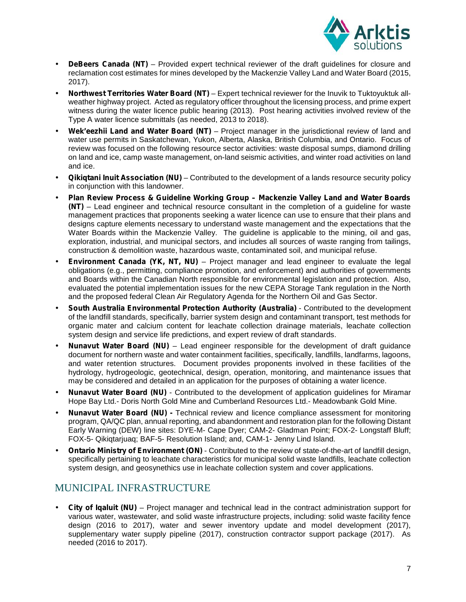

- **DeBeers Canada (NT)** Provided expert technical reviewer of the draft guidelines for closure and reclamation cost estimates for mines developed by the Mackenzie Valley Land and Water Board (2015, 2017).
- **Northwest Territories Water Board (NT)** Expert technical reviewer for the Inuvik to Tuktoyuktuk all weather highway project. Acted as regulatory officer throughout the licensing process, and prime expert witness during the water licence public hearing (2013). Post hearing activities involved review of the Type A water licence submittals (as needed, 2013 to 2018).
- Wek'eezhii Land and Water Board (NT) Project manager in the jurisdictional review of land and water use permits in Saskatchewan, Yukon, Alberta, Alaska, British Columbia, and Ontario. Focus of review was focused on the following resource sector activities: waste disposal sumps, diamond drilling on land and ice, camp waste management, on-land seismic activities, and winter road activities on land and ice.
- **Qikiqtani Inuit Association (NU)** Contributed to the development of a lands resource security policy in conjunction with this landowner.
- **Plan Review Process & Guideline Working Group – Mackenzie Valley Land and Water Boards (NT)** – Lead engineer and technical resource consultant in the completion of a guideline for waste management practices that proponents seeking a water licence can use to ensure that their plans and designs capture elements necessary to understand waste management and the expectations that the Water Boards within the Mackenzie Valley. The guideline is applicable to the mining, oil and gas, exploration, industrial, and municipal sectors, and includes all sources of waste ranging from tailings, construction & demolition waste, hazardous waste, contaminated soil, and municipal refuse.
- **Environment Canada (YK, NT, NU)** Project manager and lead engineer to evaluate the legal obligations (e.g., permitting, compliance promotion, and enforcement) and authorities of governments and Boards within the Canadian North responsible for environmental legislation and protection. Also, evaluated the potential implementation issues for the new CEPA Storage Tank regulation in the North and the proposed federal Clean Air Regulatory Agenda for the Northern Oil and Gas Sector.
- **South Australia Environmental Protection Authority (Australia)** Contributed to the development of the landfill standards, specifically, barrier system design and contaminant transport, test methods for organic mater and calcium content for leachate collection drainage materials, leachate collection system design and service life predictions, and expert review of draft standards.
- **Nunavut Water Board (NU)** Lead engineer responsible for the development of draft guidance document for northern waste and water containment facilities, specifically, landfills, landfarms, lagoons, and water retention structures. Document provides proponents involved in these facilities of the hydrology, hydrogeologic, geotechnical, design, operation, monitoring, and maintenance issues that may be considered and detailed in an application for the purposes of obtaining a water licence.
- **Nunavut Water Board (NU)** Contributed to the development of application guidelines for Miramar Hope Bay Ltd.- Doris North Gold Mine and Cumberland Resources Ltd.- Meadowbank Gold Mine.
- **Nunavut Water Board (NU) -** Technical review and licence compliance assessment for monitoring program, QA/QC plan, annual reporting, and abandonment and restoration plan for the following Distant Early Warning (DEW) line sites: DYE-M- Cape Dyer; CAM-2- Gladman Point; FOX-2- Longstaff Bluff; FOX-5- Qikiqtarjuaq; BAF-5- Resolution Island; and, CAM-1- Jenny Lind Island.
- **Ontario Ministry of Environment (ON)** Contributed to the review of state-of-the-art of landfill design, specifically pertaining to leachate characteristics for municipal solid waste landfills, leachate collection system design, and geosynethics use in leachate collection system and cover applications.

# MUNICIPAL INFRASTRUCTURE

 **City of Iqaluit (NU)** – Project manager and technical lead in the contract administration support for various water, wastewater, and solid waste infrastructure projects, including: solid waste facility fence design (2016 to 2017), water and sewer inventory update and model development (2017), supplementary water supply pipeline (2017), construction contractor support package (2017). As needed (2016 to 2017).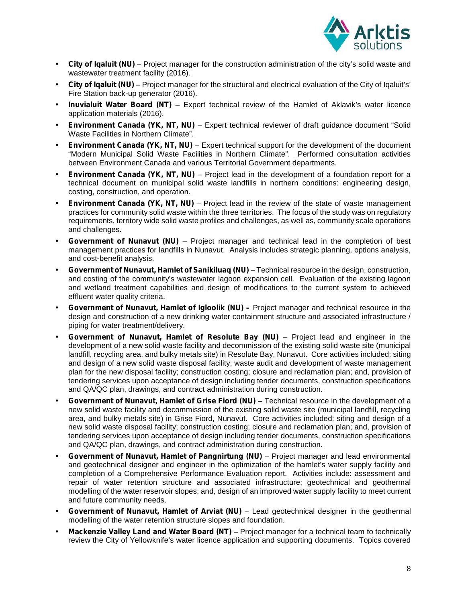

- **City of Iqaluit (NU)** Project manager for the construction administration of the city's solid waste and wastewater treatment facility (2016).
- **City of Iqaluit (NU)** Project manager for the structural and electrical evaluation of the City of Iqaluit's' Fire Station back-up generator (2016).
- **Inuvialuit Water Board (NT)** Expert technical review of the Hamlet of Aklavik's water licence application materials (2016).
- **Environment Canada (YK, NT, NU)** Expert technical reviewer of draft guidance document "Solid Waste Facilities in Northern Climate".
- **Environment Canada (YK, NT, NU)** Expert technical support for the development of the document "Modern Municipal Solid Waste Facilities in Northern Climate". Performed consultation activities between Environment Canada and various Territorial Government departments.
- **Environment Canada (YK, NT, NU)** Project lead in the development of a foundation report for a technical document on municipal solid waste landfills in northern conditions: engineering design, costing, construction, and operation.
- **Environment Canada (YK, NT, NU)** Project lead in the review of the state of waste management practices for community solid waste within the three territories. The focus of the study was on regulatory requirements, territory wide solid waste profiles and challenges, as well as, community scale operations and challenges.
- **Government of Nunavut (NU)** Project manager and technical lead in the completion of best management practices for landfills in Nunavut. Analysis includes strategic planning, options analysis, and cost-benefit analysis.
- **Government of Nunavut, Hamlet of Sanikiluaq (NU)** Technical resource in the design, construction, and costing of the community's wastewater lagoon expansion cell. Evaluation of the existing lagoon and wetland treatment capabilities and design of modifications to the current system to achieved effluent water quality criteria.
- **Government of Nunavut, Hamlet of Igloolik (NU) –** Project manager and technical resource in the design and construction of a new drinking water containment structure and associated infrastructure / piping for water treatment/delivery.
- **Government of Nunavut, Hamlet of Resolute Bay (NU)** Project lead and engineer in the development of a new solid waste facility and decommission of the existing solid waste site (municipal landfill, recycling area, and bulky metals site) in Resolute Bay, Nunavut. Core activities included: siting and design of a new solid waste disposal facility; waste audit and development of waste management plan for the new disposal facility; construction costing; closure and reclamation plan; and, provision of tendering services upon acceptance of design including tender documents, construction specifications and QA/QC plan, drawings, and contract administration during construction.
- **Government of Nunavut, Hamlet of Grise Fiord (NU)** Technical resource in the development of a new solid waste facility and decommission of the existing solid waste site (municipal landfill, recycling area, and bulky metals site) in Grise Fiord, Nunavut. Core activities included: siting and design of a new solid waste disposal facility; construction costing; closure and reclamation plan; and, provision of tendering services upon acceptance of design including tender documents, construction specifications and QA/QC plan, drawings, and contract administration during construction.
- **Government of Nunavut, Hamlet of Pangnirtung (NU)** Project manager and lead environmental and geotechnical designer and engineer in the optimization of the hamlet's water supply facility and completion of a Comprehensive Performance Evaluation report. Activities include: assessment and repair of water retention structure and associated infrastructure; geotechnical and geothermal modelling of the water reservoir slopes; and, design of an improved water supply facility to meet current and future community needs.
- **Government of Nunavut, Hamlet of Arviat (NU)** Lead geotechnical designer in the geothermal modelling of the water retention structure slopes and foundation.
- **Mackenzie Valley Land and Water Board (NT)** Project manager for a technical team to technically review the City of Yellowknife's water licence application and supporting documents. Topics covered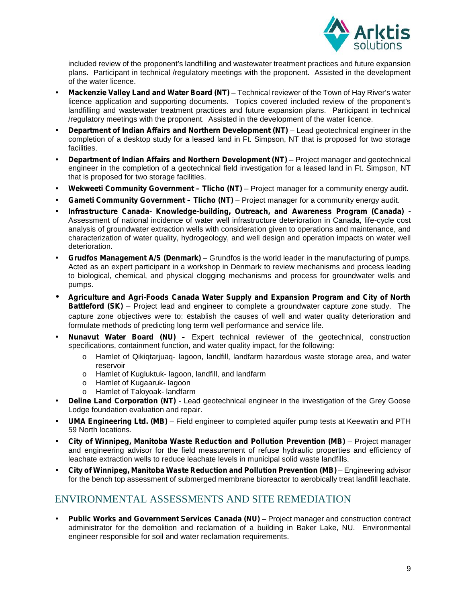

included review of the proponent's landfilling and wastewater treatment practices and future expansion plans. Participant in technical /regulatory meetings with the proponent. Assisted in the development of the water licence.

- **Mackenzie Valley Land and Water Board (NT)** Technical reviewer of the Town of Hay River's water licence application and supporting documents. Topics covered included review of the proponent's landfilling and wastewater treatment practices and future expansion plans. Participant in technical /regulatory meetings with the proponent. Assisted in the development of the water licence.
- **Department of Indian Affairs and Northern Development (NT)** Lead geotechnical engineer in the completion of a desktop study for a leased land in Ft. Simpson, NT that is proposed for two storage facilities.
- **Department of Indian Affairs and Northern Development (NT)** Project manager and geotechnical engineer in the completion of a geotechnical field investigation for a leased land in Ft. Simpson, NT that is proposed for two storage facilities.
	- Wekweeti Community Government Tlicho (NT) Project manager for a community energy audit.
- **Gameti Community Government – Tlicho (NT)** Project manager for a community energy audit.
	- **Infrastructure Canada- Knowledge-building, Outreach, and Awareness Program (Canada) -** Assessment of national incidence of water well infrastructure deterioration in Canada, life-cycle cost analysis of groundwater extraction wells with consideration given to operations and maintenance, and characterization of water quality, hydrogeology, and well design and operation impacts on water well deterioration.
- **Grudfos Management A/S (Denmark)** Grundfos is the world leader in the manufacturing of pumps. Acted as an expert participant in a workshop in Denmark to review mechanisms and process leading to biological, chemical, and physical clogging mechanisms and process for groundwater wells and pumps.
- **Agriculture and Agri-Foods Canada Water Supply and Expansion Program and City of North Battleford (SK)** – Project lead and engineer to complete a groundwater capture zone study. The capture zone objectives were to: establish the causes of well and water quality deterioration and formulate methods of predicting long term well performance and service life.
- **Nunavut Water Board (NU) –** Expert technical reviewer of the geotechnical, construction specifications, containment function, and water quality impact, for the following:
	- o Hamlet of Qikiqtarjuaq- lagoon, landfill, landfarm hazardous waste storage area, and water reservoir
	- o Hamlet of Kugluktuk- lagoon, landfill, and landfarm
	- o Hamlet of Kugaaruk- lagoon
	- o Hamlet of Taloyoak- landfarm
- **Deline Land Corporation (NT)** Lead geotechnical engineer in the investigation of the Grey Goose Lodge foundation evaluation and repair.
- **UMA Engineering Ltd. (MB)** Field engineer to completed aquifer pump tests at Keewatin and PTH 59 North locations.
- **City of Winnipeg, Manitoba Waste Reduction and Pollution Prevention (MB)** Project manager and engineering advisor for the field measurement of refuse hydraulic properties and efficiency of leachate extraction wells to reduce leachate levels in municipal solid waste landfills.
- **City of Winnipeg, Manitoba Waste Reduction and Pollution Prevention (MB)** Engineering advisor for the bench top assessment of submerged membrane bioreactor to aerobically treat landfill leachate.

# ENVIRONMENTAL ASSESSMENTS AND SITE REMEDIATION

 **Public Works and Government Services Canada (NU)** – Project manager and construction contract administrator for the demolition and reclamation of a building in Baker Lake, NU. Environmental engineer responsible for soil and water reclamation requirements.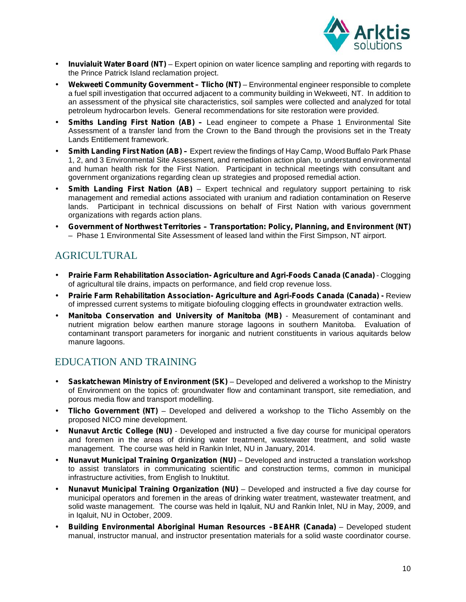

- **Inuvialuit Water Board (NT)** Expert opinion on water licence sampling and reporting with regards to the Prince Patrick Island reclamation project.
- **Wekweeti Community Government – Tlicho (NT)** Environmental engineer responsible to complete a fuel spill investigation that occurred adjacent to a community building in Wekweeti, NT. In addition to an assessment of the physical site characteristics, soil samples were collected and analyzed for total petroleum hydrocarbon levels. General recommendations for site restoration were provided.
- **Smiths Landing First Nation (AB) –** Lead engineer to compete a Phase 1 Environmental Site Assessment of a transfer land from the Crown to the Band through the provisions set in the Treaty Lands Entitlement framework.
- **Smith Landing First Nation (AB) –** Expert review the findings of Hay Camp, Wood Buffalo Park Phase 1, 2, and 3 Environmental Site Assessment, and remediation action plan, to understand environmental and human health risk for the First Nation. Participant in technical meetings with consultant and government organizations regarding clean up strategies and proposed remedial action.
- **Smith Landing First Nation (AB)** Expert technical and regulatory support pertaining to risk management and remedial actions associated with uranium and radiation contamination on Reserve lands. Participant in technical discussions on behalf of First Nation with various government organizations with regards action plans.
- **Government of Northwest Territories – Transportation: Policy, Planning, and Environment (NT)** – Phase 1 Environmental Site Assessment of leased land within the First Simpson, NT airport.

# AGRICULTURAL

- **Prairie Farm Rehabilitation Association- Agriculture and Agri-Foods Canada (Canada)** Clogging of agricultural tile drains, impacts on performance, and field crop revenue loss.
- **Prairie Farm Rehabilitation Association- Agriculture and Agri-Foods Canada (Canada) -** Review of impressed current systems to mitigate biofouling clogging effects in groundwater extraction wells.
- **Manitoba Conservation and University of Manitoba (MB)** Measurement of contaminant and nutrient migration below earthen manure storage lagoons in southern Manitoba. Evaluation of contaminant transport parameters for inorganic and nutrient constituents in various aquitards below manure lagoons.

# EDUCATION AND TRAINING

- **Saskatchewan Ministry of Environment (SK)** Developed and delivered a workshop to the Ministry of Environment on the topics of: groundwater flow and contaminant transport, site remediation, and porous media flow and transport modelling.
- **Tlicho Government (NT)** Developed and delivered a workshop to the Tlicho Assembly on the proposed NICO mine development.
- **Nunavut Arctic College (NU)** Developed and instructed a five day course for municipal operators and foremen in the areas of drinking water treatment, wastewater treatment, and solid waste management. The course was held in Rankin Inlet, NU in January, 2014.
- **Nunavut Municipal Training Organization (NU)** Developed and instructed a translation workshop to assist translators in communicating scientific and construction terms, common in municipal infrastructure activities, from English to Inuktitut.
- **Nunavut Municipal Training Organization (NU)** Developed and instructed a five day course for municipal operators and foremen in the areas of drinking water treatment, wastewater treatment, and solid waste management. The course was held in Iqaluit, NU and Rankin Inlet, NU in May, 2009, and in Iqaluit, NU in October, 2009.
- **Building Environmental Aboriginal Human Resources –BEAHR (Canada)** Developed student manual, instructor manual, and instructor presentation materials for a solid waste coordinator course.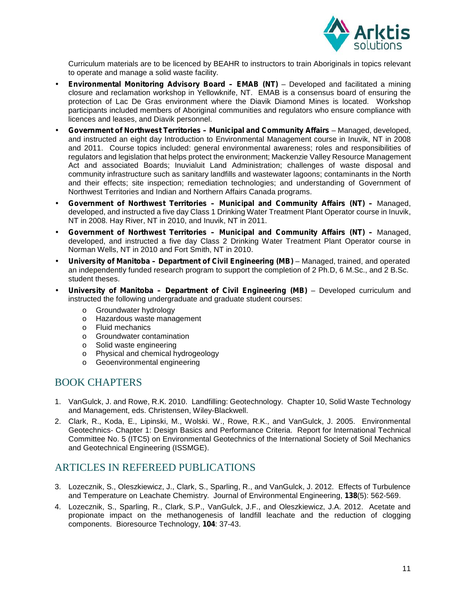

Curriculum materials are to be licenced by BEAHR to instructors to train Aboriginals in topics relevant to operate and manage a solid waste facility.

- **Environmental Monitoring Advisory Board – EMAB (NT)** Developed and facilitated a mining closure and reclamation workshop in Yellowknife, NT. EMAB is a consensus board of ensuring the protection of Lac De Gras environment where the Diavik Diamond Mines is located. Workshop participants included members of Aboriginal communities and regulators who ensure compliance with licences and leases, and Diavik personnel.
- **Government of Northwest Territories – Municipal and Community Affairs** Managed, developed, and instructed an eight day Introduction to Environmental Management course in Inuvik, NT in 2008 and 2011. Course topics included: general environmental awareness; roles and responsibilities of regulators and legislation that helps protect the environment; Mackenzie Valley Resource Management Act and associated Boards; Inuvialuit Land Administration; challenges of waste disposal and community infrastructure such as sanitary landfills and wastewater lagoons; contaminants in the North and their effects; site inspection; remediation technologies; and understanding of Government of Northwest Territories and Indian and Northern Affairs Canada programs.
- **Government of Northwest Territories – Municipal and Community Affairs (NT) –** Managed, developed, and instructed a five day Class 1 Drinking Water Treatment Plant Operator course in Inuvik, NT in 2008. Hay River, NT in 2010, and Inuvik, NT in 2011.
- **Government of Northwest Territories – Municipal and Community Affairs (NT) –** Managed, developed, and instructed a five day Class 2 Drinking Water Treatment Plant Operator course in Norman Wells, NT in 2010 and Fort Smith, NT in 2010.
- **University of Manitoba – Department of Civil Engineering (MB)** Managed, trained, and operated an independently funded research program to support the completion of 2 Ph.D, 6 M.Sc., and 2 B.Sc. student theses.
- **University of Manitoba – Department of Civil Engineering (MB)** Developed curriculum and instructed the following undergraduate and graduate student courses:
	- o Groundwater hydrology
	- o Hazardous waste management
	- o Fluid mechanics
	- o Groundwater contamination
	- o Solid waste engineering
	- o Physical and chemical hydrogeology
	- o Geoenvironmental engineering

# BOOK CHAPTERS

- 1. VanGulck, J. and Rowe, R.K. 2010. Landfilling: Geotechnology. Chapter 10, Solid Waste Technology and Management, eds. Christensen, Wiley-Blackwell.
- 2. Clark, R., Koda, E., Lipinski, M., Wolski. W., Rowe, R.K., and VanGulck, J. 2005. Environmental Geotechnics- Chapter 1: Design Basics and Performance Criteria. Report for International Technical Committee No. 5 (ITC5) on Environmental Geotechnics of the International Society of Soil Mechanics and Geotechnical Engineering (ISSMGE).

# ARTICLES IN REFEREED PUBLICATIONS

- 3. Lozecznik, S., Oleszkiewicz, J., Clark, S., Sparling, R., and VanGulck, J. 2012. Effects of Turbulence and Temperature on Leachate Chemistry. Journal of Environmental Engineering, **138**(5): 562-569.
- 4. Lozecznik, S., Sparling, R., Clark, S.P., VanGulck, J.F., and Oleszkiewicz, J.A. 2012. Acetate and propionate impact on the methanogenesis of landfill leachate and the reduction of clogging components. Bioresource Technology, **104**: 37-43.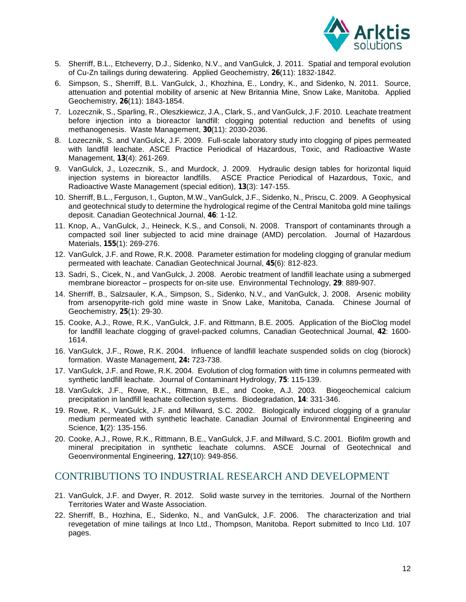

- 5. Sherriff, B.L., Etcheverry, D.J., Sidenko, N.V., and VanGulck, J. 2011. Spatial and temporal evolution of Cu-Zn tailings during dewatering. Applied Geochemistry, **26**(11): 1832-1842.
- 6. Simpson, S., Sherriff, B.L. VanGulck, J., Khozhina, E., Londry, K., and Sidenko, N. 2011. Source, attenuation and potential mobility of arsenic at New Britannia Mine, Snow Lake, Manitoba. Applied Geochemistry, **26**(11): 1843-1854.
- 7. Lozecznik, S., Sparling, R., Oleszkiewicz, J.A., Clark, S., and VanGulck, J.F. 2010. Leachate treatment before injection into a bioreactor landfill: clogging potential reduction and benefits of using methanogenesis. Waste Management, **30**(11): 2030-2036.
- 8. Lozecznik, S. and VanGulck, J.F. 2009. Full-scale laboratory study into clogging of pipes permeated with landfill leachate. ASCE Practice Periodical of Hazardous, Toxic, and Radioactive Waste Management, **13**(4): 261-269.
- 9. VanGulck, J., Lozecznik, S., and Murdock, J. 2009. Hydraulic design tables for horizontal liquid injection systems in bioreactor landfills. ASCE Practice Periodical of Hazardous, Toxic, and Radioactive Waste Management (special edition), **13**(3): 147-155.
- 10. Sherriff, B.L., Ferguson, I., Gupton, M.W., VanGulck, J.F., Sidenko, N., Priscu, C. 2009. A Geophysical and geotechnical study to determine the hydrological regime of the Central Manitoba gold mine tailings deposit. Canadian Geotechnical Journal, **46**: 1-12.
- 11. Knop, A., VanGulck, J., Heineck, K.S., and Consoli, N. 2008. Transport of contaminants through a compacted soil liner subjected to acid mine drainage (AMD) percolation. Journal of Hazardous Materials, **155**(1): 269-276.
- 12. VanGulck, J.F. and Rowe, R.K. 2008. Parameter estimation for modeling clogging of granular medium permeated with leachate. Canadian Geotechnical Journal, **45**(6): 812-823.
- 13. Sadri, S., Cicek, N., and VanGulck, J. 2008. Aerobic treatment of landfill leachate using a submerged membrane bioreactor – prospects for on-site use. Environmental Technology, **29**: 889-907.
- 14. Sherriff, B., Salzsauler, K.A., Simpson, S., Sidenko, N.V., and VanGulck, J. 2008. Arsenic mobility from arsenopyrite-rich gold mine waste in Snow Lake, Manitoba, Canada. Chinese Journal of Geochemistry, **25**(1): 29-30.
- 15. Cooke, A.J., Rowe, R.K., VanGulck, J.F. and Rittmann, B.E. 2005. Application of the BioClog model for landfill leachate clogging of gravel-packed columns, Canadian Geotechnical Journal, **42**: 1600- 1614.
- 16. VanGulck, J.F., Rowe, R.K. 2004. Influence of landfill leachate suspended solids on clog (biorock) formation. Waste Management, **24:** 723-738.
- 17. VanGulck, J.F. and Rowe, R.K. 2004. Evolution of clog formation with time in columns permeated with synthetic landfill leachate. Journal of Contaminant Hydrology, **75**: 115-139.
- 18. VanGulck, J.F., Rowe, R.K., Rittmann, B.E., and Cooke, A.J. 2003. Biogeochemical calcium precipitation in landfill leachate collection systems. Biodegradation, **14**: 331-346.
- 19. Rowe, R.K., VanGulck, J.F. and Millward, S.C. 2002. Biologically induced clogging of a granular medium permeated with synthetic leachate. Canadian Journal of Environmental Engineering and Science, **1**(2): 135-156.
- 20. Cooke, A.J., Rowe, R.K., Rittmann, B.E., VanGulck, J.F. and Millward, S.C. 2001. Biofilm growth and mineral precipitation in synthetic leachate columns. ASCE Journal of Geotechnical and Geoenvironmental Engineering, **127**(10): 949-856.

# CONTRIBUTIONS TO INDUSTRIAL RESEARCH AND DEVELOPMENT

- 21. VanGulck, J.F. and Dwyer, R. 2012. Solid waste survey in the territories. Journal of the Northern Territories Water and Waste Association.
- 22. Sherriff, B., Hozhina, E., Sidenko, N., and VanGulck, J.F. 2006. The characterization and trial revegetation of mine tailings at Inco Ltd., Thompson, Manitoba. Report submitted to Inco Ltd. 107 pages.